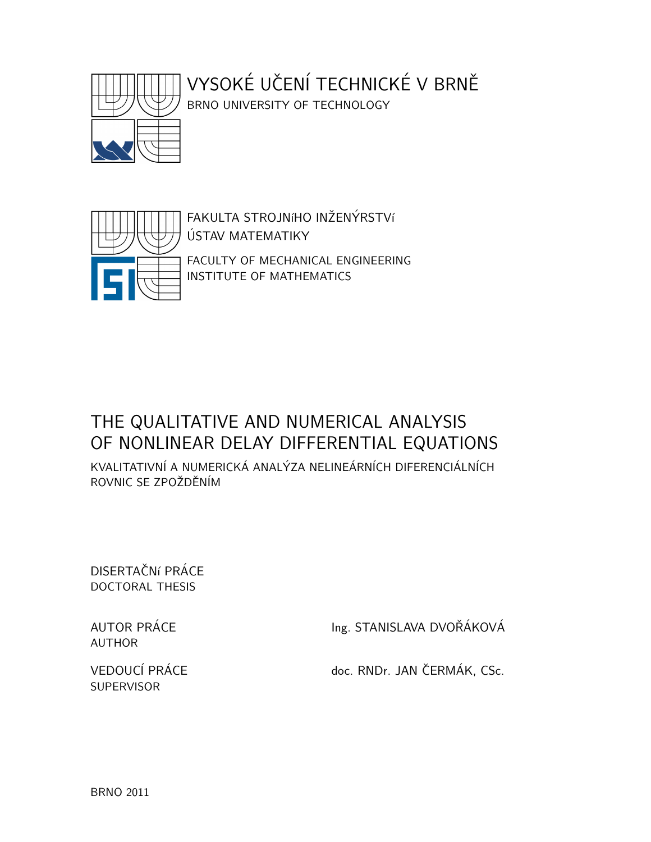

# VYSOKÉ UČENÍ TECHNICKÉ V BRNĚ

BRNO UNIVERSITY OF TECHNOLOGY



FAKULTA STROJNÍHO INŽENÝRSTVÍ USTAV MATEMATIKY ´ FACULTY OF MECHANICAL ENGINEERING INSTITUTE OF MATHEMATICS

## THE QUALITATIVE AND NUMERICAL ANALYSIS OF NONLINEAR DELAY DIFFERENTIAL EQUATIONS

KVALITATIVNÍ A NUMERICKÁ ANALÝZA NELINEÁRNÍCH DIFERENCIÁLNÍCH ROVNIC SE ZPOŽDĚNÍM

DISERTAČNí PRÁCE DOCTORAL THESIS

AUTHOR

**SUPERVISOR** 

AUTOR PRÁCE Ing. STANISLAVA DVOŘÁKOVÁ

VEDOUCÍ PRÁCE doc. RNDr. JAN ČERMÁK, CSc.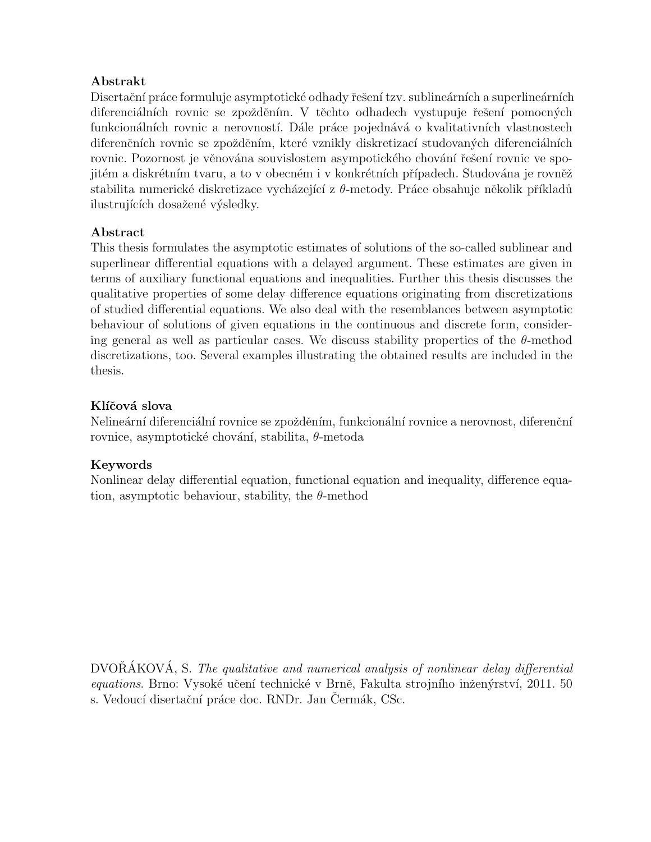#### Abstrakt

Disertační práce formuluje asymptotické odhady řešení tzv. sublineárních a superlineárních diferenciálních rovnic se zpožděním. V těchto odhadech vystupuje řešení pomocných funkcionálních rovnic a nerovností. Dále práce pojednává o kvalitativních vlastnostech diferenčních rovnic se zpožděním, které vznikly diskretizací studovaných diferenciálních rovnic. Pozornost je věnována souvislostem asympotického chování řešení rovnic ve spojitém a diskrétním tvaru, a to v obecném i v konkrétních případech. Studována je rovněž stabilita numerické diskretizace vycházející z  $\theta$ -metody. Práce obsahuje několik příkladů ilustrujících dosažené výsledky.

#### Abstract

This thesis formulates the asymptotic estimates of solutions of the so-called sublinear and superlinear differential equations with a delayed argument. These estimates are given in terms of auxiliary functional equations and inequalities. Further this thesis discusses the qualitative properties of some delay difference equations originating from discretizations of studied differential equations. We also deal with the resemblances between asymptotic behaviour of solutions of given equations in the continuous and discrete form, considering general as well as particular cases. We discuss stability properties of the  $\theta$ -method discretizations, too. Several examples illustrating the obtained results are included in the thesis.

#### Klíčová slova

Nelineární diferenciální rovnice se zpožděním, funkcionální rovnice a nerovnost, diferenční rovnice, asymptotické chování, stabilita,  $\theta$ -metoda

#### Keywords

Nonlinear delay differential equation, functional equation and inequality, difference equation, asymptotic behaviour, stability, the  $\theta$ -method

 $DVORÁKOVÁ, S.$  The qualitative and numerical analysis of nonlinear delay differential equations. Brno: Vysoké učení technické v Brně, Fakulta strojního inženýrství, 2011. 50 s. Vedoucí disertační práce doc. RNDr. Jan Cermák, CSc.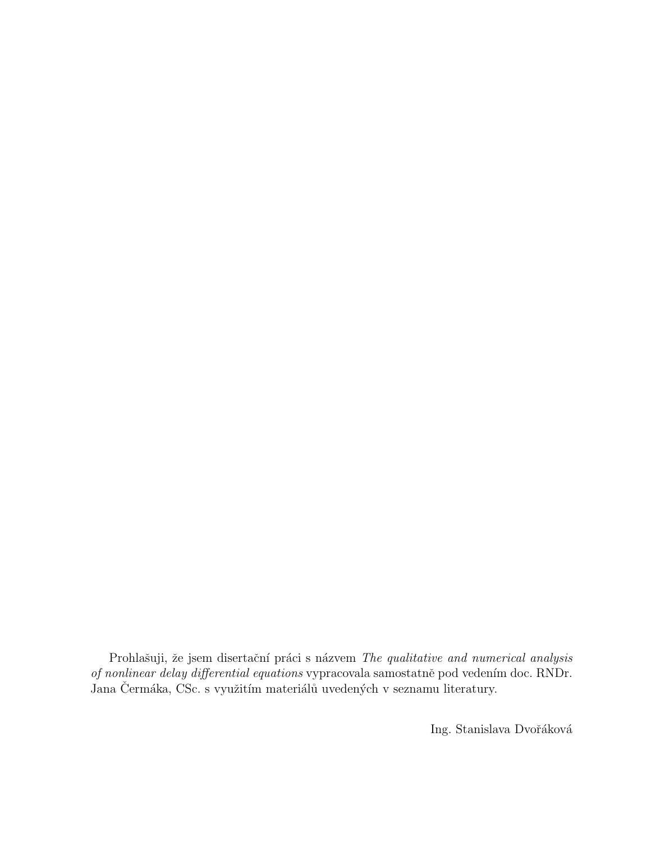Prohlašuji, že jsem disertační práci s názvem The qualitative and numerical analysis of nonlinear delay differential equations vypracovala samostatně pod vedením doc. RNDr. Jana Čermáka, CSc. s využitím materiálů uvedených v seznamu literatury.

Ing. Stanislava Dvořáková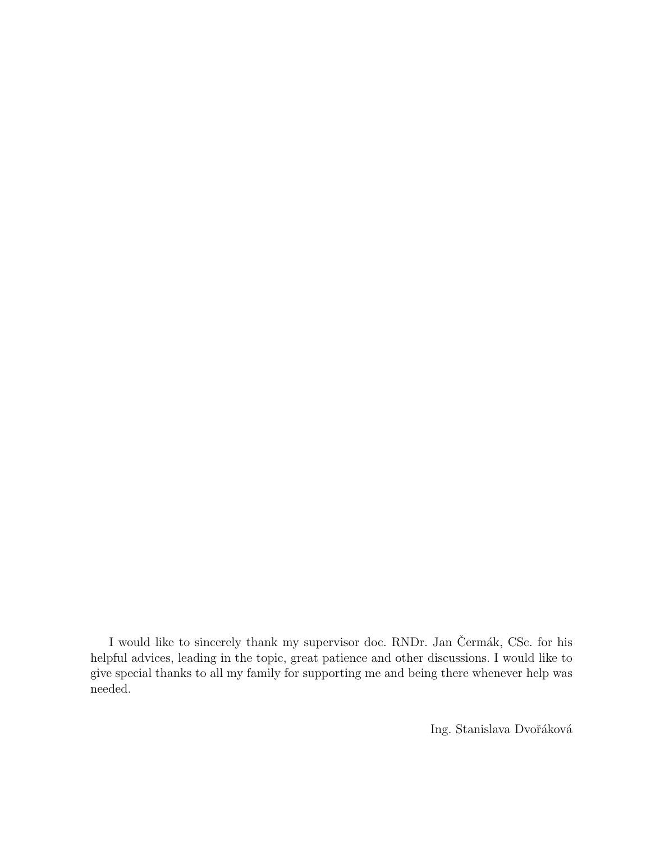I would like to sincerely thank my supervisor doc. RNDr. Jan Čermák, CSc. for his helpful advices, leading in the topic, great patience and other discussions. I would like to give special thanks to all my family for supporting me and being there whenever help was needed.

Ing. Stanislava Dvořáková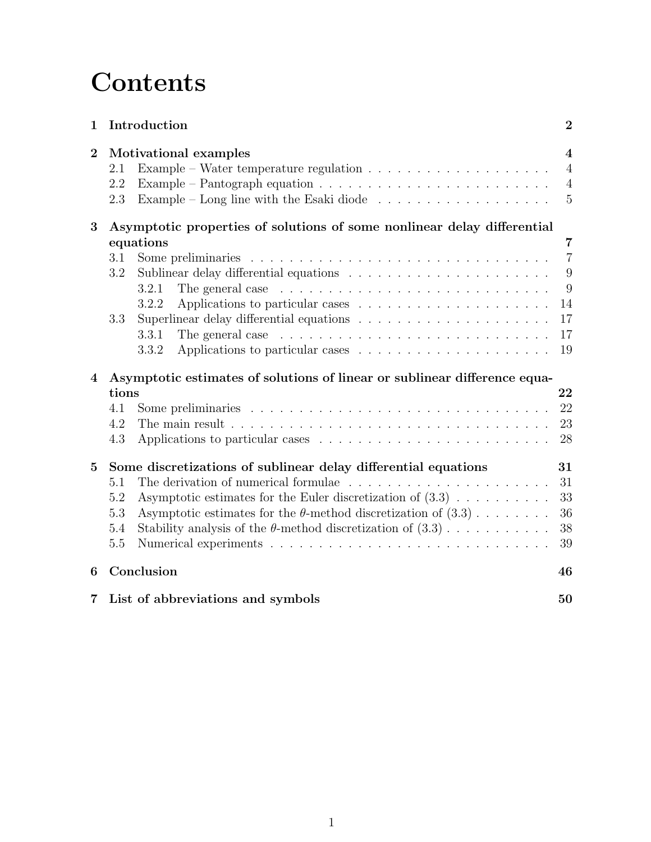# **Contents**

| $\mathbf 1$    | Introduction                                                                                                                                                                                                                                                                                                                  |                                                                    |  |  |  |
|----------------|-------------------------------------------------------------------------------------------------------------------------------------------------------------------------------------------------------------------------------------------------------------------------------------------------------------------------------|--------------------------------------------------------------------|--|--|--|
| $\overline{2}$ | Motivational examples<br>Example – Water temperature regulation $\dots \dots \dots \dots \dots \dots \dots$<br>2.1<br>Example – Pantograph equation $\ldots \ldots \ldots \ldots \ldots \ldots \ldots \ldots$<br>2.2<br>Example – Long line with the Esaki diode $\ldots \ldots \ldots \ldots \ldots \ldots$<br>2.3           | $\overline{\mathbf{4}}$<br>$\overline{4}$<br>$\overline{4}$<br>5   |  |  |  |
| 3              | Asymptotic properties of solutions of some nonlinear delay differential<br>equations<br>3.1<br>3.2<br>3.2.1<br>The general case $\dots \dots \dots \dots \dots \dots \dots \dots \dots \dots \dots$<br>3.2.2<br>3.3<br>The general case $\dots \dots \dots \dots \dots \dots \dots \dots \dots \dots \dots$<br>3.3.1<br>3.3.2 | $\overline{7}$<br>$\overline{7}$<br>9<br>9<br>14<br>17<br>17<br>19 |  |  |  |
| $\bf 4$        | Asymptotic estimates of solutions of linear or sublinear difference equa-<br>22<br>tions<br>22<br>4.1<br>23<br>4.2<br>The main result $\ldots \ldots \ldots \ldots \ldots \ldots \ldots \ldots \ldots \ldots \ldots \ldots$<br>28<br>4.3                                                                                      |                                                                    |  |  |  |
| $\bf{5}$       | Some discretizations of sublinear delay differential equations<br>5.1<br>Asymptotic estimates for the Euler discretization of $(3.3)$<br>5.2<br>Asymptotic estimates for the $\theta$ -method discretization of $(3.3)$<br>5.3<br>Stability analysis of the $\theta$ -method discretization of $(3.3)$<br>5.4<br>5.5          | 31<br>31<br>33<br>36<br>38<br>39                                   |  |  |  |
| 6              | Conclusion<br>46                                                                                                                                                                                                                                                                                                              |                                                                    |  |  |  |
| 7              | List of abbreviations and symbols<br>50                                                                                                                                                                                                                                                                                       |                                                                    |  |  |  |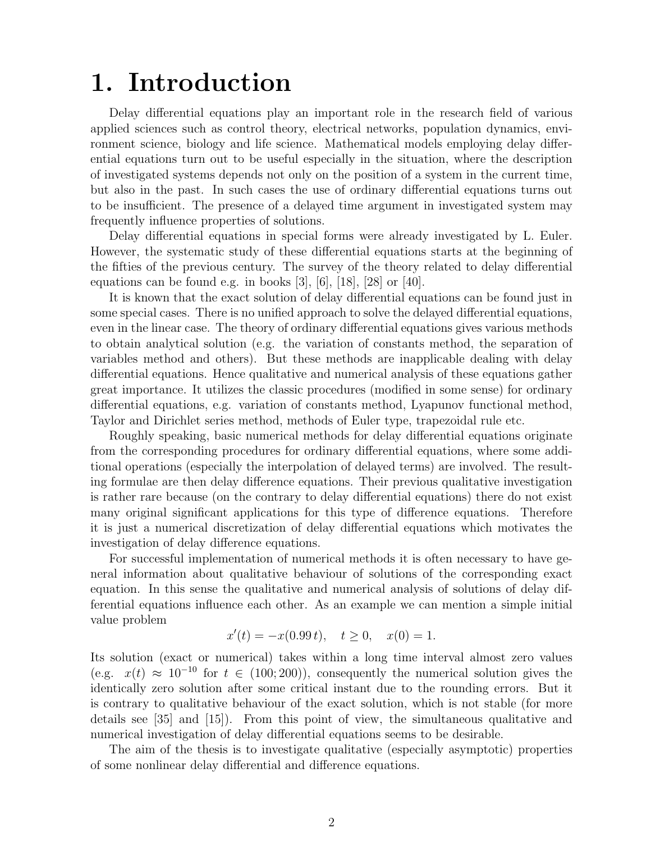## 1. Introduction

Delay differential equations play an important role in the research field of various applied sciences such as control theory, electrical networks, population dynamics, environment science, biology and life science. Mathematical models employing delay differential equations turn out to be useful especially in the situation, where the description of investigated systems depends not only on the position of a system in the current time, but also in the past. In such cases the use of ordinary differential equations turns out to be insufficient. The presence of a delayed time argument in investigated system may frequently influence properties of solutions.

Delay differential equations in special forms were already investigated by L. Euler. However, the systematic study of these differential equations starts at the beginning of the fifties of the previous century. The survey of the theory related to delay differential equations can be found e.g. in books  $[3]$ ,  $[6]$ ,  $[18]$ ,  $[28]$  or  $[40]$ .

It is known that the exact solution of delay differential equations can be found just in some special cases. There is no unified approach to solve the delayed differential equations, even in the linear case. The theory of ordinary differential equations gives various methods to obtain analytical solution (e.g. the variation of constants method, the separation of variables method and others). But these methods are inapplicable dealing with delay differential equations. Hence qualitative and numerical analysis of these equations gather great importance. It utilizes the classic procedures (modified in some sense) for ordinary differential equations, e.g. variation of constants method, Lyapunov functional method, Taylor and Dirichlet series method, methods of Euler type, trapezoidal rule etc.

Roughly speaking, basic numerical methods for delay differential equations originate from the corresponding procedures for ordinary differential equations, where some additional operations (especially the interpolation of delayed terms) are involved. The resulting formulae are then delay difference equations. Their previous qualitative investigation is rather rare because (on the contrary to delay differential equations) there do not exist many original significant applications for this type of difference equations. Therefore it is just a numerical discretization of delay differential equations which motivates the investigation of delay difference equations.

For successful implementation of numerical methods it is often necessary to have general information about qualitative behaviour of solutions of the corresponding exact equation. In this sense the qualitative and numerical analysis of solutions of delay differential equations influence each other. As an example we can mention a simple initial value problem

$$
x'(t) = -x(0.99 t), \quad t \ge 0, \quad x(0) = 1.
$$

Its solution (exact or numerical) takes within a long time interval almost zero values (e.g.  $x(t) \approx 10^{-10}$  for  $t \in (100, 200)$ ), consequently the numerical solution gives the identically zero solution after some critical instant due to the rounding errors. But it is contrary to qualitative behaviour of the exact solution, which is not stable (for more details see [35] and [15]). From this point of view, the simultaneous qualitative and numerical investigation of delay differential equations seems to be desirable.

The aim of the thesis is to investigate qualitative (especially asymptotic) properties of some nonlinear delay differential and difference equations.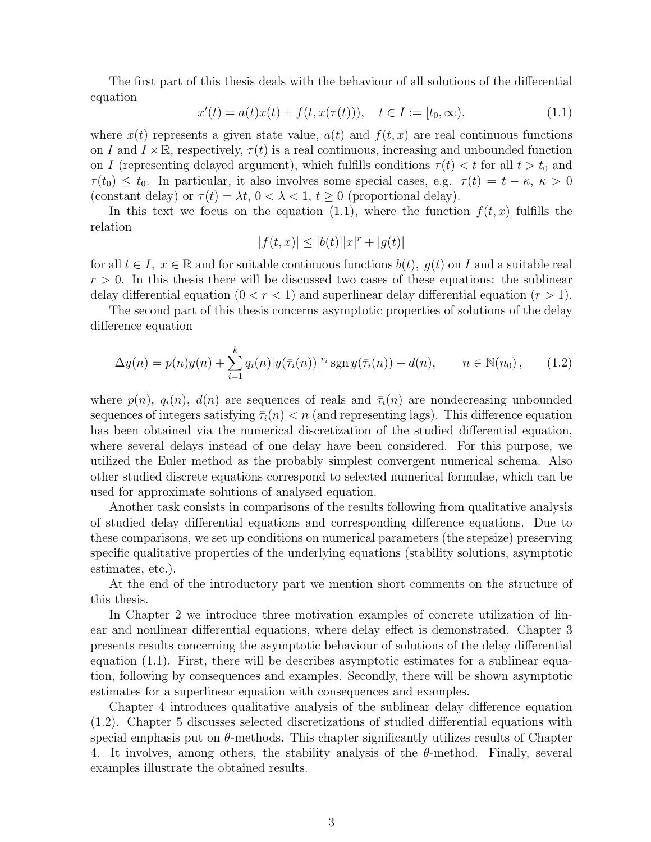The first part of this thesis deals with the behaviour of all solutions of the differential equation

$$
x'(t) = a(t)x(t) + f(t, x(\tau(t))), \quad t \in I := [t_0, \infty), \tag{1.1}
$$

where  $x(t)$  represents a given state value,  $a(t)$  and  $f(t, x)$  are real continuous functions on I and  $I \times \mathbb{R}$ , respectively,  $\tau(t)$  is a real continuous, increasing and unbounded function on I (representing delayed argument), which fulfills conditions  $\tau(t) < t$  for all  $t > t_0$  and  $\tau(t_0) \leq t_0$ . In particular, it also involves some special cases, e.g.  $\tau(t) = t - \kappa$ ,  $\kappa > 0$ (constant delay) or  $\tau(t) = \lambda t$ ,  $0 < \lambda < 1$ ,  $t \ge 0$  (proportional delay).

In this text we focus on the equation (1.1), where the function  $f(t, x)$  fulfills the relation

$$
|f(t, x)| \le |b(t)| |x|^r + |g(t)|
$$

for all  $t \in I$ ,  $x \in \mathbb{R}$  and for suitable continuous functions  $b(t)$ ,  $g(t)$  on I and a suitable real  $r > 0$ . In this thesis there will be discussed two cases of these equations: the sublinear delay differential equation  $(0 < r < 1)$  and superlinear delay differential equation  $(r > 1)$ .

The second part of this thesis concerns asymptotic properties of solutions of the delay difference equation

$$
\Delta y(n) = p(n)y(n) + \sum_{i=1}^{k} q_i(n)|y(\bar{\tau}_i(n))|^{r_i} \operatorname{sgn} y(\bar{\tau}_i(n)) + d(n), \qquad n \in \mathbb{N}(n_0), \qquad (1.2)
$$

where  $p(n)$ ,  $q_i(n)$ ,  $d(n)$  are sequences of reals and  $\bar{\tau}_i(n)$  are nondecreasing unbounded sequences of integers satisfying  $\overline{\tau}_i(n) < n$  (and representing lags). This difference equation has been obtained via the numerical discretization of the studied differential equation, where several delays instead of one delay have been considered. For this purpose, we utilized the Euler method as the probably simplest convergent numerical schema. Also other studied discrete equations correspond to selected numerical formulae, which can be used for approximate solutions of analysed equation.

Another task consists in comparisons of the results following from qualitative analysis of studied delay differential equations and corresponding difference equations. Due to these comparisons, we set up conditions on numerical parameters (the stepsize) preserving specific qualitative properties of the underlying equations (stability solutions, asymptotic estimates, etc.).

At the end of the introductory part we mention short comments on the structure of this thesis.

In Chapter 2 we introduce three motivation examples of concrete utilization of linear and nonlinear differential equations, where delay effect is demonstrated. Chapter 3 presents results concerning the asymptotic behaviour of solutions of the delay differential equation (1.1). First, there will be describes asymptotic estimates for a sublinear equation, following by consequences and examples. Secondly, there will be shown asymptotic estimates for a superlinear equation with consequences and examples.

Chapter 4 introduces qualitative analysis of the sublinear delay difference equation (1.2). Chapter 5 discusses selected discretizations of studied differential equations with special emphasis put on  $\theta$ -methods. This chapter significantly utilizes results of Chapter 4. It involves, among others, the stability analysis of the  $\theta$ -method. Finally, several examples illustrate the obtained results.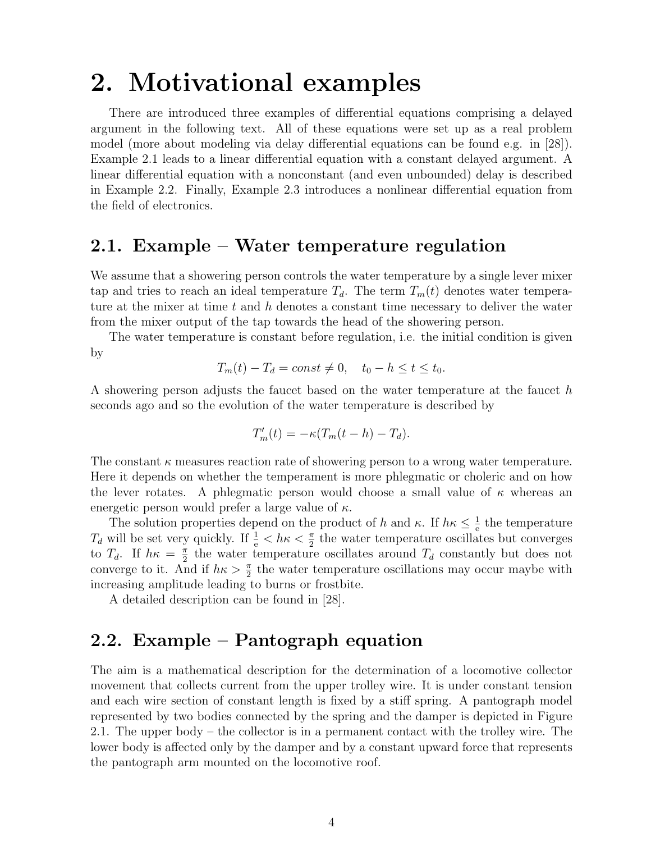## 2. Motivational examples

There are introduced three examples of differential equations comprising a delayed argument in the following text. All of these equations were set up as a real problem model (more about modeling via delay differential equations can be found e.g. in [28]). Example 2.1 leads to a linear differential equation with a constant delayed argument. A linear differential equation with a nonconstant (and even unbounded) delay is described in Example 2.2. Finally, Example 2.3 introduces a nonlinear differential equation from the field of electronics.

## 2.1. Example – Water temperature regulation

We assume that a showering person controls the water temperature by a single lever mixer tap and tries to reach an ideal temperature  $T_d$ . The term  $T_m(t)$  denotes water temperature at the mixer at time t and h denotes a constant time necessary to deliver the water from the mixer output of the tap towards the head of the showering person.

The water temperature is constant before regulation, i.e. the initial condition is given by

$$
T_m(t) - T_d = const \neq 0, \quad t_0 - h \le t \le t_0.
$$

A showering person adjusts the faucet based on the water temperature at the faucet h seconds ago and so the evolution of the water temperature is described by

$$
T'_{m}(t) = -\kappa (T_{m}(t-h) - T_{d}).
$$

The constant  $\kappa$  measures reaction rate of showering person to a wrong water temperature. Here it depends on whether the temperament is more phlegmatic or choleric and on how the lever rotates. A phlegmatic person would choose a small value of  $\kappa$  whereas an energetic person would prefer a large value of  $\kappa$ .

The solution properties depend on the product of h and  $\kappa$ . If  $h\kappa \leq \frac{1}{\epsilon}$  $\frac{1}{e}$  the temperature  $T_d$  will be set very quickly. If  $\frac{1}{e} < h\kappa < \frac{\pi}{2}$  the water temperature oscillates but converges to  $T_d$ . If  $h\kappa = \frac{\pi}{2}$  $\frac{\pi}{2}$  the water temperature oscillates around  $T_d$  constantly but does not converge to it. And if  $h\kappa > \frac{\pi}{2}$  the water temperature oscillations may occur maybe with increasing amplitude leading to burns or frostbite.

A detailed description can be found in [28].

## 2.2. Example – Pantograph equation

The aim is a mathematical description for the determination of a locomotive collector movement that collects current from the upper trolley wire. It is under constant tension and each wire section of constant length is fixed by a stiff spring. A pantograph model represented by two bodies connected by the spring and the damper is depicted in Figure 2.1. The upper body – the collector is in a permanent contact with the trolley wire. The lower body is affected only by the damper and by a constant upward force that represents the pantograph arm mounted on the locomotive roof.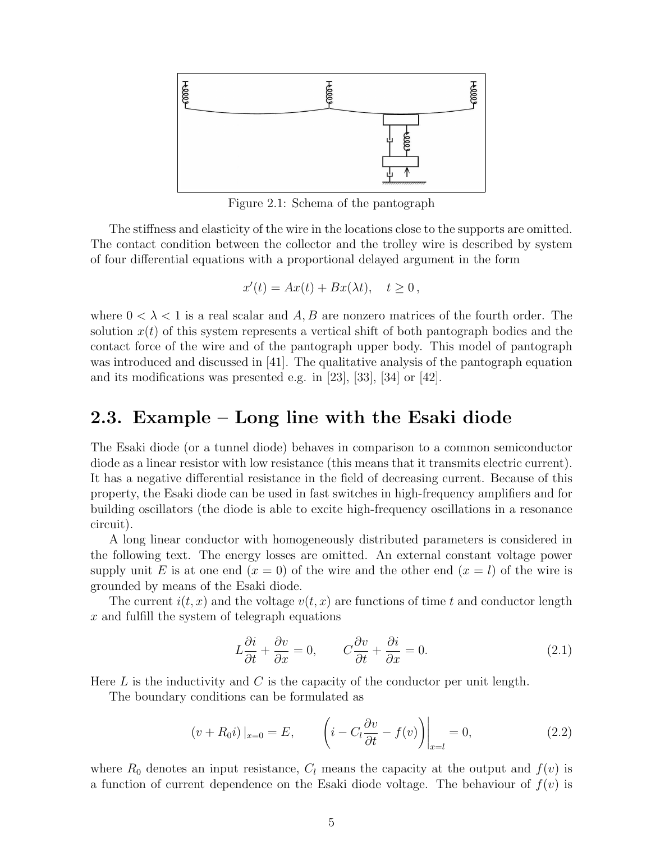

Figure 2.1: Schema of the pantograph

The stiffness and elasticity of the wire in the locations close to the supports are omitted. The contact condition between the collector and the trolley wire is described by system of four differential equations with a proportional delayed argument in the form

$$
x'(t) = Ax(t) + Bx(\lambda t), \quad t \ge 0,
$$

where  $0 < \lambda < 1$  is a real scalar and A, B are nonzero matrices of the fourth order. The solution  $x(t)$  of this system represents a vertical shift of both pantograph bodies and the contact force of the wire and of the pantograph upper body. This model of pantograph was introduced and discussed in [41]. The qualitative analysis of the pantograph equation and its modifications was presented e.g. in [23], [33], [34] or [42].

## 2.3. Example – Long line with the Esaki diode

The Esaki diode (or a tunnel diode) behaves in comparison to a common semiconductor diode as a linear resistor with low resistance (this means that it transmits electric current). It has a negative differential resistance in the field of decreasing current. Because of this property, the Esaki diode can be used in fast switches in high-frequency amplifiers and for building oscillators (the diode is able to excite high-frequency oscillations in a resonance circuit).

A long linear conductor with homogeneously distributed parameters is considered in the following text. The energy losses are omitted. An external constant voltage power supply unit E is at one end  $(x = 0)$  of the wire and the other end  $(x = l)$  of the wire is grounded by means of the Esaki diode.

The current  $i(t, x)$  and the voltage  $v(t, x)$  are functions of time t and conductor length x and fulfill the system of telegraph equations

$$
L\frac{\partial i}{\partial t} + \frac{\partial v}{\partial x} = 0, \qquad C\frac{\partial v}{\partial t} + \frac{\partial i}{\partial x} = 0.
$$
 (2.1)

Here L is the inductivity and C is the capacity of the conductor per unit length.

The boundary conditions can be formulated as

$$
(v + R_0 i)|_{x=0} = E, \qquad \left( i - C_l \frac{\partial v}{\partial t} - f(v) \right)\Big|_{x=l} = 0, \tag{2.2}
$$

where  $R_0$  denotes an input resistance,  $C_l$  means the capacity at the output and  $f(v)$  is a function of current dependence on the Esaki diode voltage. The behaviour of  $f(v)$  is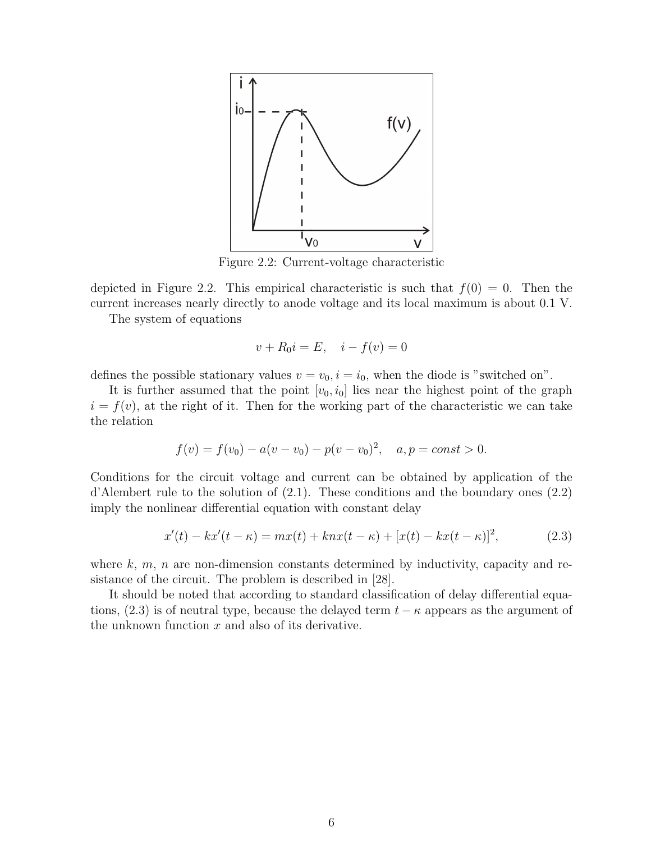

Figure 2.2: Current-voltage characteristic

depicted in Figure 2.2. This empirical characteristic is such that  $f(0) = 0$ . Then the current increases nearly directly to anode voltage and its local maximum is about 0.1 V.

The system of equations

$$
v + R_0 i = E
$$
,  $i - f(v) = 0$ 

defines the possible stationary values  $v = v_0$ ,  $i = i_0$ , when the diode is "switched on".

It is further assumed that the point  $[v_0, i_0]$  lies near the highest point of the graph  $i = f(v)$ , at the right of it. Then for the working part of the characteristic we can take the relation

$$
f(v) = f(v_0) - a(v - v_0) - p(v - v_0)^2, \quad a, p = const > 0.
$$

Conditions for the circuit voltage and current can be obtained by application of the d'Alembert rule to the solution of (2.1). These conditions and the boundary ones (2.2) imply the nonlinear differential equation with constant delay

$$
x'(t) - kx'(t - \kappa) = mx(t) + knx(t - \kappa) + [x(t) - kx(t - \kappa)]^{2},
$$
\n(2.3)

where  $k, m, n$  are non-dimension constants determined by inductivity, capacity and resistance of the circuit. The problem is described in [28].

It should be noted that according to standard classification of delay differential equations, (2.3) is of neutral type, because the delayed term  $t - \kappa$  appears as the argument of the unknown function  $x$  and also of its derivative.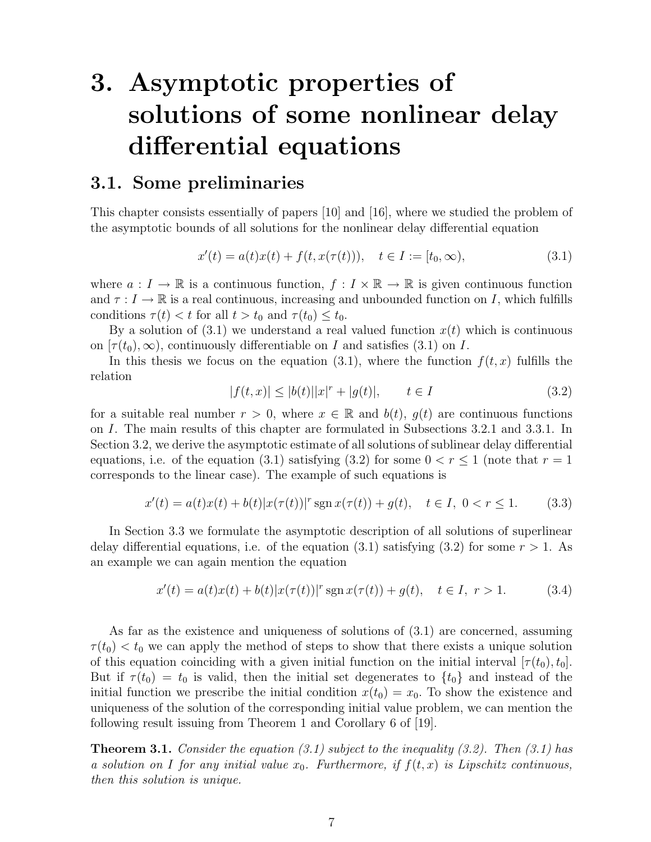# 3. Asymptotic properties of solutions of some nonlinear delay differential equations

### 3.1. Some preliminaries

This chapter consists essentially of papers [10] and [16], where we studied the problem of the asymptotic bounds of all solutions for the nonlinear delay differential equation

$$
x'(t) = a(t)x(t) + f(t, x(\tau(t))), \quad t \in I := [t_0, \infty), \tag{3.1}
$$

where  $a: I \to \mathbb{R}$  is a continuous function,  $f: I \times \mathbb{R} \to \mathbb{R}$  is given continuous function and  $\tau: I \to \mathbb{R}$  is a real continuous, increasing and unbounded function on I, which fulfills conditions  $\tau(t) < t$  for all  $t > t_0$  and  $\tau(t_0) \leq t_0$ .

By a solution of  $(3.1)$  we understand a real valued function  $x(t)$  which is continuous on  $[\tau(t_0),\infty)$ , continuously differentiable on I and satisfies (3.1) on I.

In this thesis we focus on the equation (3.1), where the function  $f(t, x)$  fulfills the relation

$$
|f(t,x)| \le |b(t)| |x|^r + |g(t)|, \qquad t \in I \tag{3.2}
$$

for a suitable real number  $r > 0$ , where  $x \in \mathbb{R}$  and  $b(t)$ ,  $g(t)$  are continuous functions on I. The main results of this chapter are formulated in Subsections 3.2.1 and 3.3.1. In Section 3.2, we derive the asymptotic estimate of all solutions of sublinear delay differential equations, i.e. of the equation (3.1) satisfying (3.2) for some  $0 < r \le 1$  (note that  $r = 1$ ) corresponds to the linear case). The example of such equations is

$$
x'(t) = a(t)x(t) + b(t)|x(\tau(t))|^{r} \operatorname{sgn} x(\tau(t)) + g(t), \quad t \in I, \ 0 < r \le 1. \tag{3.3}
$$

In Section 3.3 we formulate the asymptotic description of all solutions of superlinear delay differential equations, i.e. of the equation (3.1) satisfying (3.2) for some  $r > 1$ . As an example we can again mention the equation

$$
x'(t) = a(t)x(t) + b(t)|x(\tau(t))|^{r} \operatorname{sgn} x(\tau(t)) + g(t), \quad t \in I, r > 1.
$$
 (3.4)

As far as the existence and uniqueness of solutions of (3.1) are concerned, assuming  $\tau(t_0) < t_0$  we can apply the method of steps to show that there exists a unique solution of this equation coinciding with a given initial function on the initial interval  $[\tau(t_0), t_0]$ . But if  $\tau(t_0) = t_0$  is valid, then the initial set degenerates to  $\{t_0\}$  and instead of the initial function we prescribe the initial condition  $x(t_0) = x_0$ . To show the existence and uniqueness of the solution of the corresponding initial value problem, we can mention the following result issuing from Theorem 1 and Corollary 6 of [19].

**Theorem 3.1.** Consider the equation (3.1) subject to the inequality (3.2). Then (3.1) has a solution on I for any initial value  $x_0$ . Furthermore, if  $f(t, x)$  is Lipschitz continuous, then this solution is unique.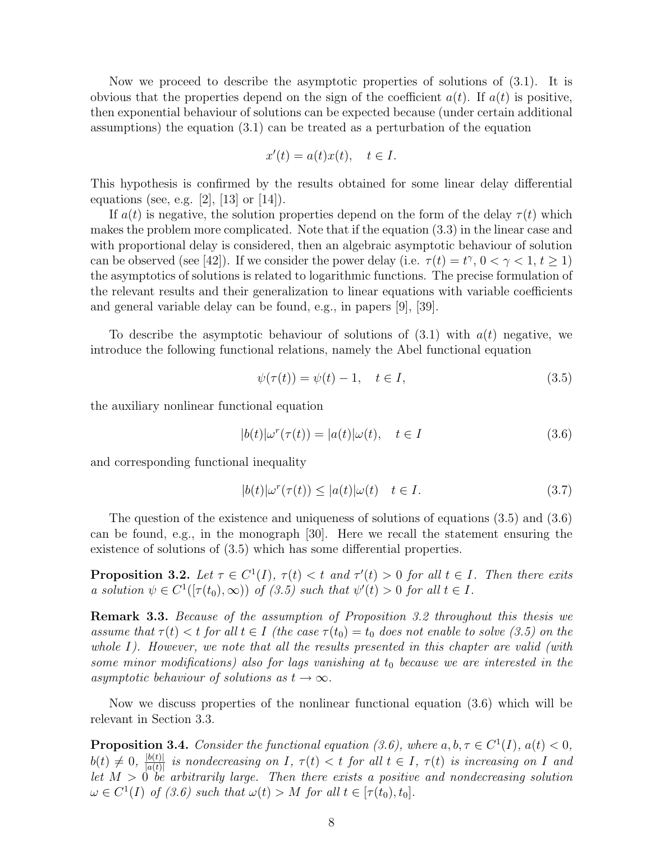Now we proceed to describe the asymptotic properties of solutions of (3.1). It is obvious that the properties depend on the sign of the coefficient  $a(t)$ . If  $a(t)$  is positive, then exponential behaviour of solutions can be expected because (under certain additional assumptions) the equation (3.1) can be treated as a perturbation of the equation

$$
x'(t) = a(t)x(t), \quad t \in I.
$$

This hypothesis is confirmed by the results obtained for some linear delay differential equations (see, e.g. [2], [13] or [14]).

If  $a(t)$  is negative, the solution properties depend on the form of the delay  $\tau(t)$  which makes the problem more complicated. Note that if the equation (3.3) in the linear case and with proportional delay is considered, then an algebraic asymptotic behaviour of solution can be observed (see [42]). If we consider the power delay (i.e.  $\tau(t) = t^{\gamma}, 0 < \gamma < 1, t \ge 1$ ) the asymptotics of solutions is related to logarithmic functions. The precise formulation of the relevant results and their generalization to linear equations with variable coefficients and general variable delay can be found, e.g., in papers [9], [39].

To describe the asymptotic behaviour of solutions of  $(3.1)$  with  $a(t)$  negative, we introduce the following functional relations, namely the Abel functional equation

$$
\psi(\tau(t)) = \psi(t) - 1, \quad t \in I,\tag{3.5}
$$

the auxiliary nonlinear functional equation

$$
|b(t)|\omega^r(\tau(t)) = |a(t)|\omega(t), \quad t \in I \tag{3.6}
$$

and corresponding functional inequality

$$
|b(t)|\omega^r(\tau(t)) \le |a(t)|\omega(t) \quad t \in I. \tag{3.7}
$$

The question of the existence and uniqueness of solutions of equations (3.5) and (3.6) can be found, e.g., in the monograph [30]. Here we recall the statement ensuring the existence of solutions of (3.5) which has some differential properties.

**Proposition 3.2.** Let  $\tau \in C^1(I)$ ,  $\tau(t) < t$  and  $\tau'(t) > 0$  for all  $t \in I$ . Then there exits a solution  $\psi \in C^1([\tau(t_0), \infty))$  of (3.5) such that  $\psi'(t) > 0$  for all  $t \in I$ .

Remark 3.3. Because of the assumption of Proposition 3.2 throughout this thesis we assume that  $\tau(t) < t$  for all  $t \in I$  (the case  $\tau(t_0) = t_0$  does not enable to solve (3.5) on the whole I). However, we note that all the results presented in this chapter are valid (with some minor modifications) also for lags vanishing at  $t_0$  because we are interested in the asymptotic behaviour of solutions as  $t \to \infty$ .

Now we discuss properties of the nonlinear functional equation (3.6) which will be relevant in Section 3.3.

**Proposition 3.4.** Consider the functional equation (3.6), where  $a, b, \tau \in C^1(I)$ ,  $a(t) < 0$ ,  $b(t) \neq 0, \frac{|b(t)|}{|a(t)|}$  $\frac{|\Phi(t)|}{|a(t)|}$  is nondecreasing on I,  $\tau(t) < t$  for all  $t \in I$ ,  $\tau(t)$  is increasing on I and let  $M > 0$  be arbitrarily large. Then there exists a positive and nondecreasing solution  $\omega \in C^1(I)$  of (3.6) such that  $\omega(t) > M$  for all  $t \in [\tau(t_0), t_0]$ .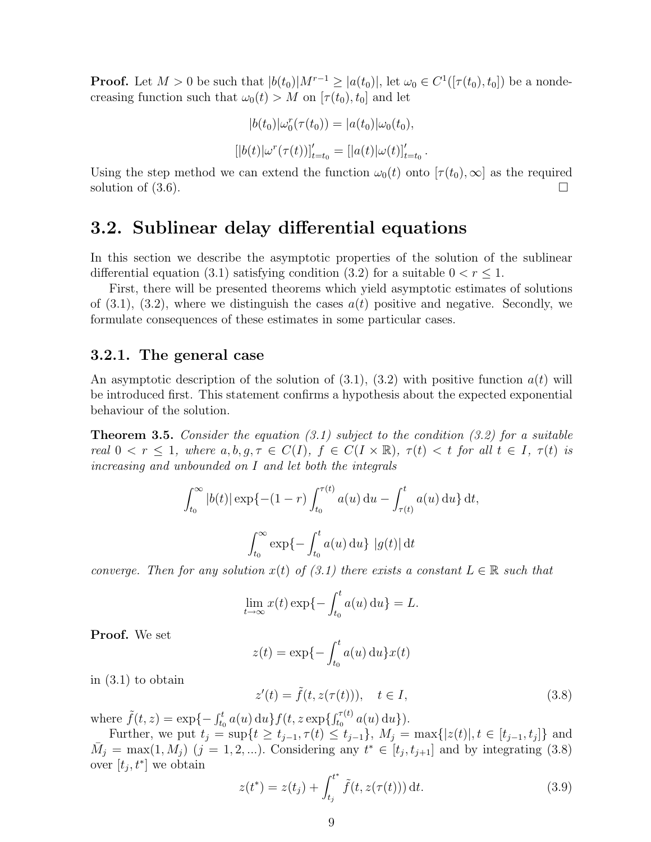**Proof.** Let  $M > 0$  be such that  $|b(t_0)|M^{r-1} \geq |a(t_0)|$ , let  $\omega_0 \in C^1([\tau(t_0), t_0])$  be a nondecreasing function such that  $\omega_0(t) > M$  on  $[\tau(t_0), t_0]$  and let

$$
|b(t_0)|\omega_0^r(\tau(t_0)) = |a(t_0)|\omega_0(t_0),
$$
  

$$
[|b(t)|\omega^r(\tau(t))]_{t=t_0}' = [|a(t)|\omega(t)]_{t=t_0}'
$$

.

Using the step method we can extend the function  $\omega_0(t)$  onto  $[\tau(t_0), \infty]$  as the required solution of  $(3.6)$ .

### 3.2. Sublinear delay differential equations

In this section we describe the asymptotic properties of the solution of the sublinear differential equation (3.1) satisfying condition (3.2) for a suitable  $0 < r \leq 1$ .

First, there will be presented theorems which yield asymptotic estimates of solutions of  $(3.1)$ ,  $(3.2)$ , where we distinguish the cases  $a(t)$  positive and negative. Secondly, we formulate consequences of these estimates in some particular cases.

#### 3.2.1. The general case

An asymptotic description of the solution of  $(3.1)$ ,  $(3.2)$  with positive function  $a(t)$  will be introduced first. This statement confirms a hypothesis about the expected exponential behaviour of the solution.

**Theorem 3.5.** Consider the equation  $(3.1)$  subject to the condition  $(3.2)$  for a suitable real  $0 < r \leq 1$ , where  $a, b, q, \tau \in C(I)$ ,  $f \in C(I \times \mathbb{R})$ ,  $\tau(t) < t$  for all  $t \in I$ ,  $\tau(t)$  is increasing and unbounded on I and let both the integrals

$$
\int_{t_0}^{\infty} |b(t)| \exp\{- (1 - r) \int_{t_0}^{\tau(t)} a(u) du - \int_{\tau(t)}^t a(u) du\} dt,
$$

$$
\int_{t_0}^{\infty} \exp\{-\int_{t_0}^t a(u) du\} |g(t)| dt
$$

converge. Then for any solution  $x(t)$  of (3.1) there exists a constant  $L \in \mathbb{R}$  such that

$$
\lim_{t \to \infty} x(t) \exp\{-\int_{t_0}^t a(u) \, \mathrm{d}u\} = L.
$$

Proof. We set

$$
z(t) = \exp\{-\int_{t_0}^t a(u) \, \mathrm{d}u\} x(t)
$$

in (3.1) to obtain

$$
z'(t) = \tilde{f}(t, z(\tau(t))), \quad t \in I,
$$
\n(3.8)

where  $\tilde{f}(t, z) = \exp\{-\int_{t_0}^t a(u) \, du\} f(t, z \exp\{\int_{t_0}^{\tau(t)} a(u) \, du\}).$ 

Further, we put  $t_j = \sup\{t \ge t_{j-1}, \tau(t) \le t_{j-1}\},\ M_j = \max\{|z(t)|, t \in [t_{j-1}, t_j]\}\$ and  $\overline{M}_j = \max(1, M_j)$   $(j = 1, 2, ...)$ . Considering any  $t^* \in [t_j, t_{j+1}]$  and by integrating (3.8) over  $[t_j, t^*]$  we obtain

$$
z(t^*) = z(t_j) + \int_{t_j}^{t^*} \tilde{f}(t, z(\tau(t))) dt.
$$
 (3.9)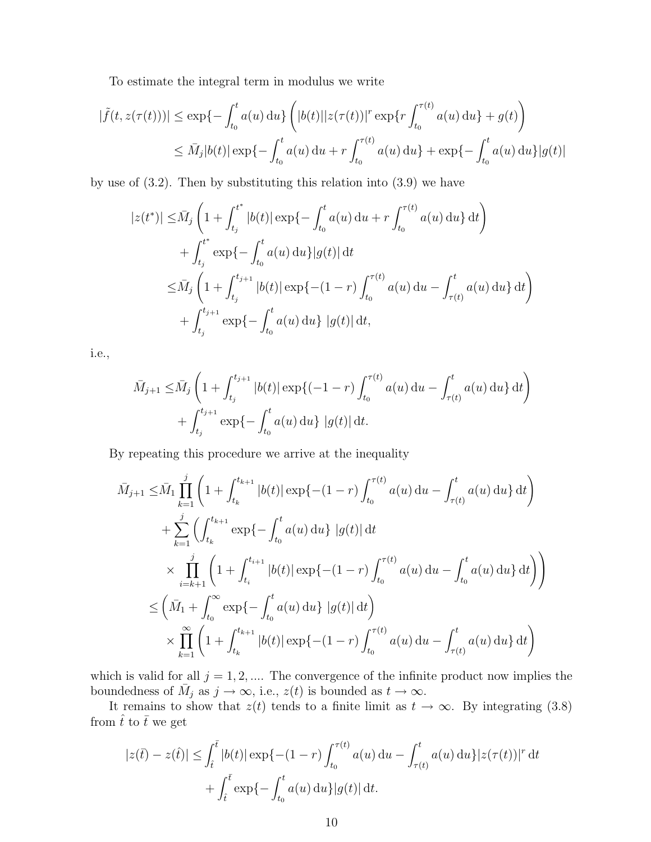To estimate the integral term in modulus we write

$$
|\tilde{f}(t, z(\tau(t)))| \le \exp\{-\int_{t_0}^t a(u) du\} \left( |b(t)| |z(\tau(t))|^{r} \exp\{r \int_{t_0}^{\tau(t)} a(u) du\} + g(t) \right)
$$
  

$$
\le \bar{M}_j |b(t)| \exp\{-\int_{t_0}^t a(u) du + r \int_{t_0}^{\tau(t)} a(u) du\} + \exp\{-\int_{t_0}^t a(u) du\} |g(t)|
$$

by use of (3.2). Then by substituting this relation into (3.9) we have

$$
|z(t^*)| \leq \bar{M}_j \left( 1 + \int_{t_j}^{t^*} |b(t)| \exp\{-\int_{t_0}^t a(u) du + r \int_{t_0}^{\tau(t)} a(u) du\} dt \right)
$$
  
+ 
$$
\int_{t_j}^{t^*} \exp\{-\int_{t_0}^t a(u) du\} |g(t)| dt
$$
  

$$
\leq \bar{M}_j \left( 1 + \int_{t_j}^{t_{j+1}} |b(t)| \exp\{- (1 - r) \int_{t_0}^{\tau(t)} a(u) du - \int_{\tau(t)}^t a(u) du\} dt \right)
$$
  
+ 
$$
\int_{t_j}^{t_{j+1}} \exp\{-\int_{t_0}^t a(u) du\} |g(t)| dt,
$$

i.e.,

$$
\bar{M}_{j+1} \leq \bar{M}_j \left( 1 + \int_{t_j}^{t_{j+1}} |b(t)| \exp\{(-1-r) \int_{t_0}^{\tau(t)} a(u) du - \int_{\tau(t)}^t a(u) du \} dt \right) + \int_{t_j}^{t_{j+1}} \exp\{-\int_{t_0}^t a(u) du\} |g(t)| dt.
$$

By repeating this procedure we arrive at the inequality

$$
\bar{M}_{j+1} \leq \bar{M}_{1} \prod_{k=1}^{j} \left( 1 + \int_{t_{k}}^{t_{k+1}} |b(t)| \exp\{- (1 - r) \int_{t_{0}}^{\tau(t)} a(u) du - \int_{\tau(t)}^{t} a(u) du \} dt \right)
$$
\n
$$
+ \sum_{k=1}^{j} \left( \int_{t_{k}}^{t_{k+1}} \exp\{- \int_{t_{0}}^{t} a(u) du \} |g(t)| dt
$$
\n
$$
\times \prod_{i=k+1}^{j} \left( 1 + \int_{t_{i}}^{t_{i+1}} |b(t)| \exp\{- (1 - r) \int_{t_{0}}^{\tau(t)} a(u) du - \int_{t_{0}}^{t} a(u) du \} dt \right) \right)
$$
\n
$$
\leq \left( \bar{M}_{1} + \int_{t_{0}}^{\infty} \exp\{- \int_{t_{0}}^{t} a(u) du \} |g(t)| dt \right)
$$
\n
$$
\times \prod_{k=1}^{\infty} \left( 1 + \int_{t_{k}}^{t_{k+1}} |b(t)| \exp\{- (1 - r) \int_{t_{0}}^{\tau(t)} a(u) du - \int_{\tau(t)}^{t} a(u) du \} dt \right)
$$

which is valid for all  $j = 1, 2, \dots$  The convergence of the infinite product now implies the boundedness of  $\overline{M}_j$  as  $j \to \infty$ , i.e.,  $z(t)$  is bounded as  $t \to \infty$ .

It remains to show that  $z(t)$  tends to a finite limit as  $t \to \infty$ . By integrating (3.8) from  $\hat{t}$  to  $\bar{t}$  we get

$$
|z(\bar{t}) - z(\hat{t})| \le \int_{\hat{t}}^{\bar{t}} |b(t)| \exp\{- (1 - r) \int_{t_0}^{\tau(t)} a(u) du - \int_{\tau(t)}^t a(u) du\} |z(\tau(t))|^{r} dt
$$
  
+ 
$$
\int_{\hat{t}}^{\bar{t}} \exp\{- \int_{t_0}^t a(u) du\} |g(t)| dt.
$$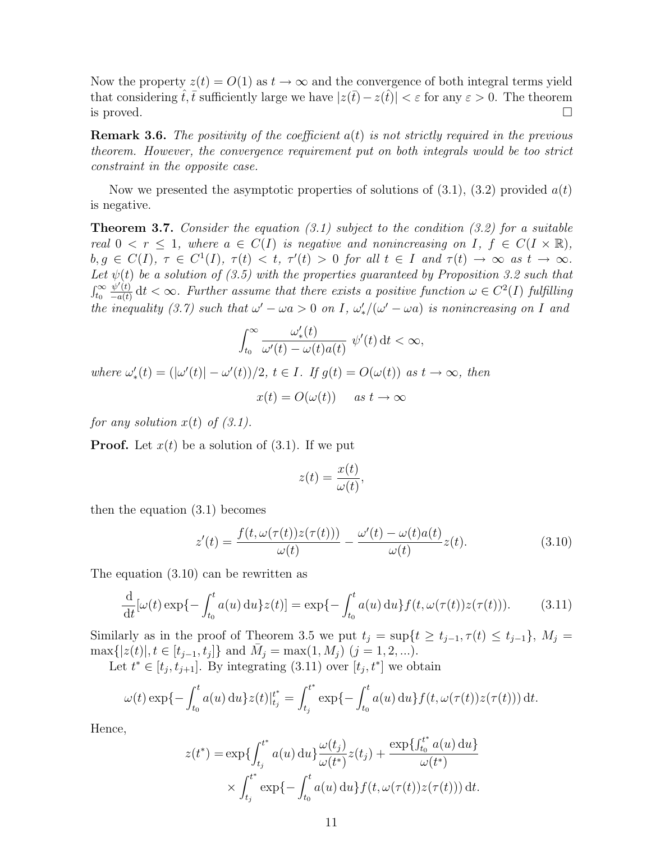Now the property  $z(t) = O(1)$  as  $t \to \infty$  and the convergence of both integral terms yield that considering  $\hat{t}, \overline{t}$  sufficiently large we have  $|z(\overline{t}) - z(\hat{t})| < \varepsilon$  for any  $\varepsilon > 0$ . The theorem is proved.  $\square$ 

**Remark 3.6.** The positivity of the coefficient  $a(t)$  is not strictly required in the previous theorem. However, the convergence requirement put on both integrals would be too strict constraint in the opposite case.

Now we presented the asymptotic properties of solutions of  $(3.1)$ ,  $(3.2)$  provided  $a(t)$ is negative.

**Theorem 3.7.** Consider the equation  $(3.1)$  subject to the condition  $(3.2)$  for a suitable real  $0 < r \leq 1$ , where  $a \in C(I)$  is negative and nonincreasing on I,  $f \in C(I \times \mathbb{R})$ ,  $b, g \in C(I), \tau \in C^1(I), \tau(t) < t, \tau'(t) > 0 \text{ for all } t \in I \text{ and } \tau(t) \to \infty \text{ as } t \to \infty.$ Let  $\psi(t)$  be a solution of (3.5) with the properties guaranteed by Proposition 3.2 such that  $\int_{t_0}^\infty$  $\psi'(t)$  $\frac{\psi'(t)}{-a(t)}$  dt  $\lt \infty$ . Further assume that there exists a positive function  $\omega \in C^2(I)$  fulfilling the inequality (3.7) such that  $\omega' - \omega a > 0$  on I,  $\omega'_*/(\omega' - \omega a)$  is nonincreasing on I and

$$
\int_{t_0}^{\infty} \frac{\omega'_*(t)}{\omega'(t) - \omega(t)a(t)} \psi'(t) dt < \infty,
$$

where  $\omega'_*(t) = (\vert \omega'(t) \vert - \omega'(t))/2$ ,  $t \in I$ . If  $g(t) = O(\omega(t))$  as  $t \to \infty$ , then

 $x(t) = O(\omega(t))$  as  $t \to \infty$ 

for any solution  $x(t)$  of  $(3.1)$ .

**Proof.** Let  $x(t)$  be a solution of  $(3.1)$ . If we put

$$
z(t) = \frac{x(t)}{\omega(t)}
$$

then the equation (3.1) becomes

$$
z'(t) = \frac{f(t, \omega(\tau(t))z(\tau(t)))}{\omega(t)} - \frac{\omega'(t) - \omega(t)a(t)}{\omega(t)}z(t).
$$
\n(3.10)

,

The equation (3.10) can be rewritten as

$$
\frac{d}{dt}[\omega(t)\exp\{-\int_{t_0}^t a(u)\,du\}z(t)] = \exp\{-\int_{t_0}^t a(u)\,du\}f(t,\omega(\tau(t))z(\tau(t))).
$$
\n(3.11)

Similarly as in the proof of Theorem 3.5 we put  $t_j = \sup\{t \ge t_{j-1}, \tau(t) \le t_{j-1}\}, M_j =$  $\max\{|z(t)|, t \in [t_{j-1}, t_j]\}\$ and  $\bar{M}_j = \max(1, M_j)$   $(j = 1, 2, ...)$ .

Let  $t^* \in [t_j, t_{j+1}]$ . By integrating  $(3.11)$  over  $[t_j, t^*]$  we obtain

$$
\omega(t) \exp\{-\int_{t_0}^t a(u) \, \mathrm{d}u\} z(t) \Big|_{t_j}^{t^*} = \int_{t_j}^{t^*} \exp\{-\int_{t_0}^t a(u) \, \mathrm{d}u\} f(t, \omega(\tau(t)) z(\tau(t))) \, \mathrm{d}t.
$$

Hence,

$$
z(t^*) = \exp\left\{\int_{t_j}^{t^*} a(u) \, \mathrm{d}u\right\} \frac{\omega(t_j)}{\omega(t^*)} z(t_j) + \frac{\exp\left\{\int_{t_0}^{t^*} a(u) \, \mathrm{d}u\right\}}{\omega(t^*)}
$$

$$
\times \int_{t_j}^{t^*} \exp\left\{-\int_{t_0}^t a(u) \, \mathrm{d}u\right\} f(t, \omega(\tau(t)) z(\tau(t))) \, \mathrm{d}t.
$$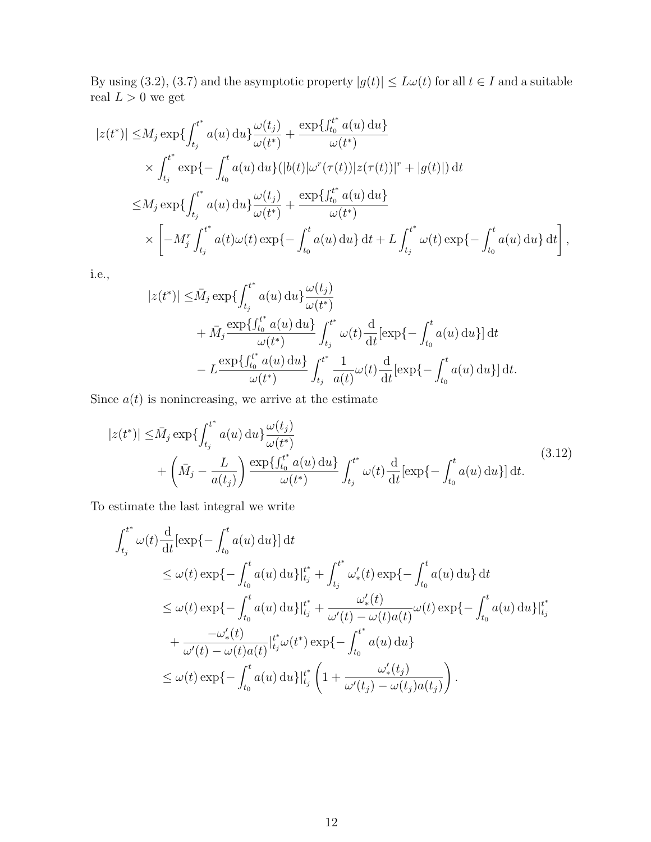By using (3.2), (3.7) and the asymptotic property  $|g(t)| \leq L\omega(t)$  for all  $t \in I$  and a suitable real  $L>0$  we get

$$
|z(t^*)| \le M_j \exp\{\int_{t_j}^{t^*} a(u) \, du\} \frac{\omega(t_j)}{\omega(t^*)} + \frac{\exp\{\int_{t_0}^{t^*} a(u) \, du\}}{\omega(t^*)} \times \int_{t_j}^{t^*} \exp\{-\int_{t_0}^t a(u) \, du\} (|b(t)|\omega^r(\tau(t))|z(\tau(t))|^r + |g(t)|) \, dt \le M_j \exp\{\int_{t_j}^{t^*} a(u) \, du\} \frac{\omega(t_j)}{\omega(t^*)} + \frac{\exp\{\int_{t_0}^{t^*} a(u) \, du\}}{\omega(t^*)} \times \left[ -M_j^r \int_{t_j}^{t^*} a(t)\omega(t) \exp\{-\int_{t_0}^t a(u) \, du\} \, dt + L \int_{t_j}^{t^*} \omega(t) \exp\{-\int_{t_0}^t a(u) \, du\} \, dt \right],
$$

i.e.,

$$
|z(t^*)| \leq \bar{M}_j \exp\{\int_{t_j}^{t^*} a(u) \, du\} \frac{\omega(t_j)}{\omega(t^*)} + \bar{M}_j \frac{\exp\{\int_{t_0}^{t^*} a(u) \, du\}}{\omega(t^*)} \int_{t_j}^{t^*} \omega(t) \frac{d}{dt} [\exp\{-\int_{t_0}^t a(u) \, du\}] \, dt - L \frac{\exp\{\int_{t_0}^{t^*} a(u) \, du\}}{\omega(t^*)} \int_{t_j}^{t^*} \frac{1}{a(t)} \omega(t) \frac{d}{dt} [\exp\{-\int_{t_0}^t a(u) \, du\}] \, dt.
$$

Since  $a(t)$  is nonincreasing, we arrive at the estimate

$$
|z(t^*)| \le \bar{M}_j \exp\left\{ \int_{t_j}^{t^*} a(u) \, du \right\} \frac{\omega(t_j)}{\omega(t^*)} + \left( \bar{M}_j - \frac{L}{a(t_j)} \right) \frac{\exp\left\{ \int_{t_0}^{t^*} a(u) \, du \right\}}{\omega(t^*)} \int_{t_j}^{t^*} \omega(t) \frac{d}{dt} [\exp\left\{ - \int_{t_0}^t a(u) \, du \right\}] dt.
$$
 (3.12)

To estimate the last integral we write

$$
\int_{t_j}^{t^*} \omega(t) \frac{d}{dt} [\exp\{-\int_{t_0}^t a(u) du\}] dt
$$
\n
$$
\leq \omega(t) \exp\{-\int_{t_0}^t a(u) du\} |_{t_j}^{t^*} + \int_{t_j}^{t^*} \omega'_*(t) \exp\{-\int_{t_0}^t a(u) du\} dt
$$
\n
$$
\leq \omega(t) \exp\{-\int_{t_0}^t a(u) du\} |_{t_j}^{t^*} + \frac{\omega'_*(t)}{\omega'(t) - \omega(t) a(t)} \omega(t) \exp\{-\int_{t_0}^t a(u) du\} |_{t_j}^{t^*}
$$
\n
$$
+ \frac{-\omega'_*(t)}{\omega'(t) - \omega(t) a(t)} |_{t_j}^{t^*} \omega(t^*) \exp\{-\int_{t_0}^{t^*} a(u) du\}
$$
\n
$$
\leq \omega(t) \exp\{-\int_{t_0}^t a(u) du\} |_{t_j}^{t^*} \left(1 + \frac{\omega'_*(t_j)}{\omega'(t_j) - \omega(t_j) a(t_j)}\right).
$$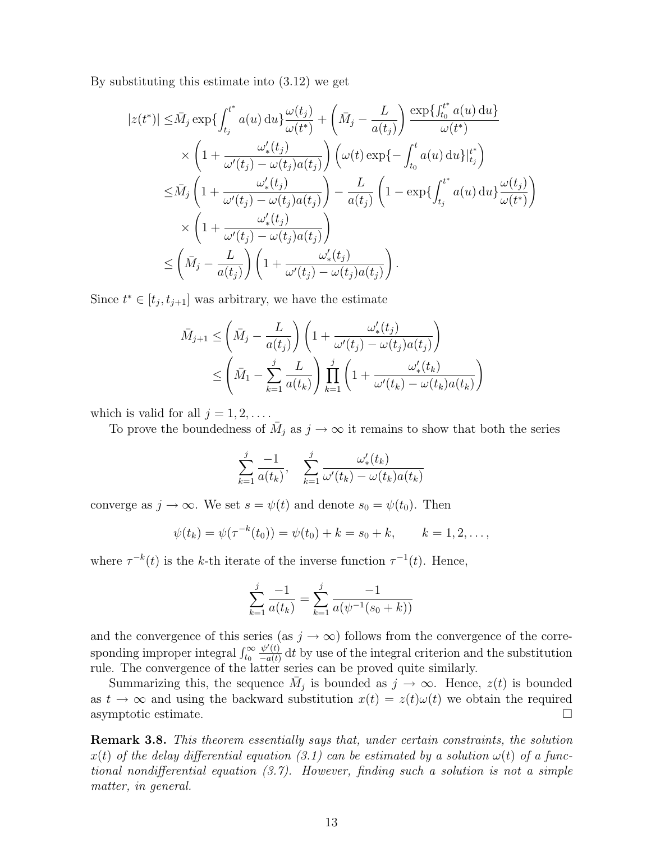By substituting this estimate into (3.12) we get

$$
|z(t^*)| \leq \bar{M}_j \exp\left\{ \int_{t_j}^{t^*} a(u) du \right\} \frac{\omega(t_j)}{\omega(t^*)} + \left(\bar{M}_j - \frac{L}{a(t_j)}\right) \frac{\exp\left\{ \int_{t_0}^{t^*} a(u) du \right\}}{\omega(t^*)}
$$
  
 
$$
\times \left(1 + \frac{\omega'_*(t_j)}{\omega'(t_j) - \omega(t_j)a(t_j)}\right) \left(\omega(t) \exp\left\{-\int_{t_0}^t a(u) du\right\} \Big|_{t_j}^{t^*}\right)
$$
  
 
$$
\leq \bar{M}_j \left(1 + \frac{\omega'_*(t_j)}{\omega'(t_j) - \omega(t_j)a(t_j)}\right) - \frac{L}{a(t_j)} \left(1 - \exp\left\{ \int_{t_j}^{t^*} a(u) du \right\} \frac{\omega(t_j)}{\omega(t^*)}\right)
$$
  
 
$$
\times \left(1 + \frac{\omega'_*(t_j)}{\omega'(t_j) - \omega(t_j)a(t_j)}\right)
$$
  
 
$$
\leq \left(\bar{M}_j - \frac{L}{a(t_j)}\right) \left(1 + \frac{\omega'_*(t_j)}{\omega'(t_j) - \omega(t_j)a(t_j)}\right).
$$

Since  $t^* \in [t_j, t_{j+1}]$  was arbitrary, we have the estimate

$$
\bar{M}_{j+1} \leq \left(\bar{M}_j - \frac{L}{a(t_j)}\right) \left(1 + \frac{\omega'_*(t_j)}{\omega'(t_j) - \omega(t_j)a(t_j)}\right)
$$
\n
$$
\leq \left(\bar{M}_1 - \sum_{k=1}^j \frac{L}{a(t_k)}\right) \prod_{k=1}^j \left(1 + \frac{\omega'_*(t_k)}{\omega'(t_k) - \omega(t_k)a(t_k)}\right)
$$

which is valid for all  $j = 1, 2, \ldots$ .

To prove the boundedness of  $\overline{M}_j$  as  $j \to \infty$  it remains to show that both the series

$$
\sum_{k=1}^{j} \frac{-1}{a(t_k)}, \quad \sum_{k=1}^{j} \frac{\omega'_*(t_k)}{\omega'(t_k) - \omega(t_k)a(t_k)}
$$

converge as  $j \to \infty$ . We set  $s = \psi(t)$  and denote  $s_0 = \psi(t_0)$ . Then

$$
\psi(t_k) = \psi(\tau^{-k}(t_0)) = \psi(t_0) + k = s_0 + k, \qquad k = 1, 2, \dots,
$$

where  $\tau^{-k}(t)$  is the k-th iterate of the inverse function  $\tau^{-1}(t)$ . Hence,

$$
\sum_{k=1}^{j} \frac{-1}{a(t_k)} = \sum_{k=1}^{j} \frac{-1}{a(\psi^{-1}(s_0 + k))}
$$

and the convergence of this series (as  $j \to \infty$ ) follows from the convergence of the corresponding improper integral  $\int_{t_0}^{\infty}$  $\psi'(t)$  $\frac{\psi'(t)}{-a(t)}$  dt by use of the integral criterion and the substitution rule. The convergence of the latter series can be proved quite similarly.

Summarizing this, the sequence  $\overline{M}_j$  is bounded as  $j \to \infty$ . Hence,  $z(t)$  is bounded as  $t \to \infty$  and using the backward substitution  $x(t) = z(t)\omega(t)$  we obtain the required asymptotic estimate.

Remark 3.8. This theorem essentially says that, under certain constraints, the solution  $x(t)$  of the delay differential equation (3.1) can be estimated by a solution  $\omega(t)$  of a functional nondifferential equation (3.7). However, finding such a solution is not a simple matter, in general.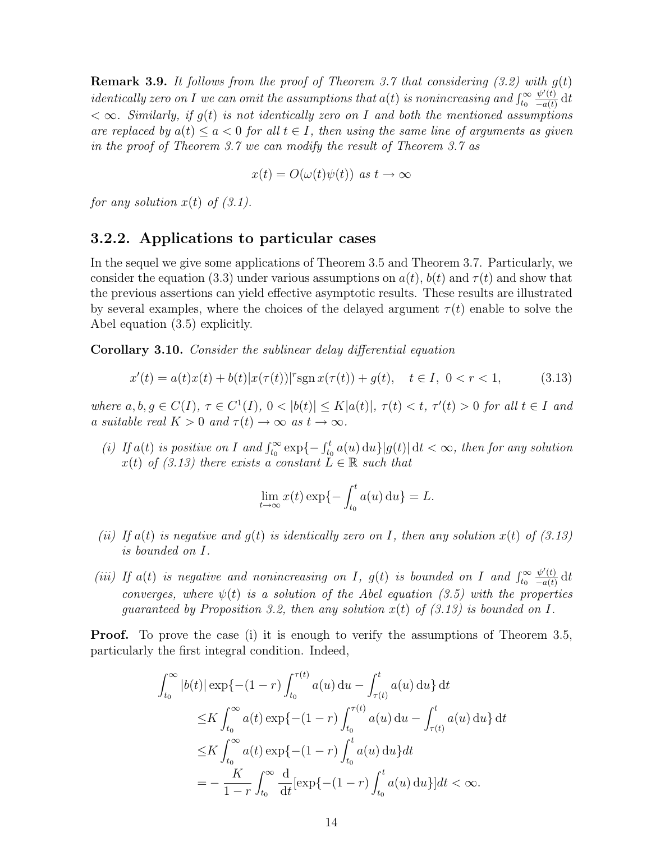**Remark 3.9.** It follows from the proof of Theorem 3.7 that considering  $(3.2)$  with  $g(t)$ identically zero on I we can omit the assumptions that  $a(t)$  is nonincreasing and  $\int_{t_0}^{\infty}$  $\psi'(t)$  $\frac{\psi'(t)}{-a(t)}$  dt  $<\infty$ . Similarly, if  $g(t)$  is not identically zero on I and both the mentioned assumptions are replaced by  $a(t) \le a < 0$  for all  $t \in I$ , then using the same line of arguments as given in the proof of Theorem 3.7 we can modify the result of Theorem 3.7 as

$$
x(t) = O(\omega(t)\psi(t)) \text{ as } t \to \infty
$$

for any solution  $x(t)$  of  $(3.1)$ .

#### 3.2.2. Applications to particular cases

In the sequel we give some applications of Theorem 3.5 and Theorem 3.7. Particularly, we consider the equation (3.3) under various assumptions on  $a(t)$ ,  $b(t)$  and  $\tau(t)$  and show that the previous assertions can yield effective asymptotic results. These results are illustrated by several examples, where the choices of the delayed argument  $\tau(t)$  enable to solve the Abel equation (3.5) explicitly.

Corollary 3.10. Consider the sublinear delay differential equation

$$
x'(t) = a(t)x(t) + b(t)|x(\tau(t))|^{r} \operatorname{sgn} x(\tau(t)) + g(t), \quad t \in I, \ 0 < r < 1,\tag{3.13}
$$

where  $a, b, g \in C(I), \tau \in C^1(I), 0 < |b(t)| \leq K |a(t)|, \tau(t) < t, \tau'(t) > 0$  for all  $t \in I$  and a suitable real  $K > 0$  and  $\tau(t) \to \infty$  as  $t \to \infty$ .

(i) If  $a(t)$  is positive on I and  $\int_{t_0}^{\infty} \exp\{-\int_{t_0}^t a(u) \, du\} |g(t)| dt < \infty$ , then for any solution  $x(t)$  of (3.13) there exists a constant  $L \in \mathbb{R}$  such that

$$
\lim_{t \to \infty} x(t) \exp\{-\int_{t_0}^t a(u) \, \mathrm{d}u\} = L.
$$

- (ii) If  $a(t)$  is negative and  $g(t)$  is identically zero on I, then any solution  $x(t)$  of (3.13) is bounded on I.
- (iii) If  $a(t)$  is negative and nonincreasing on I,  $g(t)$  is bounded on I and  $\int_{t_0}^{\infty}$  $\psi'(t)$  $\frac{\psi'(t)}{-a(t)}$  dt converges, where  $\psi(t)$  is a solution of the Abel equation (3.5) with the properties quaranteed by Proposition 3.2, then any solution  $x(t)$  of (3.13) is bounded on I.

**Proof.** To prove the case (i) it is enough to verify the assumptions of Theorem 3.5, particularly the first integral condition. Indeed,

$$
\int_{t_0}^{\infty} |b(t)| \exp\{- (1 - r) \int_{t_0}^{\tau(t)} a(u) du - \int_{\tau(t)}^{t} a(u) du \} dt
$$
  
\n
$$
\leq K \int_{t_0}^{\infty} a(t) \exp\{- (1 - r) \int_{t_0}^{\tau(t)} a(u) du - \int_{\tau(t)}^{t} a(u) du \} dt
$$
  
\n
$$
\leq K \int_{t_0}^{\infty} a(t) \exp\{- (1 - r) \int_{t_0}^{t} a(u) du \} dt
$$
  
\n
$$
= -\frac{K}{1 - r} \int_{t_0}^{\infty} \frac{d}{dt} [\exp\{- (1 - r) \int_{t_0}^{t} a(u) du \}] dt < \infty.
$$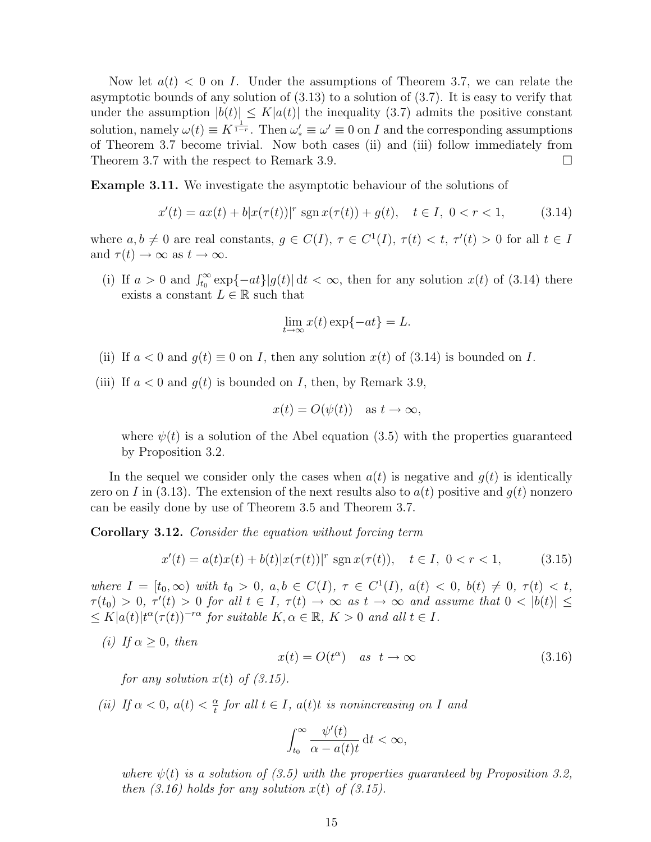Now let  $a(t) < 0$  on I. Under the assumptions of Theorem 3.7, we can relate the asymptotic bounds of any solution of (3.13) to a solution of (3.7). It is easy to verify that under the assumption  $|b(t)| \leq K |a(t)|$  the inequality (3.7) admits the positive constant solution, namely  $\omega(t) \equiv K^{\frac{1}{1-r}}$ . Then  $\omega_*' \equiv \omega' \equiv 0$  on I and the corresponding assumptions of Theorem 3.7 become trivial. Now both cases (ii) and (iii) follow immediately from Theorem 3.7 with the respect to Remark 3.9.

Example 3.11. We investigate the asymptotic behaviour of the solutions of

$$
x'(t) = ax(t) + b|x(\tau(t))|^{r} \operatorname{sgn} x(\tau(t)) + g(t), \quad t \in I, \ 0 < r < 1,\tag{3.14}
$$

where  $a, b \neq 0$  are real constants,  $g \in C(I)$ ,  $\tau \in C^1(I)$ ,  $\tau(t) < t$ ,  $\tau'(t) > 0$  for all  $t \in I$ and  $\tau(t) \to \infty$  as  $t \to \infty$ .

(i) If  $a > 0$  and  $\int_{t_0}^{\infty} \exp\{-at\}|g(t)| dt < \infty$ , then for any solution  $x(t)$  of (3.14) there exists a constant  $L \in \mathbb{R}$  such that

$$
\lim_{t \to \infty} x(t) \exp\{-at\} = L.
$$

- (ii) If  $a < 0$  and  $q(t) \equiv 0$  on I, then any solution  $x(t)$  of (3.14) is bounded on I.
- (iii) If  $a < 0$  and  $g(t)$  is bounded on I, then, by Remark 3.9,

$$
x(t) = O(\psi(t))
$$
 as  $t \to \infty$ ,

where  $\psi(t)$  is a solution of the Abel equation (3.5) with the properties guaranteed by Proposition 3.2.

In the sequel we consider only the cases when  $a(t)$  is negative and  $g(t)$  is identically zero on I in (3.13). The extension of the next results also to  $a(t)$  positive and  $g(t)$  nonzero can be easily done by use of Theorem 3.5 and Theorem 3.7.

Corollary 3.12. Consider the equation without forcing term

$$
x'(t) = a(t)x(t) + b(t)|x(\tau(t))|^{r} \operatorname{sgn} x(\tau(t)), \quad t \in I, \ 0 < r < 1,\tag{3.15}
$$

where  $I = [t_0, \infty)$  with  $t_0 > 0$ ,  $a, b \in C(I)$ ,  $\tau \in C^1(I)$ ,  $a(t) < 0$ ,  $b(t) \neq 0$ ,  $\tau(t) < t$ ,  $\tau(t_0) > 0$ ,  $\tau'(t) > 0$  for all  $t \in I$ ,  $\tau(t) \to \infty$  as  $t \to \infty$  and assume that  $0 < |b(t)| \le$  $\leq K |a(t)| t^{\alpha} (\tau(t))^{-r\alpha}$  for suitable  $K, \alpha \in \mathbb{R}, K > 0$  and all  $t \in I$ .

(i) If  $\alpha > 0$ , then

$$
x(t) = O(t^{\alpha}) \quad as \quad t \to \infty \tag{3.16}
$$

for any solution  $x(t)$  of  $(3.15)$ .

(ii) If  $\alpha < 0$ ,  $a(t) < \frac{\alpha}{t}$  $\frac{\alpha}{t}$  for all  $t \in I$ ,  $a(t)t$  is nonincreasing on I and

$$
\int_{t_0}^{\infty} \frac{\psi'(t)}{\alpha - a(t)t} \, \mathrm{d}t < \infty,
$$

where  $\psi(t)$  is a solution of (3.5) with the properties quaranteed by Proposition 3.2. then  $(3.16)$  holds for any solution  $x(t)$  of  $(3.15)$ .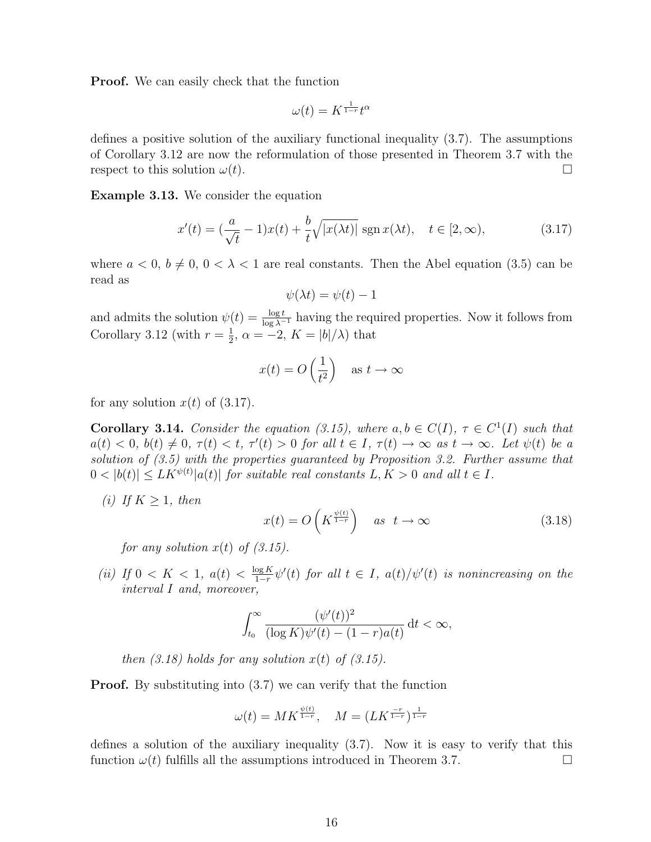Proof. We can easily check that the function

$$
\omega(t) = K^{\frac{1}{1-r}} t^{\alpha}
$$

defines a positive solution of the auxiliary functional inequality (3.7). The assumptions of Corollary 3.12 are now the reformulation of those presented in Theorem 3.7 with the respect to this solution  $\omega(t)$ .

Example 3.13. We consider the equation

$$
x'(t) = \left(\frac{a}{\sqrt{t}} - 1\right)x(t) + \frac{b}{t}\sqrt{|x(\lambda t)|} \operatorname{sgn} x(\lambda t), \quad t \in [2, \infty), \tag{3.17}
$$

where  $a < 0, b \neq 0, 0 < \lambda < 1$  are real constants. Then the Abel equation (3.5) can be read as

$$
\psi(\lambda t) = \psi(t) - 1
$$

and admits the solution  $\psi(t) = \frac{\log t}{\log \lambda^{-1}}$  having the required properties. Now it follows from Corollary 3.12 (with  $r=\frac{1}{2}$ )  $\frac{1}{2}$ ,  $\alpha = -2$ ,  $K = |b|/\lambda$  that

$$
x(t) = O\left(\frac{1}{t^2}\right) \quad \text{as } t \to \infty
$$

for any solution  $x(t)$  of  $(3.17)$ .

**Corollary 3.14.** Consider the equation (3.15), where  $a, b \in C(I)$ ,  $\tau \in C^1(I)$  such that  $a(t) < 0, b(t) \neq 0, \tau(t) < t, \tau'(t) > 0 \text{ for all } t \in I, \tau(t) \to \infty \text{ as } t \to \infty.$  Let  $\psi(t)$  be a solution of (3.5) with the properties guaranteed by Proposition 3.2. Further assume that  $0 < |b(t)| \leq L K^{\psi(t)} |a(t)|$  for suitable real constants  $L, K > 0$  and all  $t \in I$ .

(i) If  $K \geq 1$ , then

$$
x(t) = O\left(K^{\frac{\psi(t)}{1-r}}\right) \quad \text{as} \quad t \to \infty \tag{3.18}
$$

for any solution  $x(t)$  of  $(3.15)$ .

(*ii*) If  $0 \lt K \lt 1$ ,  $a(t) \lt \frac{\log K}{1-r}$  $\frac{\log K}{1-r}\psi'(t)$  for all  $t \in I$ ,  $a(t)/\psi'(t)$  is nonincreasing on the interval I and, moreover,

$$
\int_{t_0}^{\infty} \frac{(\psi'(t))^2}{(\log K)\psi'(t) - (1-r)a(t)} dt < \infty,
$$

then  $(3.18)$  holds for any solution  $x(t)$  of  $(3.15)$ .

Proof. By substituting into (3.7) we can verify that the function

$$
\omega(t) = MK^{\frac{\psi(t)}{1-r}}, \quad M = (LK^{\frac{-r}{1-r}})^{\frac{1}{1-r}}
$$

defines a solution of the auxiliary inequality (3.7). Now it is easy to verify that this function  $\omega(t)$  fulfills all the assumptions introduced in Theorem 3.7.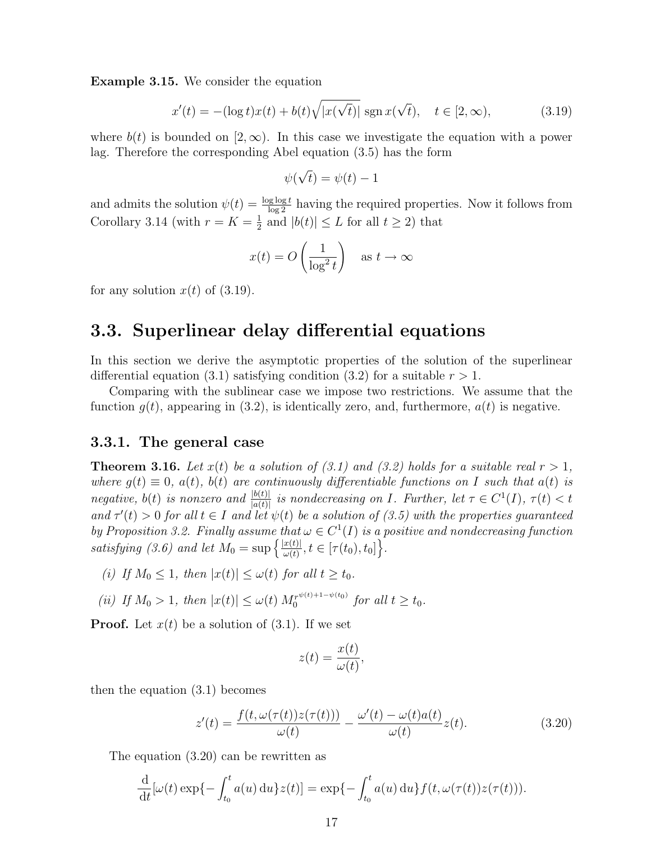Example 3.15. We consider the equation

$$
x'(t) = -(\log t)x(t) + b(t)\sqrt{|x(\sqrt{t})|} \operatorname{sgn} x(\sqrt{t}), \quad t \in [2, \infty), \tag{3.19}
$$

where  $b(t)$  is bounded on [2,  $\infty$ ). In this case we investigate the equation with a power lag. Therefore the corresponding Abel equation (3.5) has the form

$$
\psi(\sqrt{t}) = \psi(t) - 1
$$

and admits the solution  $\psi(t) = \frac{\log \log t}{\log 2}$  having the required properties. Now it follows from Corollary 3.14 (with  $r = K = \frac{1}{2}$ )  $\frac{1}{2}$  and  $|b(t)| \leq L$  for all  $t \geq 2$ ) that

$$
x(t) = O\left(\frac{1}{\log^2 t}\right) \quad \text{as } t \to \infty
$$

for any solution  $x(t)$  of  $(3.19)$ .

### 3.3. Superlinear delay differential equations

In this section we derive the asymptotic properties of the solution of the superlinear differential equation (3.1) satisfying condition (3.2) for a suitable  $r > 1$ .

Comparing with the sublinear case we impose two restrictions. We assume that the function  $g(t)$ , appearing in (3.2), is identically zero, and, furthermore,  $a(t)$  is negative.

#### 3.3.1. The general case

**Theorem 3.16.** Let  $x(t)$  be a solution of (3.1) and (3.2) holds for a suitable real  $r > 1$ , where  $g(t) \equiv 0$ ,  $a(t)$ ,  $b(t)$  are continuously differentiable functions on I such that  $a(t)$  is negative, b(t) is nonzero and  $\frac{|b(t)|}{|a(t)|}$  is nondecreasing on I. Further, let  $\tau \in C^1(I)$ ,  $\tau(t) < t$ and  $\tau'(t) > 0$  for all  $t \in I$  and let  $\psi(t)$  be a solution of (3.5) with the properties guaranteed by Proposition 3.2. Finally assume that  $\omega \in C^1(I)$  is a positive and nondecreasing function satisfying (3.6) and let  $M_0 = \sup \left\{ \frac{|x(t)|}{\omega(t)} \right\}$  $\frac{x(t)|}{\omega(t)}, t \in [\tau(t_0), t_0]\Big\}.$ 

- (i) If  $M_0 \leq 1$ , then  $|x(t)| \leq \omega(t)$  for all  $t \geq t_0$ .
- (ii) If  $M_0 > 1$ , then  $|x(t)| \leq \omega(t) M_0^{r^{\psi(t)+1-\psi(t_0)}}$  $\int_0^{r^{w(t)+1-\psi(t_0)}}$  for all  $t \geq t_0$ .

**Proof.** Let  $x(t)$  be a solution of  $(3.1)$ . If we set

$$
z(t) = \frac{x(t)}{\omega(t)},
$$

then the equation (3.1) becomes

$$
z'(t) = \frac{f(t, \omega(\tau(t))z(\tau(t)))}{\omega(t)} - \frac{\omega'(t) - \omega(t)a(t)}{\omega(t)}z(t).
$$
 (3.20)

The equation (3.20) can be rewritten as

$$
\frac{\mathrm{d}}{\mathrm{d}t}[\omega(t)\exp\{-\int_{t_0}^t a(u)\,\mathrm{d}u\}z(t)] = \exp\{-\int_{t_0}^t a(u)\,\mathrm{d}u\}f(t,\omega(\tau(t))z(\tau(t))).
$$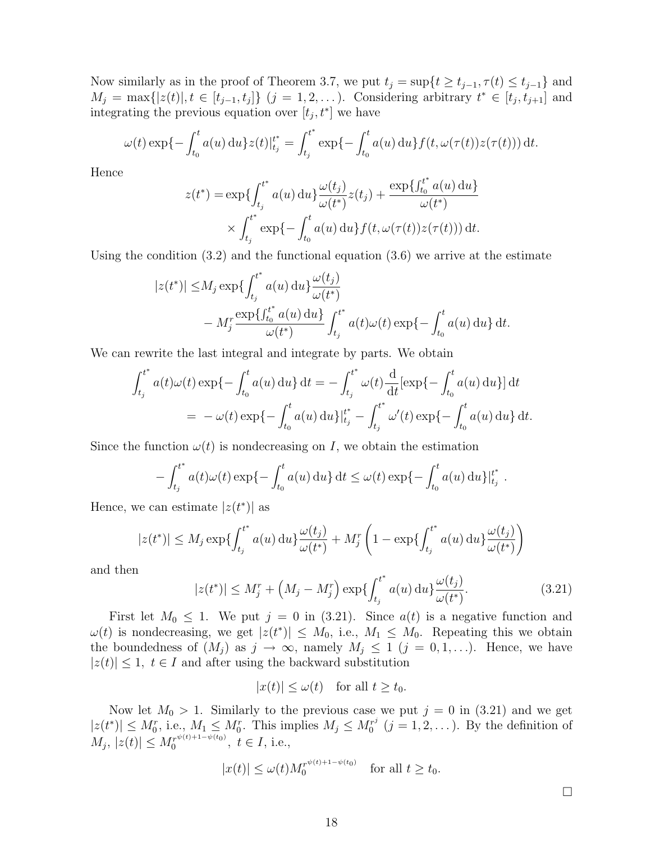Now similarly as in the proof of Theorem 3.7, we put  $t_j = \sup\{t \ge t_{j-1}, \tau(t) \le t_{j-1}\}\$ and  $M_j = \max\{|z(t)|, t \in [t_{j-1}, t_j]\}$   $(j = 1, 2, ...)$ . Considering arbitrary  $t^* \in [t_j, t_{j+1}]$  and integrating the previous equation over  $[t_j, t^*]$  we have

$$
\omega(t) \exp\{-\int_{t_0}^t a(u) \, \mathrm{d}u\} z(t) \Big|_{t_j}^{t^*} = \int_{t_j}^{t^*} \exp\{-\int_{t_0}^t a(u) \, \mathrm{d}u\} f(t, \omega(\tau(t)) z(\tau(t))) \, \mathrm{d}t.
$$

Hence

$$
z(t^*) = \exp\left\{\int_{t_j}^{t^*} a(u) \, \mathrm{d}u\right\} \frac{\omega(t_j)}{\omega(t^*)} z(t_j) + \frac{\exp\left\{\int_{t_0}^{t^*} a(u) \, \mathrm{d}u\right\}}{\omega(t^*)}
$$

$$
\times \int_{t_j}^{t^*} \exp\left\{-\int_{t_0}^t a(u) \, \mathrm{d}u\right\} f(t, \omega(\tau(t)) z(\tau(t))) \, \mathrm{d}t.
$$

Using the condition  $(3.2)$  and the functional equation  $(3.6)$  we arrive at the estimate

$$
|z(t^*)| \le M_j \exp\left\{ \int_{t_j}^{t^*} a(u) du \right\} \frac{\omega(t_j)}{\omega(t^*)} - M_j^r \frac{\exp\left\{ \int_{t_0}^{t^*} a(u) du \right\}}{\omega(t^*)} \int_{t_j}^{t^*} a(t) \omega(t) \exp\left\{ - \int_{t_0}^t a(u) du \right\} dt.
$$

We can rewrite the last integral and integrate by parts. We obtain

$$
\int_{t_j}^{t^*} a(t)\omega(t) \exp\{-\int_{t_0}^t a(u) \, \mathrm{d}u\} \, \mathrm{d}t = -\int_{t_j}^{t^*} \omega(t) \frac{\mathrm{d}}{\mathrm{d}t} [\exp\{-\int_{t_0}^t a(u) \, \mathrm{d}u\}] \, \mathrm{d}t
$$
\n
$$
= -\omega(t) \exp\{-\int_{t_0}^t a(u) \, \mathrm{d}u\} \Big|_{t_j}^{t^*} - \int_{t_j}^{t^*} \omega'(t) \exp\{-\int_{t_0}^t a(u) \, \mathrm{d}u\} \, \mathrm{d}t.
$$

Since the function  $\omega(t)$  is nondecreasing on I, we obtain the estimation

$$
-\int_{t_j}^{t^*} a(t)\omega(t) \exp\{-\int_{t_0}^t a(u) \, \mathrm{d}u\} \, \mathrm{d}t \leq \omega(t) \exp\{-\int_{t_0}^t a(u) \, \mathrm{d}u\} \big|_{t_j}^{t^*}.
$$

Hence, we can estimate  $|z(t^*)|$  as

$$
|z(t^*)| \le M_j \exp\left\{ \int_{t_j}^{t^*} a(u) \, \mathrm{d}u \right\} \frac{\omega(t_j)}{\omega(t^*)} + M_j^r \left( 1 - \exp\left\{ \int_{t_j}^{t^*} a(u) \, \mathrm{d}u \right\} \frac{\omega(t_j)}{\omega(t^*)} \right)
$$

and then

$$
|z(t^*)| \le M_j^r + \left(M_j - M_j^r\right) \exp\left\{\int_{t_j}^{t^*} a(u) \, \mathrm{d}u\right\} \frac{\omega(t_j)}{\omega(t^*)}.\tag{3.21}
$$

First let  $M_0 \leq 1$ . We put  $j = 0$  in (3.21). Since  $a(t)$  is a negative function and  $\omega(t)$  is nondecreasing, we get  $|z(t^*)| \leq M_0$ , i.e.,  $M_1 \leq M_0$ . Repeating this we obtain the boundedness of  $(M_j)$  as  $j \to \infty$ , namely  $M_j \leq 1$   $(j = 0, 1, \ldots)$ . Hence, we have  $|z(t)| \leq 1$ ,  $t \in I$  and after using the backward substitution

$$
|x(t)| \le \omega(t) \quad \text{for all } t \ge t_0.
$$

Now let  $M_0 > 1$ . Similarly to the previous case we put  $j = 0$  in (3.21) and we get  $|z(t^*)| \leq M_0^r$ , i.e.,  $M_1 \leq M_0^r$ . This implies  $M_j \leq M_0^{r^j}$  $j_0^{r^j}$   $(j = 1, 2, ...)$ . By the definition of  $|M_j, |z(t)| \leq M_0^{r^{\psi(t)+1-\psi(t_0)}}$  $t_0^{\tau_{\mathcal{F}}^{\psi(t)+1-\psi(t_0)}}, t \in I$ , i.e.,

$$
|x(t)| \le \omega(t) M_0^{r^{\psi(t)+1-\psi(t_0)}} \quad \text{for all } t \ge t_0.
$$

 $\Box$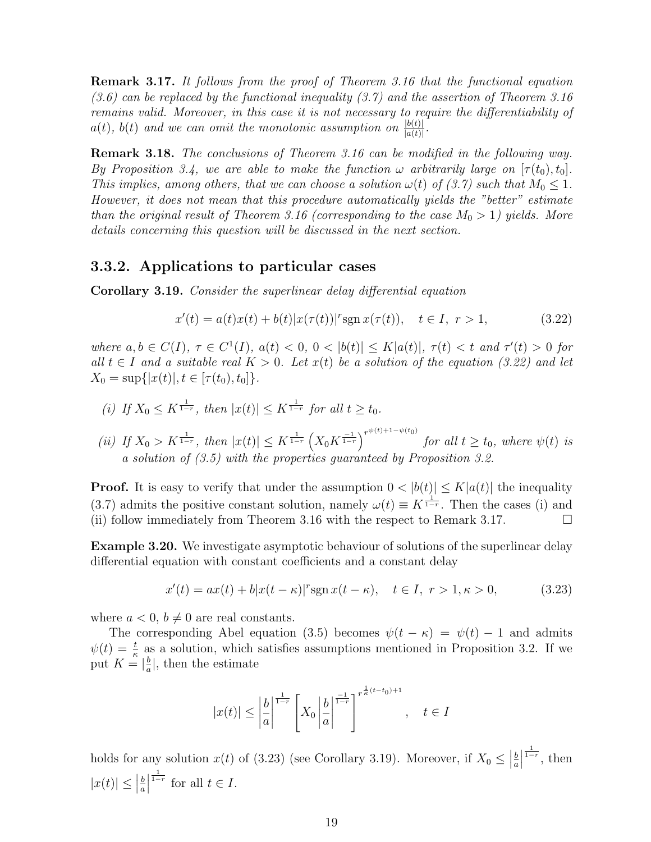Remark 3.17. It follows from the proof of Theorem 3.16 that the functional equation  $(3.6)$  can be replaced by the functional inequality  $(3.7)$  and the assertion of Theorem 3.16 remains valid. Moreover, in this case it is not necessary to require the differentiability of  $a(t)$ ,  $b(t)$  and we can omit the monotonic assumption on  $\frac{|b(t)|}{|a(t)|}$ .

Remark 3.18. The conclusions of Theorem 3.16 can be modified in the following way. By Proposition 3.4, we are able to make the function  $\omega$  arbitrarily large on  $[\tau(t_0), t_0]$ . This implies, among others, that we can choose a solution  $\omega(t)$  of (3.7) such that  $M_0 \leq 1$ . However, it does not mean that this procedure automatically yields the "better" estimate than the original result of Theorem 3.16 (corresponding to the case  $M_0 > 1$ ) yields. More details concerning this question will be discussed in the next section.

#### 3.3.2. Applications to particular cases

Corollary 3.19. Consider the superlinear delay differential equation

$$
x'(t) = a(t)x(t) + b(t)|x(\tau(t))|^{r} \operatorname{sgn} x(\tau(t)), \quad t \in I, r > 1,
$$
\n(3.22)

where  $a, b \in C(I), \tau \in C^{1}(I), a(t) < 0, 0 < |b(t)| \leq K |a(t)|, \tau(t) < t$  and  $\tau'(t) > 0$  for all  $t \in I$  and a suitable real  $K > 0$ . Let  $x(t)$  be a solution of the equation (3.22) and let  $X_0 = \sup\{|x(t)|, t \in [\tau(t_0), t_0]\}.$ 

(i) If 
$$
X_0 \le K^{\frac{1}{1-r}}
$$
, then  $|x(t)| \le K^{\frac{1}{1-r}}$  for all  $t \ge t_0$ .

(ii) If  $X_0 > K^{\frac{1}{1-r}}$ , then  $|x(t)| \leq K^{\frac{1}{1-r}} \left( X_0 K^{\frac{-1}{1-r}} \right)^{r^{\psi(t)+1-\psi(t_0)}}$  for all  $t \geq t_0$ , where  $\psi(t)$  is a solution of (3.5) with the properties guaranteed by Proposition 3.2.

**Proof.** It is easy to verify that under the assumption  $0 < |b(t)| \leq K|a(t)|$  the inequality (3.7) admits the positive constant solution, namely  $\omega(t) \equiv K^{\frac{1}{1-r}}$ . Then the cases (i) and (ii) follow immediately from Theorem 3.16 with the respect to Remark 3.17.  $\Box$ 

Example 3.20. We investigate asymptotic behaviour of solutions of the superlinear delay differential equation with constant coefficients and a constant delay

$$
x'(t) = ax(t) + b|x(t - \kappa)|^r \operatorname{sgn} x(t - \kappa), \quad t \in I, \ r > 1, \kappa > 0,
$$
 (3.23)

where  $a < 0, b \neq 0$  are real constants.

The corresponding Abel equation (3.5) becomes  $\psi(t - \kappa) = \psi(t) - 1$  and admits  $\psi(t) = \frac{t}{\kappa}$  as a solution, which satisfies assumptions mentioned in Proposition 3.2. If we put  $K = \begin{bmatrix} \frac{b}{a} \end{bmatrix}$  $\frac{b}{a}$ , then the estimate

$$
|x(t)| \le \left|\frac{b}{a}\right|^{\frac{1}{1-r}} \left[X_0 \left|\frac{b}{a}\right|^{\frac{-1}{1-r}}\right]^{r^{\frac{1}{k}(t-t_0)+1}}, \quad t \in I
$$

holds for any solution  $x(t)$  of (3.23) (see Corollary 3.19). Moreover, if  $X_0 \leq$ b a  $\frac{1}{1-r}$ , then  $|x(t)| \leq$ b a  $\begin{array}{c} \n\end{array}$  $\frac{1}{1-r}$  for all  $t \in I$ .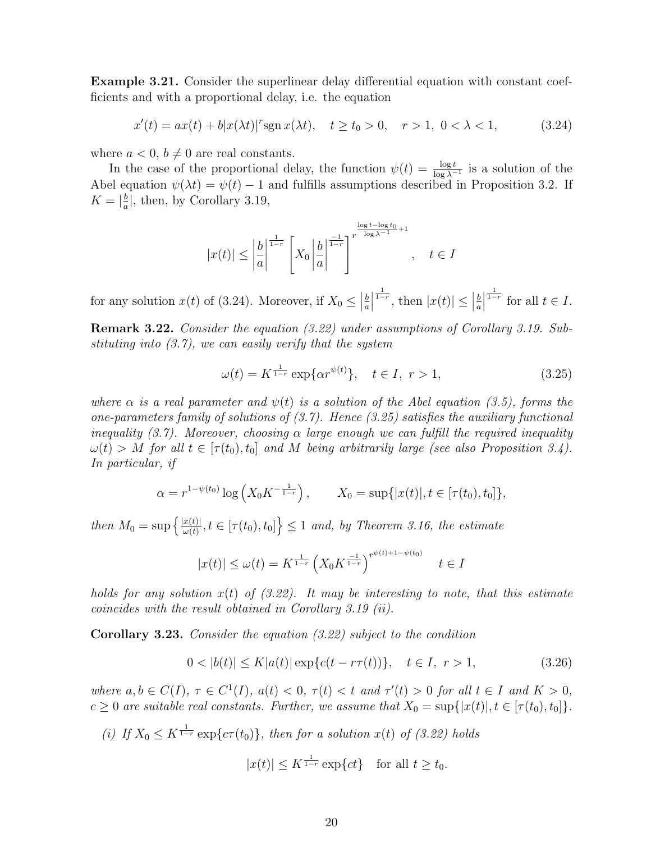Example 3.21. Consider the superlinear delay differential equation with constant coefficients and with a proportional delay, i.e. the equation

$$
x'(t) = ax(t) + b|x(\lambda t)|^r \operatorname{sgn} x(\lambda t), \quad t \ge t_0 > 0, \quad r > 1, \ 0 < \lambda < 1,
$$
 (3.24)

where  $a < 0, b \neq 0$  are real constants.

In the case of the proportional delay, the function  $\psi(t) = \frac{\log t}{\log \lambda^{-1}}$  is a solution of the Abel equation  $\psi(\lambda t) = \psi(t) - 1$  and fulfills assumptions described in Proposition 3.2. If  $K = \left| \frac{b}{a} \right|$  $\frac{b}{a}$ , then, by Corollary 3.19,

$$
|x(t)| \le \left| \frac{b}{a} \right|^{\frac{1}{1-r}} \left[ X_0 \left| \frac{b}{a} \right|^{\frac{-1}{1-r}} \right]^{r^{\frac{\log t - \log t_0}{\log \lambda - 1} + 1}}, \quad t \in I
$$

for any solution  $x(t)$  of (3.24). Moreover, if  $X_0 \leq$ b a  $\begin{array}{c} \begin{array}{c} \begin{array}{c} \end{array} \\ \begin{array}{c} \end{array} \end{array} \end{array}$  $\frac{1}{1-r}$ , then  $|x(t)| \leq$ b a  $\frac{1}{1-r}$  for all  $t \in I$ .

Remark 3.22. Consider the equation (3.22) under assumptions of Corollary 3.19. Substituting into  $(3.7)$ , we can easily verify that the system

$$
\omega(t) = K^{\frac{1}{1-r}} \exp\{\alpha r^{\psi(t)}\}, \quad t \in I, \ r > 1,\tag{3.25}
$$

where  $\alpha$  is a real parameter and  $\psi(t)$  is a solution of the Abel equation (3.5), forms the one-parameters family of solutions of  $(3.7)$ . Hence  $(3.25)$  satisfies the auxiliary functional inequality (3.7). Moreover, choosing  $\alpha$  large enough we can fulfill the required inequality  $\omega(t) > M$  for all  $t \in [\tau(t_0), t_0]$  and M being arbitrarily large (see also Proposition 3.4). In particular, if

$$
\alpha = r^{1-\psi(t_0)} \log \left( X_0 K^{-\frac{1}{1-r}} \right), \qquad X_0 = \sup \{ |x(t)|, t \in [\tau(t_0), t_0] \},
$$

then  $M_0 = \sup \left\{ \frac{|x(t)|}{\omega(t)} \right\}$  $\left\{\frac{x(t)}{w(t)}, t \in [\tau(t_0), t_0]\right\} \leq 1$  and, by Theorem 3.16, the estimate

$$
|x(t)| \le \omega(t) = K^{\frac{1}{1-r}} \left( X_0 K^{\frac{-1}{1-r}} \right)^{r^{\psi(t)+1-\psi(t_0)}} \quad t \in I
$$

holds for any solution  $x(t)$  of (3.22). It may be interesting to note, that this estimate coincides with the result obtained in Corollary 3.19 (ii).

Corollary 3.23. Consider the equation (3.22) subject to the condition

$$
0 < |b(t)| \le K|a(t)| \exp\{c(t - r\tau(t))\}, \quad t \in I, \ r > 1,\tag{3.26}
$$

where  $a, b \in C(I)$ ,  $\tau \in C^1(I)$ ,  $a(t) < 0$ ,  $\tau(t) < t$  and  $\tau'(t) > 0$  for all  $t \in I$  and  $K > 0$ ,  $c \geq 0$  are suitable real constants. Further, we assume that  $X_0 = \sup\{|x(t)|, t \in [\tau(t_0), t_0]\}.$ 

(i) If  $X_0 \n\t\le K^{\frac{1}{1-r}} \exp\{c\tau(t_0)\}\$ , then for a solution  $x(t)$  of (3.22) holds

$$
|x(t)| \le K^{\frac{1}{1-r}} \exp\{ct\} \quad \text{for all } t \ge t_0.
$$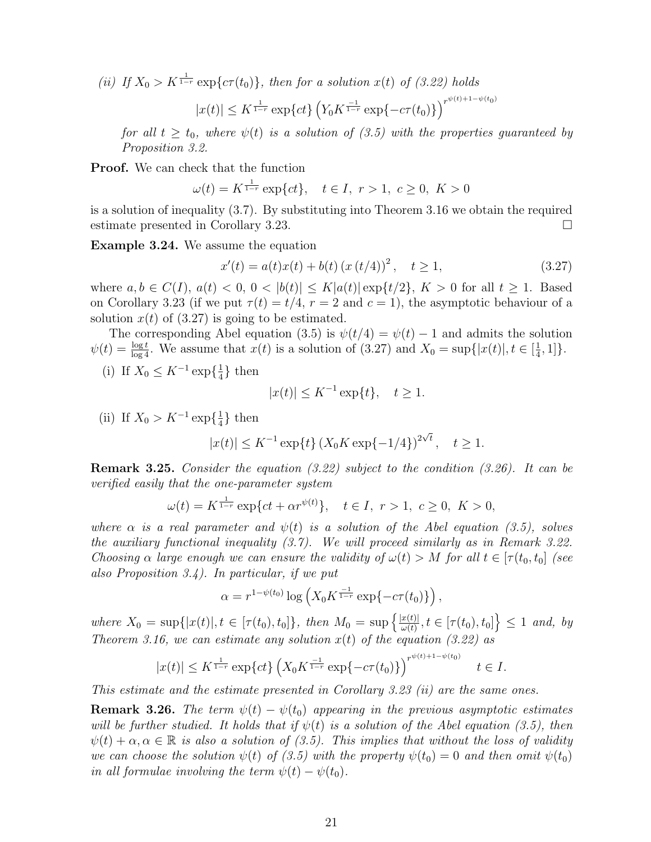(ii) If  $X_0 > K^{\frac{1}{1-r}} \exp\{c\tau(t_0)\}\$ , then for a solution  $x(t)$  of (3.22) holds

$$
|x(t)| \le K^{\frac{1}{1-r}} \exp\{ct\} \left(Y_0 K^{\frac{-1}{1-r}} \exp\{-c\tau(t_0)\}\right)^{r^{\psi(t)+1-\psi(t_0)}}
$$

for all  $t \geq t_0$ , where  $\psi(t)$  is a solution of (3.5) with the properties guaranteed by Proposition 3.2.

Proof. We can check that the function

$$
\omega(t) = K^{\frac{1}{1-r}} \exp\{ct\}, \quad t \in I, \ r > 1, \ c \ge 0, \ K > 0
$$

is a solution of inequality (3.7). By substituting into Theorem 3.16 we obtain the required estimate presented in Corollary 3.23.

Example 3.24. We assume the equation

$$
x'(t) = a(t)x(t) + b(t) (x (t/4))^{2}, \quad t \ge 1,
$$
\n(3.27)

where  $a, b \in C(I), a(t) < 0, 0 < |b(t)| \leq K |a(t)| \exp\{t/2\}, K > 0$  for all  $t \geq 1$ . Based on Corollary 3.23 (if we put  $\tau(t) = t/4$ ,  $r = 2$  and  $c = 1$ ), the asymptotic behaviour of a solution  $x(t)$  of (3.27) is going to be estimated.

The corresponding Abel equation (3.5) is  $\psi(t/4) = \psi(t) - 1$  and admits the solution  $\psi(t) = \frac{\log t}{\log 4}$ . We assume that  $x(t)$  is a solution of (3.27) and  $X_0 = \sup\{|x(t)|, t \in [\frac{1}{4}]$  $\frac{1}{4}, 1]$ .

(i) If  $X_0 \text{ ≤ } K^{-1} \exp\{\frac{1}{4}\}$  $\frac{1}{4}$  then

$$
|x(t)| \le K^{-1} \exp\{t\}, \quad t \ge 1.
$$

(ii) If  $X_0 > K^{-1} \exp\{\frac{1}{4}\}$  $\frac{1}{4}$  then

$$
|x(t)| \le K^{-1} \exp\{t\} (X_0 K \exp\{-1/4\})^{2\sqrt{t}}, \quad t \ge 1.
$$

**Remark 3.25.** Consider the equation  $(3.22)$  subject to the condition  $(3.26)$ . It can be verified easily that the one-parameter system

$$
\omega(t) = K^{\frac{1}{1-r}} \exp\{ct + \alpha r^{\psi(t)}\}, \quad t \in I, \ r > 1, \ c \ge 0, \ K > 0,
$$

where  $\alpha$  is a real parameter and  $\psi(t)$  is a solution of the Abel equation (3.5), solves the auxiliary functional inequality (3.7). We will proceed similarly as in Remark 3.22. Choosing  $\alpha$  large enough we can ensure the validity of  $\omega(t) > M$  for all  $t \in [\tau(t_0, t_0)]$  (see also Proposition 3.4). In particular, if we put

$$
\alpha = r^{1 - \psi(t_0)} \log \left( X_0 K^{\frac{-1}{1 - r}} \exp\{-c\tau(t_0) \} \right),
$$

where  $X_0 = \sup\{|x(t)|, t \in [\tau(t_0), t_0]\},\$  then  $M_0 = \sup\{\frac{|x(t)|}{\omega(t)}\}$  $\left\{\frac{x(t)}{\omega(t)}, t \in [\tau(t_0), t_0]\right\} \leq 1$  and, by Theorem 3.16, we can estimate any solution  $x(t)$  of the equation (3.22) as

$$
|x(t)| \leq K^{\frac{1}{1-r}} \exp\{ct\} \left( X_0 K^{\frac{-1}{1-r}} \exp\{-c\tau(t_0)\} \right)^{r^{\psi(t)+1-\psi(t_0)}} \quad t \in I.
$$

This estimate and the estimate presented in Corollary 3.23 (ii) are the same ones.

**Remark 3.26.** The term  $\psi(t) - \psi(t_0)$  appearing in the previous asymptotic estimates will be further studied. It holds that if  $\psi(t)$  is a solution of the Abel equation (3.5), then  $\psi(t) + \alpha, \alpha \in \mathbb{R}$  is also a solution of (3.5). This implies that without the loss of validity we can choose the solution  $\psi(t)$  of (3.5) with the property  $\psi(t_0) = 0$  and then omit  $\psi(t_0)$ in all formulae involving the term  $\psi(t) - \psi(t_0)$ .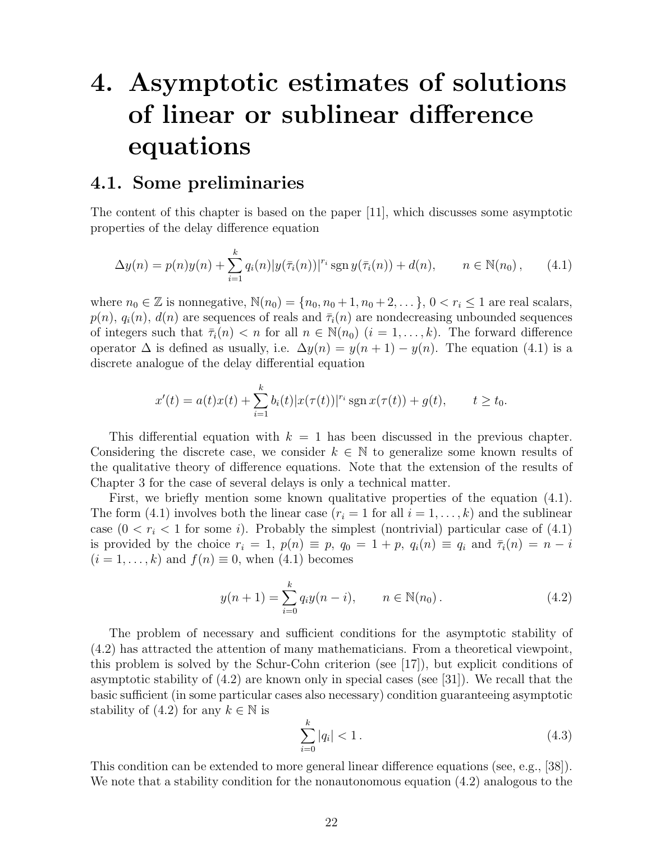# 4. Asymptotic estimates of solutions of linear or sublinear difference equations

## 4.1. Some preliminaries

The content of this chapter is based on the paper [11], which discusses some asymptotic properties of the delay difference equation

$$
\Delta y(n) = p(n)y(n) + \sum_{i=1}^{k} q_i(n)|y(\bar{\tau}_i(n))|^{r_i} \operatorname{sgn} y(\bar{\tau}_i(n)) + d(n), \qquad n \in \mathbb{N}(n_0), \qquad (4.1)
$$

where  $n_0 \in \mathbb{Z}$  is nonnegative,  $\mathbb{N}(n_0) = \{n_0, n_0 + 1, n_0 + 2, \dots\}$ ,  $0 < r_i \leq 1$  are real scalars,  $p(n)$ ,  $q_i(n)$ ,  $d(n)$  are sequences of reals and  $\bar{\tau}_i(n)$  are nondecreasing unbounded sequences of integers such that  $\bar{\tau}_i(n) < n$  for all  $n \in \mathbb{N}(n_0)$   $(i = 1, \ldots, k)$ . The forward difference operator  $\Delta$  is defined as usually, i.e.  $\Delta y(n) = y(n+1) - y(n)$ . The equation (4.1) is a discrete analogue of the delay differential equation

$$
x'(t) = a(t)x(t) + \sum_{i=1}^{k} b_i(t)|x(\tau(t))|^{r_i} \operatorname{sgn} x(\tau(t)) + g(t), \qquad t \ge t_0.
$$

This differential equation with  $k = 1$  has been discussed in the previous chapter. Considering the discrete case, we consider  $k \in \mathbb{N}$  to generalize some known results of the qualitative theory of difference equations. Note that the extension of the results of Chapter 3 for the case of several delays is only a technical matter.

First, we briefly mention some known qualitative properties of the equation (4.1). The form (4.1) involves both the linear case  $(r_i = 1$  for all  $i = 1, \ldots, k$  and the sublinear case  $(0 < r_i < 1$  for some *i*). Probably the simplest (nontrivial) particular case of  $(4.1)$ is provided by the choice  $r_i = 1$ ,  $p(n) \equiv p$ ,  $q_0 = 1 + p$ ,  $q_i(n) \equiv q_i$  and  $\bar{\tau}_i(n) = n - i$  $(i = 1, \ldots, k)$  and  $f(n) \equiv 0$ , when (4.1) becomes

$$
y(n+1) = \sum_{i=0}^{k} q_i y(n-i), \qquad n \in \mathbb{N}(n_0).
$$
 (4.2)

The problem of necessary and sufficient conditions for the asymptotic stability of (4.2) has attracted the attention of many mathematicians. From a theoretical viewpoint, this problem is solved by the Schur-Cohn criterion (see [17]), but explicit conditions of asymptotic stability of  $(4.2)$  are known only in special cases (see [31]). We recall that the basic sufficient (in some particular cases also necessary) condition guaranteeing asymptotic stability of (4.2) for any  $k \in \mathbb{N}$  is

$$
\sum_{i=0}^{k} |q_i| < 1. \tag{4.3}
$$

This condition can be extended to more general linear difference equations (see, e.g., [38]). We note that a stability condition for the nonautonomous equation (4.2) analogous to the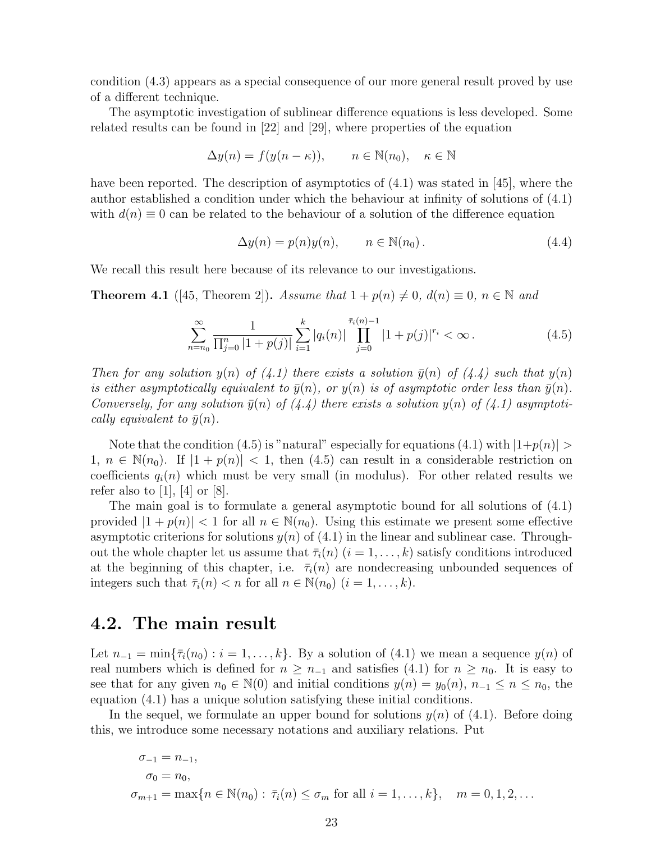condition (4.3) appears as a special consequence of our more general result proved by use of a different technique.

The asymptotic investigation of sublinear difference equations is less developed. Some related results can be found in [22] and [29], where properties of the equation

$$
\Delta y(n) = f(y(n - \kappa)), \qquad n \in \mathbb{N}(n_0), \quad \kappa \in \mathbb{N}
$$

have been reported. The description of asymptotics of (4.1) was stated in [45], where the author established a condition under which the behaviour at infinity of solutions of (4.1) with  $d(n) \equiv 0$  can be related to the behaviour of a solution of the difference equation

$$
\Delta y(n) = p(n)y(n), \qquad n \in \mathbb{N}(n_0).
$$
\n(4.4)

We recall this result here because of its relevance to our investigations.

**Theorem 4.1** ([45, Theorem 2]). Assume that  $1 + p(n) \neq 0$ ,  $d(n) \equiv 0$ ,  $n \in \mathbb{N}$  and

$$
\sum_{n=n_0}^{\infty} \frac{1}{\prod_{j=0}^n |1 + p(j)|} \sum_{i=1}^k |q_i(n)| \prod_{j=0}^{\bar{\tau}_i(n)-1} |1 + p(j)|^{r_i} < \infty.
$$
 (4.5)

Then for any solution  $y(n)$  of  $(4.1)$  there exists a solution  $\bar{y}(n)$  of  $(4.4)$  such that  $y(n)$ is either asymptotically equivalent to  $\bar{y}(n)$ , or  $y(n)$  is of asymptotic order less than  $\bar{y}(n)$ . Conversely, for any solution  $\bar{y}(n)$  of  $(4.4)$  there exists a solution  $y(n)$  of  $(4.1)$  asymptotically equivalent to  $\bar{y}(n)$ .

Note that the condition (4.5) is "natural" especially for equations (4.1) with  $|1+p(n)| >$ 1,  $n \in \mathbb{N}(n_0)$ . If  $|1 + p(n)| < 1$ , then (4.5) can result in a considerable restriction on coefficients  $q_i(n)$  which must be very small (in modulus). For other related results we refer also to [1], [4] or [8].

The main goal is to formulate a general asymptotic bound for all solutions of (4.1) provided  $|1 + p(n)| < 1$  for all  $n \in \mathbb{N}(n_0)$ . Using this estimate we present some effective asymptotic criterions for solutions  $y(n)$  of  $(4.1)$  in the linear and sublinear case. Throughout the whole chapter let us assume that  $\bar{\tau}_i(n)$   $(i = 1, \ldots, k)$  satisfy conditions introduced at the beginning of this chapter, i.e.  $\bar{\tau}_i(n)$  are nondecreasing unbounded sequences of integers such that  $\bar{\tau}_i(n) < n$  for all  $n \in \mathbb{N}(n_0)$   $(i = 1, \ldots, k)$ .

### 4.2. The main result

Let  $n_{-1} = \min\{\overline{\tau}_i(n_0): i = 1, \ldots, k\}$ . By a solution of (4.1) we mean a sequence  $y(n)$  of real numbers which is defined for  $n \geq n_{-1}$  and satisfies (4.1) for  $n \geq n_0$ . It is easy to see that for any given  $n_0 \in \mathbb{N}(0)$  and initial conditions  $y(n) = y_0(n)$ ,  $n_{-1} \leq n \leq n_0$ , the equation (4.1) has a unique solution satisfying these initial conditions.

In the sequel, we formulate an upper bound for solutions  $y(n)$  of (4.1). Before doing this, we introduce some necessary notations and auxiliary relations. Put

$$
\sigma_{-1} = n_{-1},
$$
  
\n
$$
\sigma_0 = n_0,
$$
  
\n
$$
\sigma_{m+1} = \max\{n \in \mathbb{N}(n_0) : \bar{\tau}_i(n) \le \sigma_m \text{ for all } i = 1, ..., k\}, \quad m = 0, 1, 2, ...
$$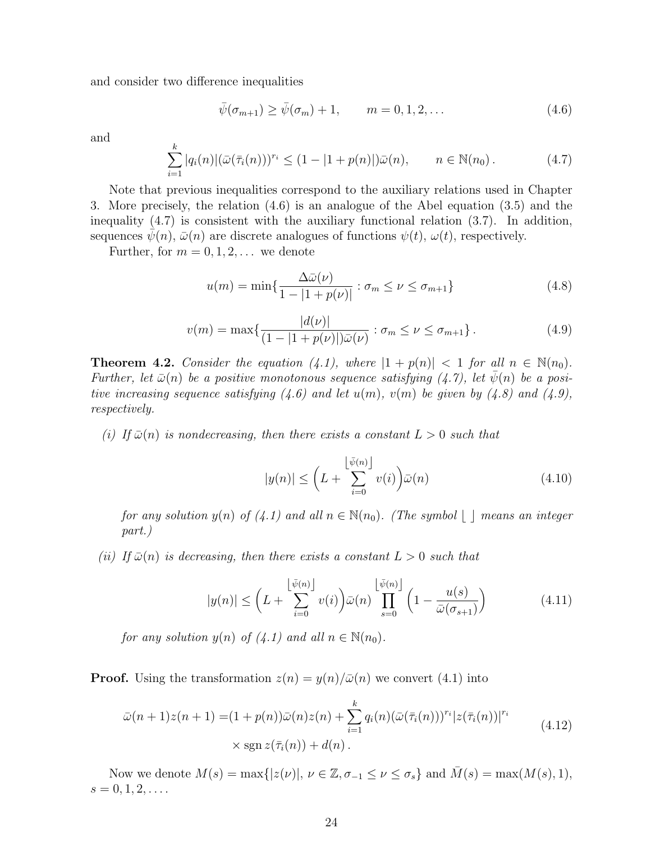and consider two difference inequalities

$$
\bar{\psi}(\sigma_{m+1}) \ge \bar{\psi}(\sigma_m) + 1, \qquad m = 0, 1, 2, ...
$$
\n(4.6)

and

$$
\sum_{i=1}^{k} |q_i(n)| (\bar{\omega}(\bar{\tau}_i(n)))^{r_i} \le (1 - |1 + p(n)|) \bar{\omega}(n), \qquad n \in \mathbb{N}(n_0).
$$
 (4.7)

Note that previous inequalities correspond to the auxiliary relations used in Chapter 3. More precisely, the relation (4.6) is an analogue of the Abel equation (3.5) and the inequality (4.7) is consistent with the auxiliary functional relation (3.7). In addition, sequences  $\psi(n)$ ,  $\bar{\omega}(n)$  are discrete analogues of functions  $\psi(t)$ ,  $\omega(t)$ , respectively.

Further, for  $m = 0, 1, 2, \ldots$  we denote

$$
u(m) = \min\left\{\frac{\Delta\bar{\omega}(\nu)}{1 - |1 + p(\nu)|} : \sigma_m \le \nu \le \sigma_{m+1}\right\} \tag{4.8}
$$

$$
v(m) = \max\{\frac{|d(\nu)|}{(1 - |1 + p(\nu)|)\bar{\omega}(\nu)} : \sigma_m \le \nu \le \sigma_{m+1}\}.
$$
 (4.9)

**Theorem 4.2.** Consider the equation (4.1), where  $|1 + p(n)| < 1$  for all  $n \in \mathbb{N}(n_0)$ . Further, let  $\bar{\omega}(n)$  be a positive monotonous sequence satisfying  $(4.7)$ , let  $\psi(n)$  be a positive increasing sequence satisfying  $(4.6)$  and let  $u(m)$ ,  $v(m)$  be given by  $(4.8)$  and  $(4.9)$ , respectively.

(i) If  $\bar{\omega}(n)$  is nondecreasing, then there exists a constant  $L > 0$  such that

$$
|y(n)| \le \left(L + \sum_{i=0}^{\left\lfloor \bar{\psi}(n) \right\rfloor} v(i) \right) \bar{\omega}(n) \tag{4.10}
$$

for any solution  $y(n)$  of (4.1) and all  $n \in \mathbb{N}(n_0)$ . (The symbol  $\lfloor \ \rfloor$  means an integer part.)

(ii) If  $\bar{\omega}(n)$  is decreasing, then there exists a constant  $L > 0$  such that

$$
|y(n)| \le \left(L + \sum_{i=0}^{\left\lfloor \bar{\psi}(n) \right\rfloor} v(i) \right) \bar{\omega}(n) \prod_{s=0}^{\left\lfloor \bar{\psi}(n) \right\rfloor} \left(1 - \frac{u(s)}{\bar{\omega}(\sigma_{s+1})} \right) \tag{4.11}
$$

for any solution  $y(n)$  of  $(4.1)$  and all  $n \in \mathbb{N}(n_0)$ .

**Proof.** Using the transformation  $z(n) = y(n)/\overline{\omega}(n)$  we convert (4.1) into

$$
\bar{\omega}(n+1)z(n+1) = (1+p(n))\bar{\omega}(n)z(n) + \sum_{i=1}^{k} q_i(n)(\bar{\omega}(\bar{\tau}_i(n)))^{r_i}|z(\bar{\tau}_i(n))|^{r_i}
$$
  
× sgn  $z(\bar{\tau}_i(n)) + d(n)$ . (4.12)

Now we denote  $M(s) = \max\{|z(\nu)|, \nu \in \mathbb{Z}, \sigma_{-1} \leq \nu \leq \sigma_s\}$  and  $\overline{M}(s) = \max(M(s), 1),$  $s = 0, 1, 2, \ldots$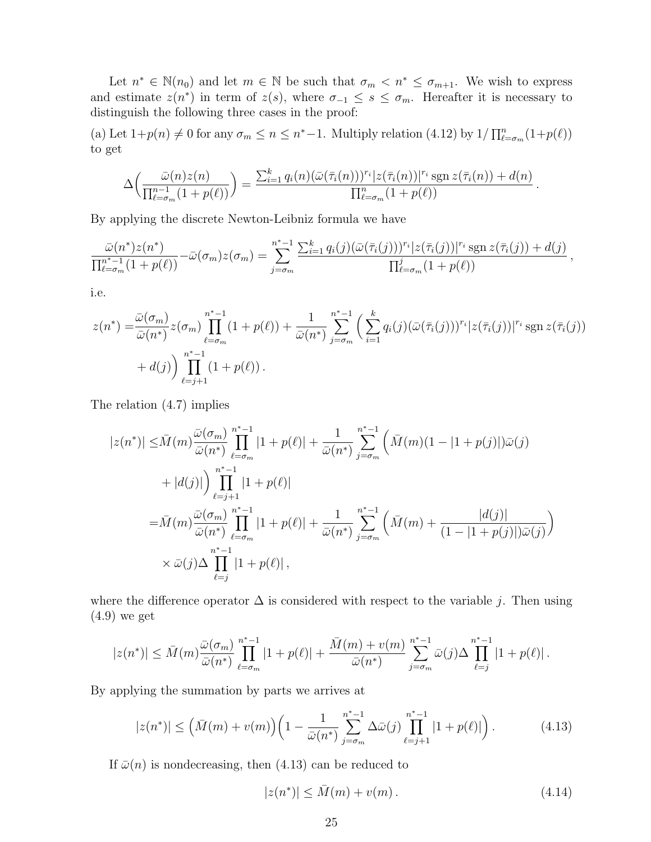Let  $n^* \in \mathbb{N}(n_0)$  and let  $m \in \mathbb{N}$  be such that  $\sigma_m < n^* \leq \sigma_{m+1}$ . We wish to express and estimate  $z(n^*)$  in term of  $z(s)$ , where  $\sigma_{-1} \leq s \leq \sigma_m$ . Hereafter it is necessary to distinguish the following three cases in the proof:

(a) Let  $1+p(n) \neq 0$  for any  $\sigma_m \leq n \leq n^*-1$ . Multiply relation (4.12) by  $1/\prod_{\ell=\sigma_m}^{n}(1+p(\ell))$ to get

$$
\Delta\left(\frac{\bar{\omega}(n)z(n)}{\prod_{\ell=\sigma_m}^{n-1}(1+p(\ell))}\right)=\frac{\sum_{i=1}^k q_i(n)(\bar{\omega}(\bar{\tau}_i(n)))^{r_i}|z(\bar{\tau}_i(n))|^{r_i}\operatorname{sgn} z(\bar{\tau}_i(n))+d(n)}{\prod_{\ell=\sigma_m}^{n}(1+p(\ell))}.
$$

By applying the discrete Newton-Leibniz formula we have

$$
\frac{\bar{\omega}(n^*)z(n^*)}{\prod_{\ell=\sigma_m}^{n^*-1}(1+p(\ell))} - \bar{\omega}(\sigma_m)z(\sigma_m) = \sum_{j=\sigma_m}^{n^*-1} \frac{\sum_{i=1}^k q_i(j)(\bar{\omega}(\bar{\tau}_i(j)))^{r_i} |z(\bar{\tau}_i(j))|^{r_i} \operatorname{sgn} z(\bar{\tau}_i(j)) + d(j)}{\prod_{\ell=\sigma_m}^{j}(1+p(\ell))},
$$

i.e.

$$
z(n^*) = \frac{\bar{\omega}(\sigma_m)}{\bar{\omega}(n^*)} z(\sigma_m) \prod_{\ell=\sigma_m}^{n^*-1} (1+p(\ell)) + \frac{1}{\bar{\omega}(n^*)} \sum_{j=\sigma_m}^{n^*-1} \left( \sum_{i=1}^k q_i(j) (\bar{\omega}(\bar{\tau}_i(j)))^{r_i} |z(\bar{\tau}_i(j))|^{r_i} \operatorname{sgn} z(\bar{\tau}_i(j)) + d(j) \right) \prod_{\ell=j+1}^{n^*-1} (1+p(\ell)).
$$

The relation (4.7) implies

$$
|z(n^*)| \leq \bar{M}(m) \frac{\bar{\omega}(\sigma_m)}{\bar{\omega}(n^*)} \prod_{\ell=\sigma_m}^{n^*-1} |1 + p(\ell)| + \frac{1}{\bar{\omega}(n^*)} \sum_{j=\sigma_m}^{n^*-1} \left( \bar{M}(m)(1 - |1 + p(j)|) \bar{\omega}(j) \right. + |d(j)| \prod_{\ell=j+1}^{n^*-1} |1 + p(\ell)| = \bar{M}(m) \frac{\bar{\omega}(\sigma_m)}{\bar{\omega}(n^*)} \prod_{\ell=\sigma_m}^{n^*-1} |1 + p(\ell)| + \frac{1}{\bar{\omega}(n^*)} \sum_{j=\sigma_m}^{n^*-1} \left( \bar{M}(m) + \frac{|d(j)|}{(1 - |1 + p(j)|) \bar{\omega}(j)} \right) \times \bar{\omega}(j) \Delta \prod_{\ell=j}^{n^*-1} |1 + p(\ell)|,
$$

where the difference operator  $\Delta$  is considered with respect to the variable j. Then using (4.9) we get

$$
|z(n^*)| \leq \bar{M}(m) \frac{\bar{\omega}(\sigma_m)}{\bar{\omega}(n^*)} \prod_{\ell=\sigma_m}^{n^*-1} |1 + p(\ell)| + \frac{\bar{M}(m) + v(m)}{\bar{\omega}(n^*)} \sum_{j=\sigma_m}^{n^*-1} \bar{\omega}(j) \Delta \prod_{\ell=j}^{n^*-1} |1 + p(\ell)|.
$$

By applying the summation by parts we arrives at

$$
|z(n^*)| \leq (\bar{M}(m) + v(m)) \left(1 - \frac{1}{\bar{\omega}(n^*)} \sum_{j=\sigma_m}^{n^*-1} \Delta \bar{\omega}(j) \prod_{\ell=j+1}^{n^*-1} |1 + p(\ell)| \right). \tag{4.13}
$$

If  $\bar{\omega}(n)$  is nondecreasing, then (4.13) can be reduced to

$$
|z(n^*)| \le \bar{M}(m) + v(m). \tag{4.14}
$$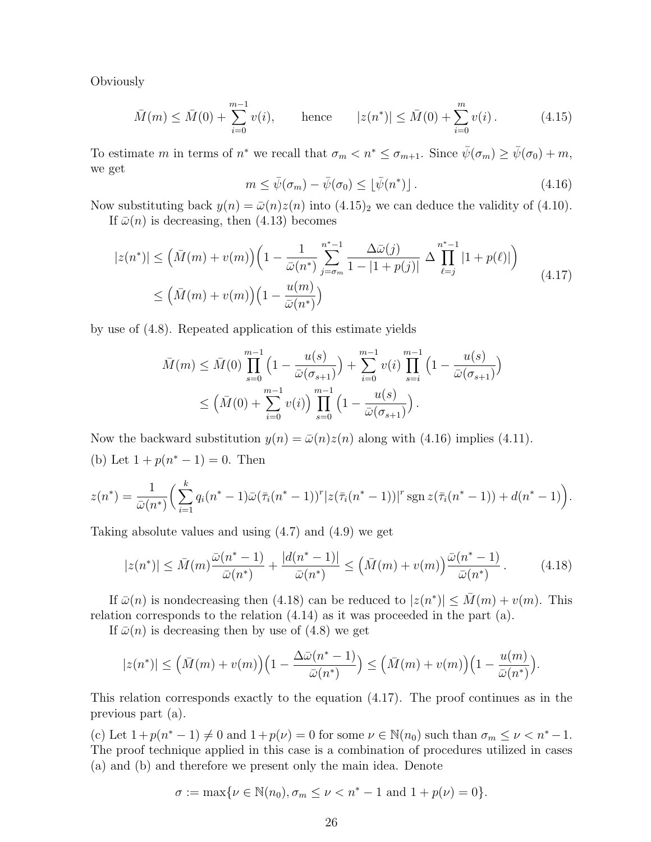**Obviously** 

$$
\bar{M}(m) \le \bar{M}(0) + \sum_{i=0}^{m-1} v(i), \qquad \text{hence} \qquad |z(n^*)| \le \bar{M}(0) + \sum_{i=0}^{m} v(i). \tag{4.15}
$$

To estimate m in terms of  $n^*$  we recall that  $\sigma_m < n^* \leq \sigma_{m+1}$ . Since  $\bar{\psi}(\sigma_m) \geq \bar{\psi}(\sigma_0) + m$ , we get

$$
m \leq \bar{\psi}(\sigma_m) - \bar{\psi}(\sigma_0) \leq \lfloor \bar{\psi}(n^*) \rfloor.
$$
 (4.16)

Now substituting back  $y(n) = \bar{\omega}(n)z(n)$  into  $(4.15)_2$  we can deduce the validity of  $(4.10)$ .

If  $\bar{\omega}(n)$  is decreasing, then (4.13) becomes

$$
|z(n^*)| \leq (\bar{M}(m) + v(m)) \left(1 - \frac{1}{\bar{\omega}(n^*)} \sum_{j=\sigma_m}^{n^*-1} \frac{\Delta \bar{\omega}(j)}{1 - |1 + p(j)|} \Delta \prod_{\ell=j}^{n^*-1} |1 + p(\ell)|\right)
$$
  
 
$$
\leq (\bar{M}(m) + v(m)) \left(1 - \frac{u(m)}{\bar{\omega}(n^*)}\right)
$$
 (4.17)

by use of (4.8). Repeated application of this estimate yields

$$
\bar{M}(m) \leq \bar{M}(0) \prod_{s=0}^{m-1} \left(1 - \frac{u(s)}{\bar{\omega}(\sigma_{s+1})}\right) + \sum_{i=0}^{m-1} v(i) \prod_{s=i}^{m-1} \left(1 - \frac{u(s)}{\bar{\omega}(\sigma_{s+1})}\right)
$$

$$
\leq \left(\bar{M}(0) + \sum_{i=0}^{m-1} v(i)\right) \prod_{s=0}^{m-1} \left(1 - \frac{u(s)}{\bar{\omega}(\sigma_{s+1})}\right).
$$

Now the backward substitution  $y(n) = \bar{\omega}(n)z(n)$  along with (4.16) implies (4.11). (b) Let  $1 + p(n^* - 1) = 0$ . Then

$$
z(n^*) = \frac{1}{\bar{\omega}(n^*)} \left( \sum_{i=1}^k q_i(n^* - 1) \bar{\omega} (\bar{\tau}_i(n^* - 1))^r |z(\bar{\tau}_i(n^* - 1))|^r \operatorname{sgn} z(\bar{\tau}_i(n^* - 1)) + d(n^* - 1) \right).
$$

Taking absolute values and using (4.7) and (4.9) we get

$$
|z(n^*)| \le \bar{M}(m)\frac{\bar{\omega}(n^*-1)}{\bar{\omega}(n^*)} + \frac{|d(n^*-1)|}{\bar{\omega}(n^*)} \le (\bar{M}(m) + v(m))\frac{\bar{\omega}(n^*-1)}{\bar{\omega}(n^*)}.
$$
 (4.18)

If  $\bar{\omega}(n)$  is nondecreasing then (4.18) can be reduced to  $|z(n^*)| \leq \bar{M}(m) + v(m)$ . This relation corresponds to the relation (4.14) as it was proceeded in the part (a).

If  $\bar{\omega}(n)$  is decreasing then by use of (4.8) we get

$$
|z(n^*)| \leq \Big(\bar M(m) + v(m)\Big)\Big(1-\frac{\Delta\bar\omega(n^*-1)}{\bar\omega(n^*)}\Big) \leq \Big(\bar M(m) + v(m)\Big)\Big(1-\frac{u(m)}{\bar\omega(n^*)}\Big).
$$

This relation corresponds exactly to the equation (4.17). The proof continues as in the previous part (a).

(c) Let  $1 + p(n^* - 1) \neq 0$  and  $1 + p(\nu) = 0$  for some  $\nu \in \mathbb{N}(n_0)$  such than  $\sigma_m \leq \nu < n^* - 1$ . The proof technique applied in this case is a combination of procedures utilized in cases (a) and (b) and therefore we present only the main idea. Denote

$$
\sigma := \max \{ \nu \in \mathbb{N}(n_0), \sigma_m \le \nu < n^* - 1 \text{ and } 1 + p(\nu) = 0 \}.
$$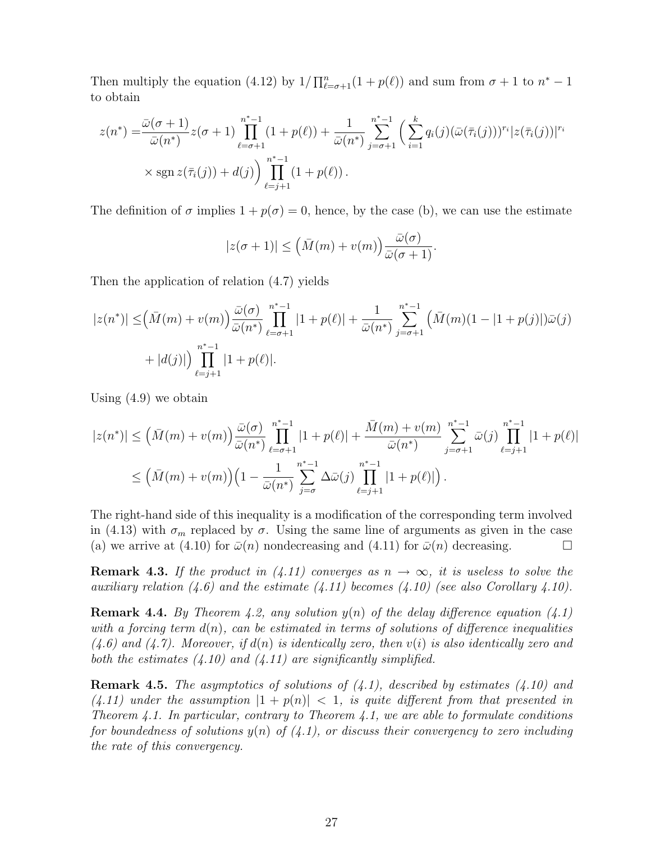Then multiply the equation (4.12) by  $1/\prod_{\ell=\sigma+1}^{n}(1 + p(\ell))$  and sum from  $\sigma + 1$  to  $n^* - 1$ to obtain

$$
z(n^*) = \frac{\bar{\omega}(\sigma+1)}{\bar{\omega}(n^*)} z(\sigma+1) \prod_{\ell=\sigma+1}^{n^*-1} (1+p(\ell)) + \frac{1}{\bar{\omega}(n^*)} \sum_{j=\sigma+1}^{n^*-1} \left( \sum_{i=1}^k q_i(j) (\bar{\omega}(\bar{\tau}_i(j)))^{r_i} |z(\bar{\tau}_i(j))|^{r_i} \right) \times \text{sgn} \, z(\bar{\tau}_i(j)) + d(j) \prod_{\ell=j+1}^{n^*-1} (1+p(\ell)).
$$

The definition of  $\sigma$  implies  $1 + p(\sigma) = 0$ , hence, by the case (b), we can use the estimate

$$
|z(\sigma+1)| \leq (\bar{M}(m)+v(m))\frac{\bar{\omega}(\sigma)}{\bar{\omega}(\sigma+1)}.
$$

Then the application of relation (4.7) yields

$$
|z(n^*)| \leq (\bar{M}(m) + v(m)) \frac{\bar{\omega}(\sigma)}{\bar{\omega}(n^*)} \prod_{\ell=\sigma+1}^{n^*-1} |1 + p(\ell)| + \frac{1}{\bar{\omega}(n^*)} \sum_{j=\sigma+1}^{n^*-1} (\bar{M}(m)(1 - |1 + p(j)|)\bar{\omega}(j) + |d(j)|) \prod_{\ell=j+1}^{n^*-1} |1 + p(\ell)|.
$$

Using (4.9) we obtain

$$
|z(n^*)| \leq (\bar{M}(m) + v(m)) \frac{\bar{\omega}(\sigma)}{\bar{\omega}(n^*)} \prod_{\ell=\sigma+1}^{n^*-1} |1 + p(\ell)| + \frac{\bar{M}(m) + v(m)}{\bar{\omega}(n^*)} \sum_{j=\sigma+1}^{n^*-1} \bar{\omega}(j) \prod_{\ell=j+1}^{n^*-1} |1 + p(\ell)|
$$
  

$$
\leq (\bar{M}(m) + v(m)) \Big( 1 - \frac{1}{\bar{\omega}(n^*)} \sum_{j=\sigma}^{n^*-1} \Delta \bar{\omega}(j) \prod_{\ell=j+1}^{n^*-1} |1 + p(\ell)| \Big).
$$

The right-hand side of this inequality is a modification of the corresponding term involved in (4.13) with  $\sigma_m$  replaced by  $\sigma$ . Using the same line of arguments as given in the case (a) we arrive at (4.10) for  $\bar{\omega}(n)$  nondecreasing and (4.11) for  $\bar{\omega}(n)$  decreasing.

**Remark 4.3.** If the product in (4.11) converges as  $n \to \infty$ , it is useless to solve the auxiliary relation (4.6) and the estimate (4.11) becomes (4.10) (see also Corollary 4.10).

**Remark 4.4.** By Theorem 4.2, any solution  $y(n)$  of the delay difference equation  $(4.1)$ with a forcing term  $d(n)$ , can be estimated in terms of solutions of difference inequalities  $(4.6)$  and  $(4.7)$ . Moreover, if  $d(n)$  is identically zero, then  $v(i)$  is also identically zero and both the estimates  $(4.10)$  and  $(4.11)$  are significantly simplified.

**Remark 4.5.** The asymptotics of solutions of  $(4.1)$ , described by estimates  $(4.10)$  and  $(4.11)$  under the assumption  $|1 + p(n)| < 1$ , is quite different from that presented in Theorem 4.1. In particular, contrary to Theorem 4.1, we are able to formulate conditions for boundedness of solutions  $y(n)$  of  $(4.1)$ , or discuss their convergency to zero including the rate of this convergency.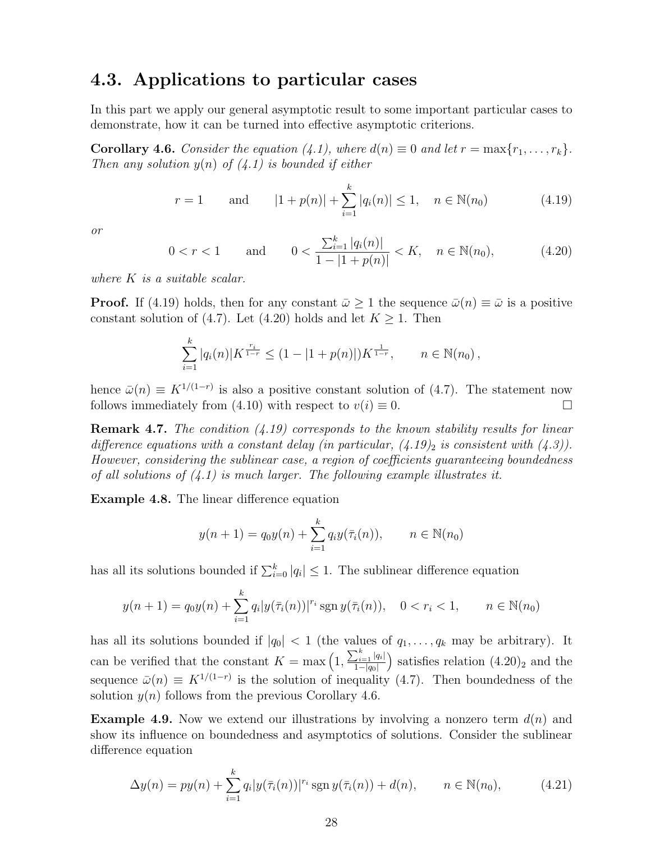### 4.3. Applications to particular cases

In this part we apply our general asymptotic result to some important particular cases to demonstrate, how it can be turned into effective asymptotic criterions.

**Corollary 4.6.** Consider the equation (4.1), where  $d(n) \equiv 0$  and let  $r = \max\{r_1, \ldots, r_k\}$ . Then any solution  $y(n)$  of  $(4.1)$  is bounded if either

$$
r = 1
$$
 and  $|1 + p(n)| + \sum_{i=1}^{k} |q_i(n)| \le 1, \quad n \in \mathbb{N}(n_0)$  (4.19)

or

$$
0 < r < 1 \qquad \text{and} \qquad 0 < \frac{\sum_{i=1}^{k} |q_i(n)|}{1 - |1 + p(n)|} < K, \quad n \in \mathbb{N}(n_0), \tag{4.20}
$$

where K is a suitable scalar.

**Proof.** If (4.19) holds, then for any constant  $\bar{\omega} \ge 1$  the sequence  $\bar{\omega}(n) \equiv \bar{\omega}$  is a positive constant solution of (4.7). Let (4.20) holds and let  $K \geq 1$ . Then

$$
\sum_{i=1}^k |q_i(n)| K^{\frac{r_i}{1-r}} \le (1 - |1 + p(n)|) K^{\frac{1}{1-r}}, \qquad n \in \mathbb{N}(n_0),
$$

hence  $\bar{\omega}(n) \equiv K^{1/(1-r)}$  is also a positive constant solution of (4.7). The statement now follows immediately from (4.10) with respect to  $v(i) \equiv 0$ .

**Remark 4.7.** The condition  $(4.19)$  corresponds to the known stability results for linear difference equations with a constant delay (in particular,  $(4.19)$ ) is consistent with  $(4.3)$ ). However, considering the sublinear case, a region of coefficients guaranteeing boundedness of all solutions of  $(4.1)$  is much larger. The following example illustrates it.

Example 4.8. The linear difference equation

$$
y(n + 1) = q_0 y(n) + \sum_{i=1}^{k} q_i y(\bar{\tau}_i(n)), \qquad n \in \mathbb{N}(n_0)
$$

has all its solutions bounded if  $\sum_{i=0}^{k} |q_i| \leq 1$ . The sublinear difference equation

$$
y(n+1) = q_0 y(n) + \sum_{i=1}^k q_i |y(\bar{\tau}_i(n))|^{r_i} \operatorname{sgn} y(\bar{\tau}_i(n)), \quad 0 < r_i < 1, \qquad n \in \mathbb{N}(n_0)
$$

has all its solutions bounded if  $|q_0| < 1$  (the values of  $q_1, \ldots, q_k$  may be arbitrary). It can be verified that the constant  $K = \max\left(1, \frac{\sum_{i=1}^{k} |q_i|}{1-|\alpha|}\right)$  $1-|q_0|$ ) satisfies relation  $(4.20)_2$  and the sequence  $\bar{\omega}(n) \equiv K^{1/(1-r)}$  is the solution of inequality (4.7). Then boundedness of the solution  $y(n)$  follows from the previous Corollary 4.6.

**Example 4.9.** Now we extend our illustrations by involving a nonzero term  $d(n)$  and show its influence on boundedness and asymptotics of solutions. Consider the sublinear difference equation

$$
\Delta y(n) = py(n) + \sum_{i=1}^{k} q_i |y(\bar{\tau}_i(n))|^{r_i} \operatorname{sgn} y(\bar{\tau}_i(n)) + d(n), \qquad n \in \mathbb{N}(n_0), \tag{4.21}
$$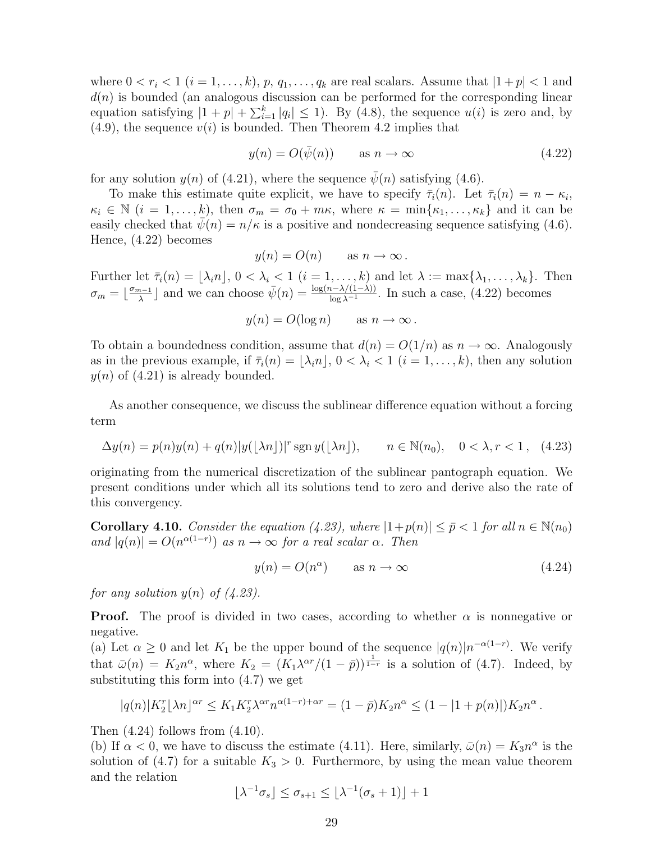where  $0 < r_i < 1$   $(i = 1, \ldots, k)$ ,  $p, q_1, \ldots, q_k$  are real scalars. Assume that  $|1 + p| < 1$  and  $d(n)$  is bounded (an analogous discussion can be performed for the corresponding linear equation satisfying  $|1 + p| + \sum_{i=1}^{k} |q_i| \le 1$ . By (4.8), the sequence  $u(i)$  is zero and, by  $(4.9)$ , the sequence  $v(i)$  is bounded. Then Theorem 4.2 implies that

$$
y(n) = O(\bar{\psi}(n)) \qquad \text{as } n \to \infty \tag{4.22}
$$

for any solution  $y(n)$  of (4.21), where the sequence  $\bar{\psi}(n)$  satisfying (4.6).

To make this estimate quite explicit, we have to specify  $\bar{\tau}_i(n)$ . Let  $\bar{\tau}_i(n) = n - \kappa_i$ ,  $\kappa_i \in \mathbb{N}$   $(i = 1, \ldots, k)$ , then  $\sigma_m = \sigma_0 + m\kappa$ , where  $\kappa = \min\{\kappa_1, \ldots, \kappa_k\}$  and it can be easily checked that  $\bar{\psi}(n) = n/\kappa$  is a positive and nondecreasing sequence satisfying (4.6). Hence, (4.22) becomes

$$
y(n) = O(n)
$$
 as  $n \to \infty$ .

Further let  $\bar{\tau}_i(n) = [\lambda_i n], 0 < \lambda_i < 1$   $(i = 1, \ldots, k)$  and let  $\lambda := \max{\lambda_1, \ldots, \lambda_k}$ . Then  $\sigma_m = \left\lfloor \frac{\sigma_{m-1}}{\lambda} \right\rfloor$  $\bar{\psi}(n) = \frac{\log(n-\lambda/(1-\lambda))}{\log \lambda^{-1}}$ . In such a case, (4.22) becomes

$$
y(n) = O(\log n)
$$
 as  $n \to \infty$ .

To obtain a boundedness condition, assume that  $d(n) = O(1/n)$  as  $n \to \infty$ . Analogously as in the previous example, if  $\bar{\tau}_i(n) = [\lambda_i n], 0 < \lambda_i < 1$   $(i = 1, \ldots, k)$ , then any solution  $y(n)$  of (4.21) is already bounded.

As another consequence, we discuss the sublinear difference equation without a forcing term

$$
\Delta y(n) = p(n)y(n) + q(n)|y(\lfloor \lambda n \rfloor)|^r \operatorname{sgn} y(\lfloor \lambda n \rfloor), \qquad n \in \mathbb{N}(n_0), \quad 0 < \lambda, r < 1,\tag{4.23}
$$

originating from the numerical discretization of the sublinear pantograph equation. We present conditions under which all its solutions tend to zero and derive also the rate of this convergency.

**Corollary 4.10.** Consider the equation (4.23), where  $|1+p(n)| \leq \bar{p} \leq 1$  for all  $n \in \mathbb{N}(n_0)$ and  $|q(n)| = O(n^{\alpha(1-r)})$  as  $n \to \infty$  for a real scalar  $\alpha$ . Then

$$
y(n) = O(n^{\alpha}) \qquad \text{as } n \to \infty \tag{4.24}
$$

for any solution  $y(n)$  of  $(4.23)$ .

**Proof.** The proof is divided in two cases, according to whether  $\alpha$  is nonnegative or negative.

(a) Let  $\alpha \geq 0$  and let  $K_1$  be the upper bound of the sequence  $|q(n)|n^{-\alpha(1-r)}$ . We verify that  $\bar{\omega}(n) = K_2 n^{\alpha}$ , where  $K_2 = (K_1 \lambda^{\alpha r}/(1-\bar{p}))^{\frac{1}{1-r}}$  is a solution of (4.7). Indeed, by substituting this form into (4.7) we get

$$
|q(n)|K_2^r \lfloor \lambda n \rfloor^{\alpha r} \le K_1 K_2^r \lambda^{\alpha r} n^{\alpha(1-r)+\alpha r} = (1-\bar{p})K_2 n^{\alpha} \le (1-|1+p(n)|)K_2 n^{\alpha}.
$$

Then  $(4.24)$  follows from  $(4.10)$ .

(b) If  $\alpha < 0$ , we have to discuss the estimate (4.11). Here, similarly,  $\bar{\omega}(n) = K_3 n^{\alpha}$  is the solution of (4.7) for a suitable  $K_3 > 0$ . Furthermore, by using the mean value theorem and the relation

$$
\lfloor \lambda^{-1} \sigma_s \rfloor \le \sigma_{s+1} \le \lfloor \lambda^{-1} (\sigma_s + 1) \rfloor + 1
$$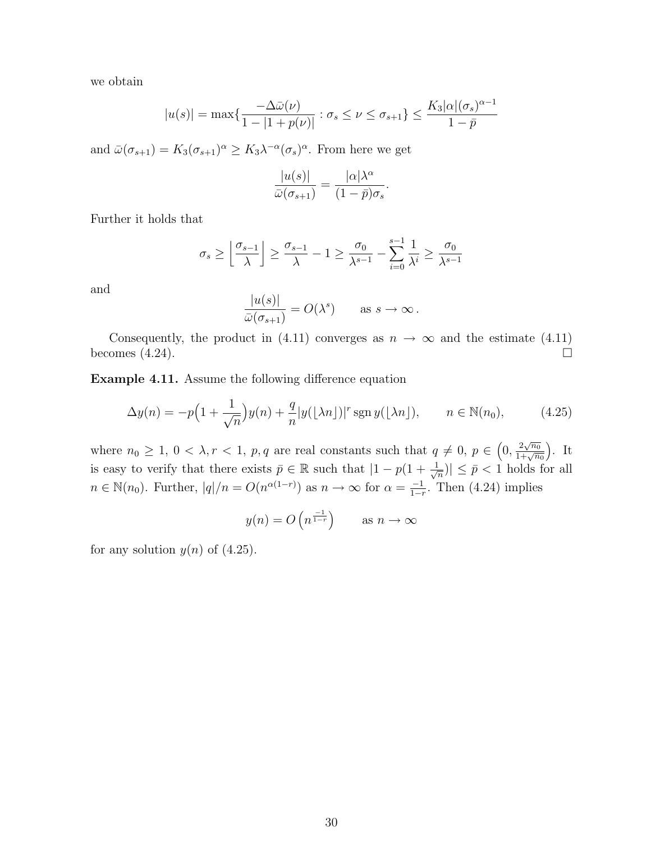we obtain

$$
|u(s)| = \max\left\{\frac{-\Delta\bar{\omega}(\nu)}{1 - |1 + p(\nu)|} : \sigma_s \le \nu \le \sigma_{s+1}\right\} \le \frac{K_3|\alpha|(\sigma_s)^{\alpha - 1}}{1 - \bar{p}}
$$

and  $\bar{\omega}(\sigma_{s+1}) = K_3(\sigma_{s+1})^{\alpha} \geq K_3 \lambda^{-\alpha} (\sigma_s)^{\alpha}$ . From here we get

$$
\frac{|u(s)|}{\bar{\omega}(\sigma_{s+1})} = \frac{|\alpha|\lambda^{\alpha}}{(1-\bar{p})\sigma_s}
$$

.

Further it holds that

$$
\sigma_s \ge \left\lfloor \frac{\sigma_{s-1}}{\lambda} \right\rfloor \ge \frac{\sigma_{s-1}}{\lambda} - 1 \ge \frac{\sigma_0}{\lambda^{s-1}} - \sum_{i=0}^{s-1} \frac{1}{\lambda^i} \ge \frac{\sigma_0}{\lambda^{s-1}}
$$

and

$$
\frac{|u(s)|}{\bar{\omega}(\sigma_{s+1})} = O(\lambda^s) \quad \text{as } s \to \infty.
$$

Consequently, the product in (4.11) converges as  $n \to \infty$  and the estimate (4.11) becomes  $(4.24)$ .

Example 4.11. Assume the following difference equation

$$
\Delta y(n) = -p\Big(1 + \frac{1}{\sqrt{n}}\Big)y(n) + \frac{q}{n}|y(\lfloor \lambda n \rfloor)|^r \operatorname{sgn} y(\lfloor \lambda n \rfloor), \qquad n \in \mathbb{N}(n_0),\tag{4.25}
$$

where  $n_0 \geq 1, 0 < \lambda, r < 1, p, q$  are real constants such that  $q \neq 0, p \in (0, \frac{2\sqrt{n_0}}{1+\sqrt{n}}]$  $\frac{2\sqrt{n_0}}{1+\sqrt{n_0}}$ . It is easy to verify that there exists  $\bar{p} \in \mathbb{R}$  such that  $|1 - p(1 + \frac{1}{\sqrt{n}})$  $\left| \frac{1}{n} \right| \leq \bar{p} < 1$  holds for all  $n \in \mathbb{N}(n_0)$ . Further,  $|q|/n = O(n^{\alpha(1-r)})$  as  $n \to \infty$  for  $\alpha = \frac{-1}{1-r}$  $\frac{-1}{1-r}$ . Then (4.24) implies

$$
y(n) = O\left(n^{\frac{-1}{1-r}}\right)
$$
 as  $n \to \infty$ 

for any solution  $y(n)$  of  $(4.25)$ .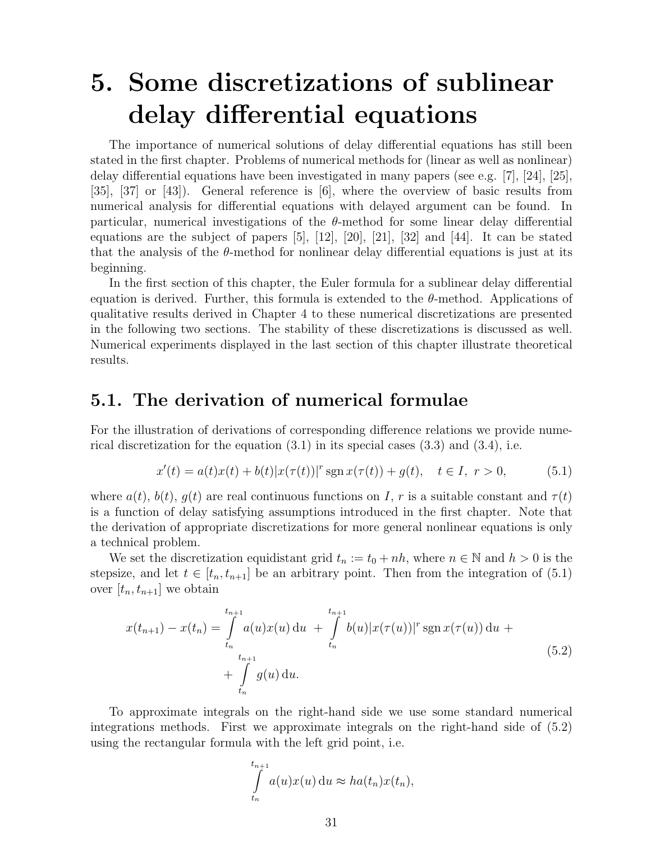## 5. Some discretizations of sublinear delay differential equations

The importance of numerical solutions of delay differential equations has still been stated in the first chapter. Problems of numerical methods for (linear as well as nonlinear) delay differential equations have been investigated in many papers (see e.g. [7], [24], [25], [35], [37] or [43]). General reference is [6], where the overview of basic results from numerical analysis for differential equations with delayed argument can be found. In particular, numerical investigations of the  $\theta$ -method for some linear delay differential equations are the subject of papers  $[5]$ ,  $[12]$ ,  $[20]$ ,  $[21]$ ,  $[32]$  and  $[44]$ . It can be stated that the analysis of the  $\theta$ -method for nonlinear delay differential equations is just at its beginning.

In the first section of this chapter, the Euler formula for a sublinear delay differential equation is derived. Further, this formula is extended to the  $\theta$ -method. Applications of qualitative results derived in Chapter 4 to these numerical discretizations are presented in the following two sections. The stability of these discretizations is discussed as well. Numerical experiments displayed in the last section of this chapter illustrate theoretical results.

## 5.1. The derivation of numerical formulae

For the illustration of derivations of corresponding difference relations we provide numerical discretization for the equation  $(3.1)$  in its special cases  $(3.3)$  and  $(3.4)$ , i.e.

$$
x'(t) = a(t)x(t) + b(t)|x(\tau(t))|^{r} \operatorname{sgn} x(\tau(t)) + g(t), \quad t \in I, r > 0,
$$
\n(5.1)

where  $a(t)$ ,  $b(t)$ ,  $g(t)$  are real continuous functions on I, r is a suitable constant and  $\tau(t)$ is a function of delay satisfying assumptions introduced in the first chapter. Note that the derivation of appropriate discretizations for more general nonlinear equations is only a technical problem.

We set the discretization equidistant grid  $t_n := t_0 + nh$ , where  $n \in \mathbb{N}$  and  $h > 0$  is the stepsize, and let  $t \in [t_n, t_{n+1}]$  be an arbitrary point. Then from the integration of  $(5.1)$ over  $[t_n, t_{n+1}]$  we obtain

$$
x(t_{n+1}) - x(t_n) = \int_{t_n}^{t_{n+1}} a(u)x(u) du + \int_{t_n}^{t_{n+1}} b(u)|x(\tau(u))|^r \operatorname{sgn} x(\tau(u)) du + \int_{t_n}^{t_{n+1}} g(u) du.
$$
\n(5.2)

To approximate integrals on the right-hand side we use some standard numerical integrations methods. First we approximate integrals on the right-hand side of (5.2) using the rectangular formula with the left grid point, i.e.

$$
\int_{t_n}^{t_{n+1}} a(u)x(u) \, \mathrm{d}u \approx ha(t_n)x(t_n),
$$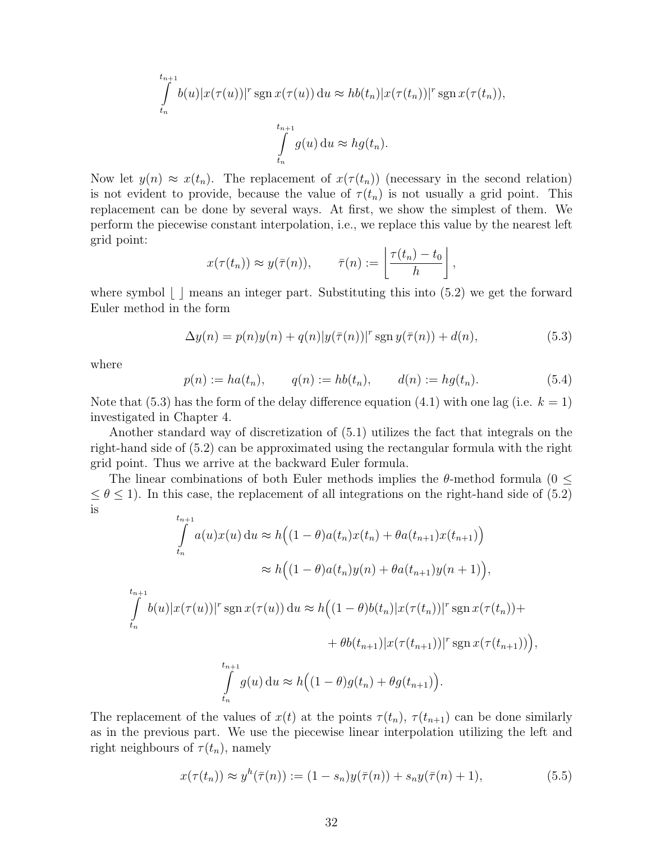$$
\int_{t_n}^{t_{n+1}} b(u)|x(\tau(u))|^{r} \operatorname{sgn} x(\tau(u)) du \approx hb(t_n)|x(\tau(t_n))|^{r} \operatorname{sgn} x(\tau(t_n)),
$$
  

$$
\int_{t_n}^{t_{n+1}} g(u) du \approx hg(t_n).
$$

Now let  $y(n) \approx x(t_n)$ . The replacement of  $x(\tau(t_n))$  (necessary in the second relation) is not evident to provide, because the value of  $\tau(t_n)$  is not usually a grid point. This replacement can be done by several ways. At first, we show the simplest of them. We perform the piecewise constant interpolation, i.e., we replace this value by the nearest left grid point:

$$
x(\tau(t_n)) \approx y(\bar{\tau}(n)), \qquad \bar{\tau}(n) := \left\lfloor \frac{\tau(t_n) - t_0}{h} \right\rfloor,
$$

where symbol  $\lfloor \ \rfloor$  means an integer part. Substituting this into (5.2) we get the forward Euler method in the form

$$
\Delta y(n) = p(n)y(n) + q(n)|y(\bar{\tau}(n))|^{r} \operatorname{sgn} y(\bar{\tau}(n)) + d(n), \tag{5.3}
$$

where

$$
p(n) := ha(t_n), \qquad q(n) := hb(t_n), \qquad d(n) := hg(t_n). \tag{5.4}
$$

Note that (5.3) has the form of the delay difference equation (4.1) with one lag (i.e.  $k = 1$ ) investigated in Chapter 4.

Another standard way of discretization of (5.1) utilizes the fact that integrals on the right-hand side of (5.2) can be approximated using the rectangular formula with the right grid point. Thus we arrive at the backward Euler formula.

The linear combinations of both Euler methods implies the  $\theta$ -method formula (0  $\leq$  $\leq \theta \leq 1$ ). In this case, the replacement of all integrations on the right-hand side of (5.2) is

$$
\int_{t_n}^{t_{n+1}} a(u)x(u) du \approx h((1 - \theta)a(t_n)x(t_n) + \theta a(t_{n+1})x(t_{n+1}))
$$
  
\n
$$
\approx h((1 - \theta)a(t_n)y(n) + \theta a(t_{n+1})y(n+1)),
$$
  
\n
$$
\int_{t_n}^{t_{n+1}} b(u)|x(\tau(u))|^r \operatorname{sgn} x(\tau(u)) du \approx h((1 - \theta)b(t_n)|x(\tau(t_n))|^r \operatorname{sgn} x(\tau(t_n)) +
$$
  
\n
$$
+ \theta b(t_{n+1})|x(\tau(t_{n+1}))|^r \operatorname{sgn} x(\tau(t_{n+1}))
$$
,  
\n
$$
\int_{t_n}^{t_{n+1}} g(u) du \approx h((1 - \theta)g(t_n) + \theta g(t_{n+1})).
$$

The replacement of the values of  $x(t)$  at the points  $\tau(t_n)$ ,  $\tau(t_{n+1})$  can be done similarly as in the previous part. We use the piecewise linear interpolation utilizing the left and right neighbours of  $\tau(t_n)$ , namely

$$
x(\tau(t_n)) \approx y^h(\bar{\tau}(n)) := (1 - s_n)y(\bar{\tau}(n)) + s_n y(\bar{\tau}(n)) + 1),
$$
\n(5.5)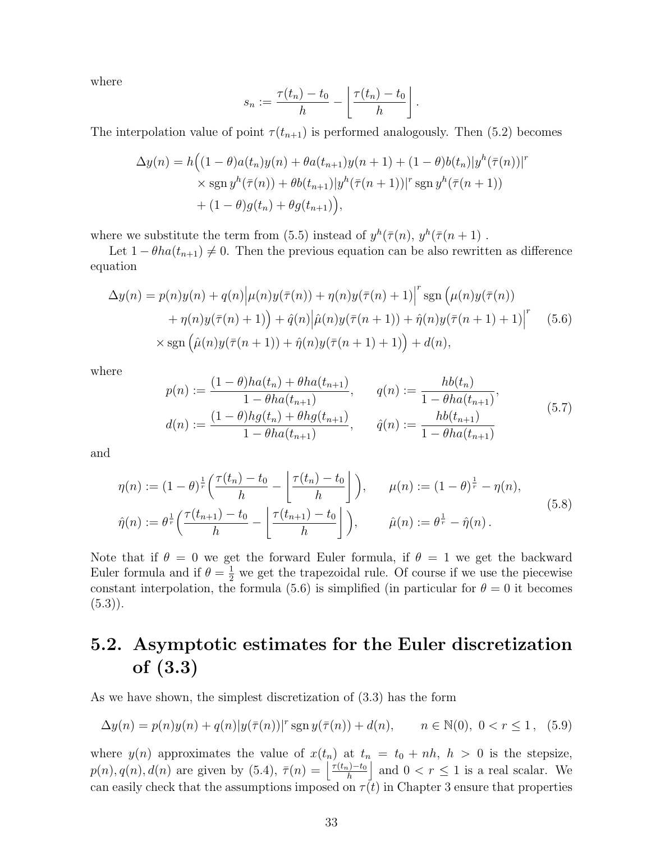where

$$
s_n := \frac{\tau(t_n) - t_0}{h} - \left\lfloor \frac{\tau(t_n) - t_0}{h} \right\rfloor.
$$

The interpolation value of point  $\tau(t_{n+1})$  is performed analogously. Then (5.2) becomes

$$
\Delta y(n) = h\Big((1-\theta)a(t_n)y(n) + \theta a(t_{n+1})y(n+1) + (1-\theta)b(t_n)|y^h(\bar{\tau}(n))|^r
$$
  
 
$$
\times \text{sgn } y^h(\bar{\tau}(n)) + \theta b(t_{n+1})|y^h(\bar{\tau}(n+1))|^r \text{sgn } y^h(\bar{\tau}(n+1))
$$
  
 
$$
+ (1-\theta)g(t_n) + \theta g(t_{n+1})\Big),
$$

where we substitute the term from (5.5) instead of  $y^h(\bar{\tau}(n), y^h(\bar{\tau}(n+1))$ .

Let  $1 - \theta ha(t_{n+1}) \neq 0$ . Then the previous equation can be also rewritten as difference equation

$$
\Delta y(n) = p(n)y(n) + q(n) \Big| \mu(n)y(\overline{\tau}(n)) + \eta(n)y(\overline{\tau}(n) + 1) \Big|^r \operatorname{sgn} \Big( \mu(n)y(\overline{\tau}(n)) + \eta(n)y(\overline{\tau}(n) + 1) \Big) + \hat{q}(n) \Big| \hat{\mu}(n)y(\overline{\tau}(n+1)) + \hat{\eta}(n)y(\overline{\tau}(n+1) + 1) \Big|^r \tag{5.6}
$$

$$
\times \operatorname{sgn} \Big( \hat{\mu}(n)y(\overline{\tau}(n+1)) + \hat{\eta}(n)y(\overline{\tau}(n+1) + 1) \Big) + d(n),
$$

where

$$
p(n) := \frac{(1 - \theta)ha(t_n) + \theta ha(t_{n+1})}{1 - \theta ha(t_{n+1})}, \qquad q(n) := \frac{hb(t_n)}{1 - \theta ha(t_{n+1})},
$$
  

$$
d(n) := \frac{(1 - \theta)hg(t_n) + \theta hg(t_{n+1})}{1 - \theta ha(t_{n+1})}, \qquad \hat{q}(n) := \frac{hb(t_{n+1})}{1 - \theta ha(t_{n+1})}
$$
(5.7)

and

$$
\eta(n) := (1 - \theta)^{\frac{1}{r}} \left( \frac{\tau(t_n) - t_0}{h} - \left[ \frac{\tau(t_n) - t_0}{h} \right] \right), \qquad \mu(n) := (1 - \theta)^{\frac{1}{r}} - \eta(n),
$$
  

$$
\hat{\eta}(n) := \theta^{\frac{1}{r}} \left( \frac{\tau(t_{n+1}) - t_0}{h} - \left[ \frac{\tau(t_{n+1}) - t_0}{h} \right] \right), \qquad \hat{\mu}(n) := \theta^{\frac{1}{r}} - \hat{\eta}(n).
$$
\n(5.8)

Note that if  $\theta = 0$  we get the forward Euler formula, if  $\theta = 1$  we get the backward Euler formula and if  $\theta = \frac{1}{2}$  we get the trapezoidal rule. Of course if we use the piecewise constant interpolation, the formula (5.6) is simplified (in particular for  $\theta = 0$  it becomes  $(5.3)$ .

## 5.2. Asymptotic estimates for the Euler discretization of (3.3)

As we have shown, the simplest discretization of (3.3) has the form

$$
\Delta y(n) = p(n)y(n) + q(n)|y(\bar{\tau}(n))|^{r} \operatorname{sgn} y(\bar{\tau}(n)) + d(n), \qquad n \in \mathbb{N}(0), \ 0 < r \le 1, \tag{5.9}
$$

where  $y(n)$  approximates the value of  $x(t_n)$  at  $t_n = t_0 + nh$ ,  $h > 0$  is the stepsize,  $p(n), q(n), d(n)$  are given by  $(5.4), \overline{\tau}(n) = \frac{\tau(t_n)-t_0}{h}$ h and  $0 < r \leq 1$  is a real scalar. We can easily check that the assumptions imposed on  $\tau(t)$  in Chapter 3 ensure that properties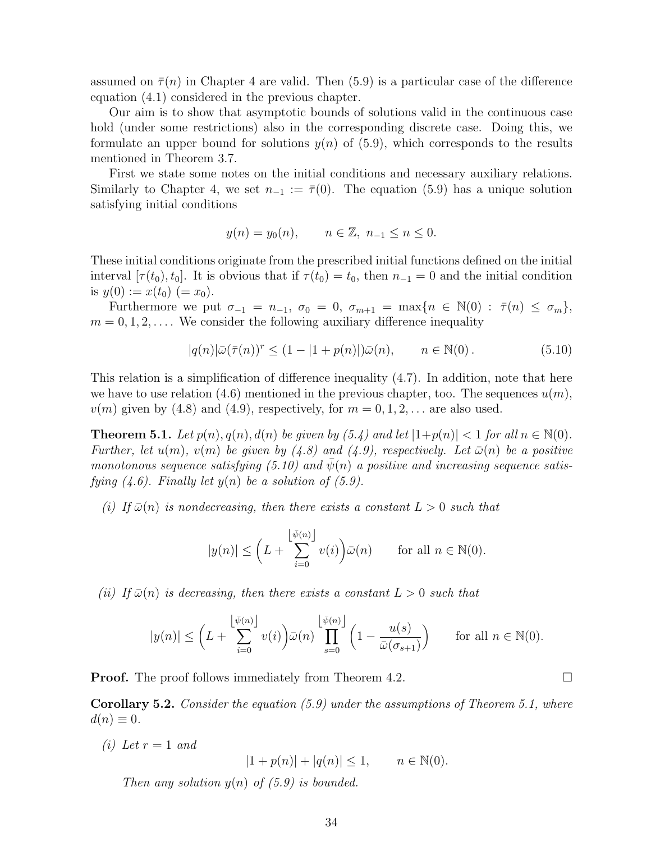assumed on  $\bar{\tau}(n)$  in Chapter 4 are valid. Then (5.9) is a particular case of the difference equation (4.1) considered in the previous chapter.

Our aim is to show that asymptotic bounds of solutions valid in the continuous case hold (under some restrictions) also in the corresponding discrete case. Doing this, we formulate an upper bound for solutions  $y(n)$  of (5.9), which corresponds to the results mentioned in Theorem 3.7.

First we state some notes on the initial conditions and necessary auxiliary relations. Similarly to Chapter 4, we set  $n_{-1} := \overline{\tau}(0)$ . The equation (5.9) has a unique solution satisfying initial conditions

$$
y(n) = y_0(n), \quad n \in \mathbb{Z}, n_{-1} \le n \le 0.
$$

These initial conditions originate from the prescribed initial functions defined on the initial interval  $[\tau(t_0), t_0]$ . It is obvious that if  $\tau(t_0) = t_0$ , then  $n_{-1} = 0$  and the initial condition is  $y(0) := x(t_0) (= x_0)$ .

Furthermore we put  $\sigma_{-1} = n_{-1}$ ,  $\sigma_0 = 0$ ,  $\sigma_{m+1} = \max\{n \in \mathbb{N}(0) : \overline{\tau}(n) \leq \sigma_m\},\$  $m = 0, 1, 2, \ldots$ . We consider the following auxiliary difference inequality

$$
|q(n)|\bar{\omega}(\bar{\tau}(n))^r \le (1 - |1 + p(n)|)\bar{\omega}(n), \qquad n \in \mathbb{N}(0).
$$
 (5.10)

This relation is a simplification of difference inequality (4.7). In addition, note that here we have to use relation (4.6) mentioned in the previous chapter, too. The sequences  $u(m)$ ,  $v(m)$  given by (4.8) and (4.9), respectively, for  $m = 0, 1, 2, \ldots$  are also used.

**Theorem 5.1.** Let  $p(n)$ ,  $q(n)$ ,  $d(n)$  be given by (5.4) and let  $|1+p(n)| < 1$  for all  $n \in \mathbb{N}(0)$ . Further, let  $u(m)$ ,  $v(m)$  be given by (4.8) and (4.9), respectively. Let  $\bar{\omega}(n)$  be a positive monotonous sequence satisfying (5.10) and  $\psi(n)$  a positive and increasing sequence satisfying  $(4.6)$ . Finally let  $y(n)$  be a solution of  $(5.9)$ .

(i) If  $\bar{\omega}(n)$  is nondecreasing, then there exists a constant  $L > 0$  such that

$$
|y(n)| \le \left( L + \sum_{i=0}^{\left\lfloor \bar{\psi}(n) \right\rfloor} v(i) \right) \bar{\omega}(n) \quad \text{for all } n \in \mathbb{N}(0).
$$

(ii) If  $\bar{\omega}(n)$  is decreasing, then there exists a constant  $L > 0$  such that

$$
|y(n)| \le \left( L + \sum_{i=0}^{\left\lfloor \bar{\psi}(n) \right\rfloor} v(i) \right) \bar{\omega}(n) \prod_{s=0}^{\left\lfloor \bar{\psi}(n) \right\rfloor} \left( 1 - \frac{u(s)}{\bar{\omega}(\sigma_{s+1})} \right) \quad \text{for all } n \in \mathbb{N}(0).
$$

**Proof.** The proof follows immediately from Theorem 4.2.

**Corollary 5.2.** Consider the equation  $(5.9)$  under the assumptions of Theorem 5.1, where  $d(n) \equiv 0.$ 

(i) Let  $r=1$  and

$$
|1 + p(n)| + |q(n)| \le 1, \qquad n \in \mathbb{N}(0).
$$

Then any solution  $y(n)$  of  $(5.9)$  is bounded.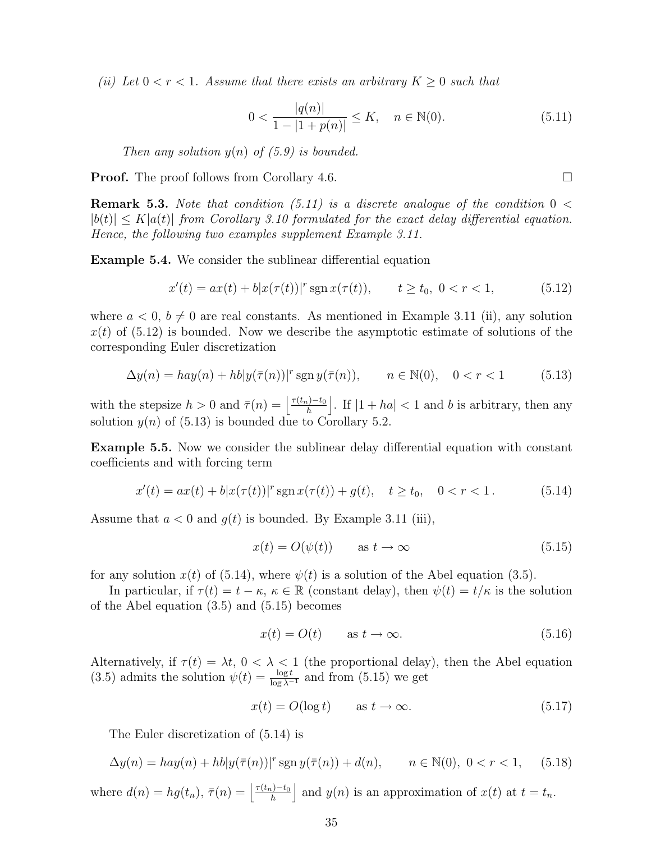(ii) Let  $0 < r < 1$ . Assume that there exists an arbitrary  $K \geq 0$  such that

$$
0 < \frac{|q(n)|}{1 - |1 + p(n)|} \le K, \quad n \in \mathbb{N}(0). \tag{5.11}
$$

Then any solution  $y(n)$  of (5.9) is bounded.

**Proof.** The proof follows from Corollary 4.6.

**Remark 5.3.** Note that condition (5.11) is a discrete analogue of the condition  $0 <$  $|b(t)| \leq K|a(t)|$  from Corollary 3.10 formulated for the exact delay differential equation. Hence, the following two examples supplement Example 3.11.

Example 5.4. We consider the sublinear differential equation

$$
x'(t) = ax(t) + b|x(\tau(t))|^{r} \operatorname{sgn} x(\tau(t)), \qquad t \ge t_0, \ 0 < r < 1,\tag{5.12}
$$

where  $a < 0, b \neq 0$  are real constants. As mentioned in Example 3.11 (ii), any solution  $x(t)$  of (5.12) is bounded. Now we describe the asymptotic estimate of solutions of the corresponding Euler discretization

$$
\Delta y(n) = hay(n) + hb|y(\bar{\tau}(n))|^{r} \operatorname{sgn} y(\bar{\tau}(n)), \qquad n \in \mathbb{N}(0), \quad 0 < r < 1 \tag{5.13}
$$

with the stepsize  $h > 0$  and  $\bar{\tau}(n) = \left| \frac{\tau(t_n) - t_0}{h} \right|$ h |. If  $|1 + ha| < 1$  and b is arbitrary, then any solution  $y(n)$  of (5.13) is bounded due to Corollary 5.2.

Example 5.5. Now we consider the sublinear delay differential equation with constant coefficients and with forcing term

$$
x'(t) = ax(t) + b|x(\tau(t))|^{r} \operatorname{sgn} x(\tau(t)) + g(t), \quad t \ge t_0, \quad 0 < r < 1.
$$
 (5.14)

Assume that  $a < 0$  and  $g(t)$  is bounded. By Example 3.11 (iii),

$$
x(t) = O(\psi(t)) \qquad \text{as } t \to \infty \tag{5.15}
$$

for any solution  $x(t)$  of (5.14), where  $\psi(t)$  is a solution of the Abel equation (3.5).

In particular, if  $\tau(t) = t - \kappa$ ,  $\kappa \in \mathbb{R}$  (constant delay), then  $\psi(t) = t/\kappa$  is the solution of the Abel equation (3.5) and (5.15) becomes

$$
x(t) = O(t) \qquad \text{as } t \to \infty. \tag{5.16}
$$

Alternatively, if  $\tau(t) = \lambda t$ ,  $0 < \lambda < 1$  (the proportional delay), then the Abel equation (3.5) admits the solution  $\psi(t) = \frac{\log t}{\log \lambda^{-1}}$  and from (5.15) we get

$$
x(t) = O(\log t) \qquad \text{as } t \to \infty. \tag{5.17}
$$

The Euler discretization of (5.14) is

$$
\Delta y(n) = hay(n) + hb|y(\bar{\tau}(n))|^{r} \operatorname{sgn} y(\bar{\tau}(n)) + d(n), \qquad n \in \mathbb{N}(0), \ 0 < r < 1,\tag{5.18}
$$

where  $d(n) = hg(t_n)$ ,  $\bar{\tau}(n) = \left| \frac{\tau(t_n)-t_0}{h} \right|$ h and  $y(n)$  is an approximation of  $x(t)$  at  $t = t_n$ .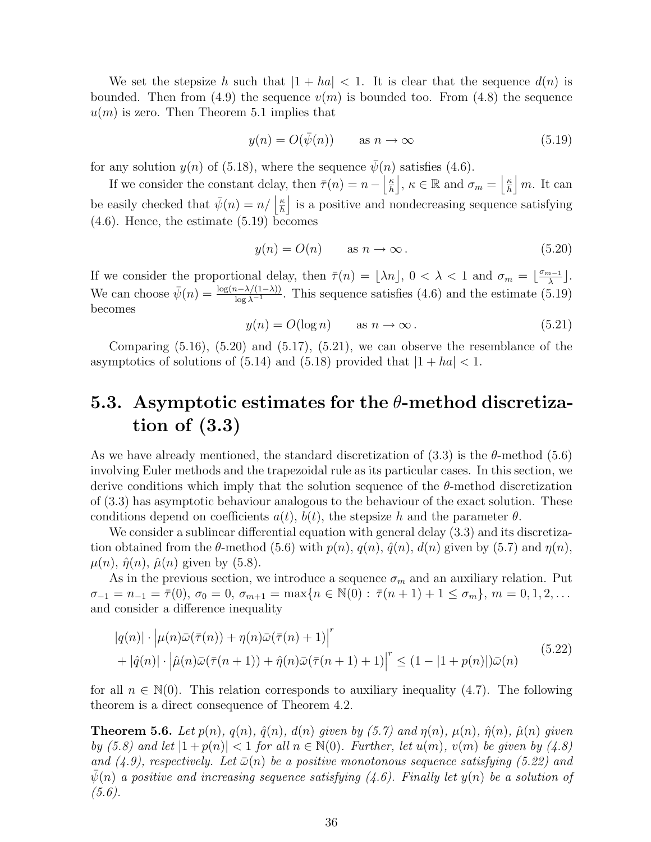We set the stepsize h such that  $|1 + ha| < 1$ . It is clear that the sequence  $d(n)$  is bounded. Then from (4.9) the sequence  $v(m)$  is bounded too. From (4.8) the sequence  $u(m)$  is zero. Then Theorem 5.1 implies that

$$
y(n) = O(\bar{\psi}(n)) \qquad \text{as } n \to \infty \tag{5.19}
$$

for any solution  $y(n)$  of (5.18), where the sequence  $\psi(n)$  satisfies (4.6).

If we consider the constant delay, then  $\bar{\tau}(n) = n - \frac{\kappa}{h}$ h  $\bigg|, \kappa \in \mathbb{R}$  and  $\sigma_m = \bigg| \frac{\kappa}{h}$ h |  $m$ . It can be easily checked that  $\bar{\psi}(n) = n / \left| \frac{\kappa}{h} \right|$ h is a positive and nondecreasing sequence satisfying (4.6). Hence, the estimate (5.19) becomes

$$
y(n) = O(n) \qquad \text{as } n \to \infty. \tag{5.20}
$$

If we consider the proportional delay, then  $\bar{\tau}(n) = \lfloor \lambda n \rfloor$ ,  $0 < \lambda < 1$  and  $\sigma_m = \lfloor \frac{\sigma_{m-1}}{\lambda} \rfloor$  $\frac{n-1}{\lambda}$ . We can choose  $\bar{\psi}(n) = \frac{\log(n-\lambda/(1-\lambda))}{\log \lambda^{-1}}$ . This sequence satisfies (4.6) and the estimate (5.19) becomes

$$
y(n) = O(\log n) \qquad \text{as } n \to \infty. \tag{5.21}
$$

Comparing  $(5.16)$ ,  $(5.20)$  and  $(5.17)$ ,  $(5.21)$ , we can observe the resemblance of the asymptotics of solutions of  $(5.14)$  and  $(5.18)$  provided that  $|1 + ha| < 1$ .

## 5.3. Asymptotic estimates for the  $\theta$ -method discretization of (3.3)

As we have already mentioned, the standard discretization of  $(3.3)$  is the  $\theta$ -method  $(5.6)$ involving Euler methods and the trapezoidal rule as its particular cases. In this section, we derive conditions which imply that the solution sequence of the  $\theta$ -method discretization of (3.3) has asymptotic behaviour analogous to the behaviour of the exact solution. These conditions depend on coefficients  $a(t)$ ,  $b(t)$ , the stepsize h and the parameter  $\theta$ .

We consider a sublinear differential equation with general delay  $(3.3)$  and its discretization obtained from the  $\theta$ -method (5.6) with  $p(n)$ ,  $q(n)$ ,  $\hat{q}(n)$ ,  $d(n)$  given by (5.7) and  $\eta(n)$ ,  $\mu(n)$ ,  $\hat{\eta}(n)$ ,  $\hat{\mu}(n)$  given by (5.8).

As in the previous section, we introduce a sequence  $\sigma_m$  and an auxiliary relation. Put  $\sigma_{-1} = n_{-1} = \overline{\tau}(0), \ \sigma_0 = 0, \ \sigma_{m+1} = \max\{n \in \mathbb{N}(0) : \overline{\tau}(n+1) + 1 \leq \sigma_m\}, \ m = 0, 1, 2, \dots$ and consider a difference inequality

$$
|q(n)| \cdot \left| \mu(n)\bar{\omega}(\bar{\tau}(n)) + \eta(n)\bar{\omega}(\bar{\tau}(n)) + 1 \right|^{r}
$$
  
+ 
$$
|\hat{q}(n)| \cdot \left| \hat{\mu}(n)\bar{\omega}(\bar{\tau}(n+1)) + \hat{\eta}(n)\bar{\omega}(\bar{\tau}(n+1)) + 1 \right|^{r} \leq (1 - |1 + p(n)|)\bar{\omega}(n)
$$
 (5.22)

for all  $n \in \mathbb{N}(0)$ . This relation corresponds to auxiliary inequality (4.7). The following theorem is a direct consequence of Theorem 4.2.

**Theorem 5.6.** Let  $p(n)$ ,  $q(n)$ ,  $\hat{q}(n)$ ,  $d(n)$  given by (5.7) and  $\eta(n)$ ,  $\mu(n)$ ,  $\hat{\eta}(n)$ ,  $\hat{\mu}(n)$  given by (5.8) and let  $|1+p(n)| < 1$  for all  $n \in \mathbb{N}(0)$ . Further, let  $u(m)$ ,  $v(m)$  be given by (4.8) and (4.9), respectively. Let  $\bar{\omega}(n)$  be a positive monotonous sequence satisfying (5.22) and  $\psi(n)$  a positive and increasing sequence satisfying (4.6). Finally let  $y(n)$  be a solution of  $(5.6).$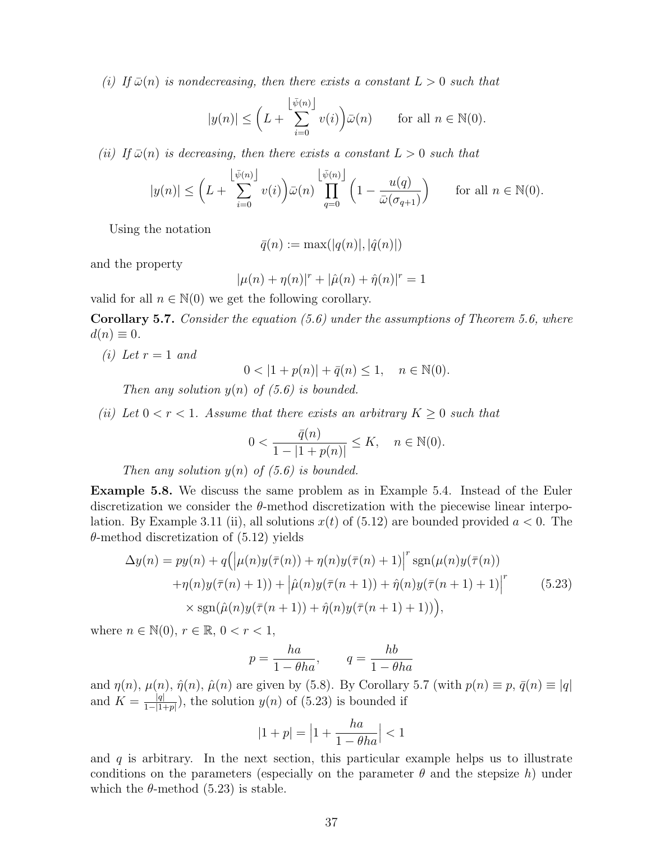(i) If  $\bar{\omega}(n)$  is nondecreasing, then there exists a constant  $L > 0$  such that

$$
|y(n)| \le \left( L + \sum_{i=0}^{\left\lfloor \bar{\psi}(n) \right\rfloor} v(i) \right) \bar{\omega}(n) \quad \text{for all } n \in \mathbb{N}(0).
$$

(ii) If  $\bar{\omega}(n)$  is decreasing, then there exists a constant  $L > 0$  such that

$$
|y(n)| \le \left(L + \sum_{i=0}^{\left\lfloor \bar{\psi}(n) \right\rfloor} v(i) \right) \bar{\omega}(n) \prod_{q=0}^{\left\lfloor \bar{\psi}(n) \right\rfloor} \left(1 - \frac{u(q)}{\bar{\omega}(\sigma_{q+1})} \right) \quad \text{for all } n \in \mathbb{N}(0).
$$

Using the notation

 $\bar{q}(n) := \max(|q(n)|, |\hat{q}(n)|)$ 

and the property

$$
|\mu(n) + \eta(n)|^r + |\hat{\mu}(n) + \hat{\eta}(n)|^r = 1
$$

valid for all  $n \in \mathbb{N}(0)$  we get the following corollary.

**Corollary 5.7.** Consider the equation  $(5.6)$  under the assumptions of Theorem 5.6, where  $d(n) \equiv 0.$ 

(i) Let  $r=1$  and

 $0 < |1 + p(n)| + \bar{q}(n) \le 1, \quad n \in \mathbb{N}(0).$ 

Then any solution  $y(n)$  of (5.6) is bounded.

(ii) Let  $0 < r < 1$ . Assume that there exists an arbitrary  $K \geq 0$  such that

$$
0 < \frac{\bar{q}(n)}{1 - |1 + p(n)|} \le K, \quad n \in \mathbb{N}(0).
$$

Then any solution  $y(n)$  of (5.6) is bounded.

Example 5.8. We discuss the same problem as in Example 5.4. Instead of the Euler discretization we consider the  $\theta$ -method discretization with the piecewise linear interpolation. By Example 3.11 (ii), all solutions  $x(t)$  of (5.12) are bounded provided  $a < 0$ . The  $\theta$ -method discretization of  $(5.12)$  yields

$$
\Delta y(n) = py(n) + q\left(\left|\mu(n)y(\overline{\tau}(n)) + \eta(n)y(\overline{\tau}(n) + 1)\right|^r \operatorname{sgn}(\mu(n)y(\overline{\tau}(n)) + \eta(n)y(\overline{\tau}(n) + 1)) + \left|\hat{\mu}(n)y(\overline{\tau}(n+1)) + \hat{\eta}(n)y(\overline{\tau}(n+1) + 1)\right|^r \qquad (5.23)
$$

$$
\times \operatorname{sgn}(\hat{\mu}(n)y(\overline{\tau}(n+1)) + \hat{\eta}(n)y(\overline{\tau}(n+1) + 1))),
$$

where  $n \in \mathbb{N}(0)$ ,  $r \in \mathbb{R}$ ,  $0 < r < 1$ ,

$$
p = \frac{ha}{1 - \theta ha}, \qquad q = \frac{hb}{1 - \theta ha}
$$

and  $\eta(n)$ ,  $\mu(n)$ ,  $\hat{\eta}(n)$ ,  $\hat{\mu}(n)$  are given by (5.8). By Corollary 5.7 (with  $p(n) \equiv p$ ,  $\bar{q}(n) \equiv |q|$ and  $K = \frac{|q|}{1-|1-|q|}$  $\frac{|q|}{1-|1+p|}$ , the solution  $y(n)$  of (5.23) is bounded if

$$
|1+p| = \left|1+\frac{ha}{1-\theta ha}\right| < 1
$$

and  $q$  is arbitrary. In the next section, this particular example helps us to illustrate conditions on the parameters (especially on the parameter  $\theta$  and the stepsize h) under which the  $\theta$ -method (5.23) is stable.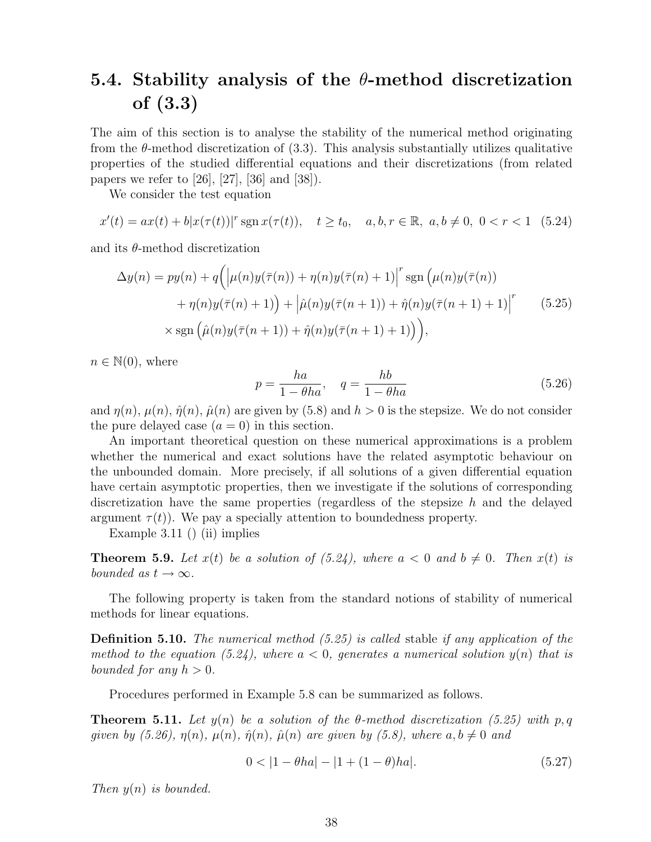## 5.4. Stability analysis of the  $\theta$ -method discretization of (3.3)

The aim of this section is to analyse the stability of the numerical method originating from the θ-method discretization of (3.3). This analysis substantially utilizes qualitative properties of the studied differential equations and their discretizations (from related papers we refer to [26], [27], [36] and [38]).

We consider the test equation

$$
x'(t) = ax(t) + b|x(\tau(t))|^{r} \operatorname{sgn} x(\tau(t)), \quad t \ge t_0, \quad a, b, r \in \mathbb{R}, \ a, b \ne 0, \ 0 < r < 1 \quad (5.24)
$$

and its  $\theta$ -method discretization

$$
\Delta y(n) = py(n) + q\left(\left|\mu(n)y(\overline{\tau}(n)) + \eta(n)y(\overline{\tau}(n) + 1)\right|^r \operatorname{sgn}\left(\mu(n)y(\overline{\tau}(n))\right) + \eta(n)y(\overline{\tau}(n) + 1)\right) + \left|\hat{\mu}(n)y(\overline{\tau}(n+1)) + \hat{\eta}(n)y(\overline{\tau}(n+1) + 1)\right|^r \qquad (5.25)
$$

$$
\times \operatorname{sgn}\left(\hat{\mu}(n)y(\overline{\tau}(n+1)) + \hat{\eta}(n)y(\overline{\tau}(n+1) + 1)\right),
$$

 $n \in \mathbb{N}(0)$ , where

$$
p = \frac{ha}{1 - \theta ha}, \quad q = \frac{hb}{1 - \theta ha}
$$
\n
$$
(5.26)
$$

and  $\eta(n)$ ,  $\mu(n)$ ,  $\hat{\eta}(n)$ ,  $\hat{\mu}(n)$  are given by (5.8) and  $h > 0$  is the stepsize. We do not consider the pure delayed case  $(a = 0)$  in this section.

An important theoretical question on these numerical approximations is a problem whether the numerical and exact solutions have the related asymptotic behaviour on the unbounded domain. More precisely, if all solutions of a given differential equation have certain asymptotic properties, then we investigate if the solutions of corresponding discretization have the same properties (regardless of the stepsize  $h$  and the delayed argument  $\tau(t)$ ). We pay a specially attention to boundedness property.

Example 3.11 () (ii) implies

**Theorem 5.9.** Let  $x(t)$  be a solution of (5.24), where  $a < 0$  and  $b \neq 0$ . Then  $x(t)$  is bounded as  $t \to \infty$ .

The following property is taken from the standard notions of stability of numerical methods for linear equations.

**Definition 5.10.** The numerical method  $(5.25)$  is called stable if any application of the method to the equation (5.24), where  $a < 0$ , generates a numerical solution  $y(n)$  that is bounded for any  $h > 0$ .

Procedures performed in Example 5.8 can be summarized as follows.

**Theorem 5.11.** Let  $y(n)$  be a solution of the  $\theta$ -method discretization (5.25) with p, q given by (5.26),  $\eta(n)$ ,  $\mu(n)$ ,  $\hat{\eta}(n)$ ,  $\hat{\mu}(n)$  are given by (5.8), where  $a, b \neq 0$  and

$$
0 < |1 - \theta h a| - |1 + (1 - \theta) h a|.\tag{5.27}
$$

Then  $y(n)$  is bounded.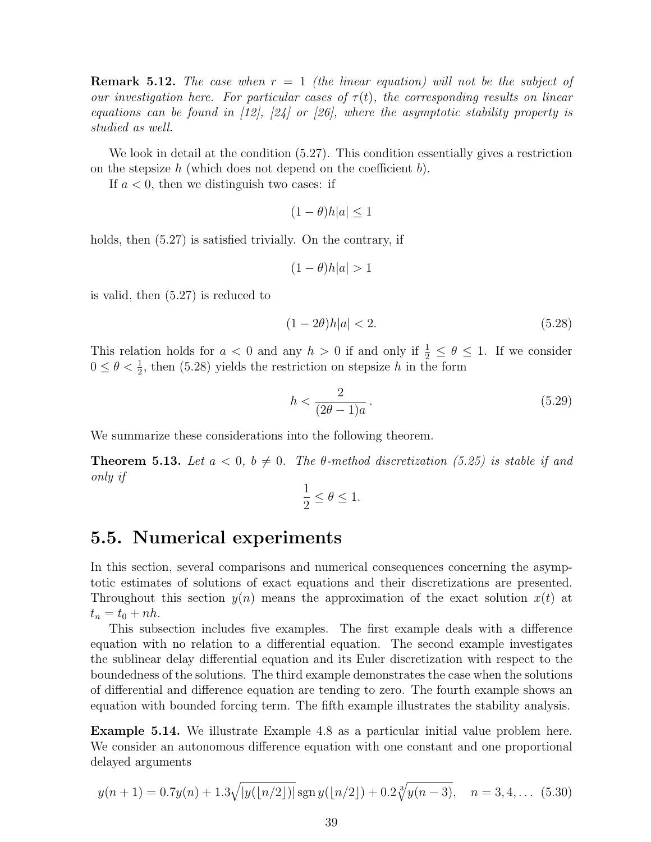**Remark 5.12.** The case when  $r = 1$  (the linear equation) will not be the subject of our investigation here. For particular cases of  $\tau(t)$ , the corresponding results on linear equations can be found in  $[12]$ ,  $[24]$  or  $[26]$ , where the asymptotic stability property is studied as well.

We look in detail at the condition (5.27). This condition essentially gives a restriction on the stepsize h (which does not depend on the coefficient  $b$ ).

If  $a < 0$ , then we distinguish two cases: if

$$
(1 - \theta)h|a| \le 1
$$

holds, then  $(5.27)$  is satisfied trivially. On the contrary, if

$$
(1 - \theta)h|a| > 1
$$

is valid, then (5.27) is reduced to

$$
(1 - 2\theta)h|a| < 2.\tag{5.28}
$$

This relation holds for  $a < 0$  and any  $h > 0$  if and only if  $\frac{1}{2} \le \theta \le 1$ . If we consider  $0 \le \theta < \frac{1}{2}$ , then (5.28) yields the restriction on stepsize h in the form

$$
h < \frac{2}{(2\theta - 1)a} \tag{5.29}
$$

We summarize these considerations into the following theorem.

**Theorem 5.13.** Let  $a < 0$ ,  $b \neq 0$ . The  $\theta$ -method discretization (5.25) is stable if and only if

$$
\frac{1}{2}\leq \theta \leq 1.
$$

### 5.5. Numerical experiments

In this section, several comparisons and numerical consequences concerning the asymptotic estimates of solutions of exact equations and their discretizations are presented. Throughout this section  $y(n)$  means the approximation of the exact solution  $x(t)$  at  $t_n = t_0 + nh.$ 

This subsection includes five examples. The first example deals with a difference equation with no relation to a differential equation. The second example investigates the sublinear delay differential equation and its Euler discretization with respect to the boundedness of the solutions. The third example demonstrates the case when the solutions of differential and difference equation are tending to zero. The fourth example shows an equation with bounded forcing term. The fifth example illustrates the stability analysis.

Example 5.14. We illustrate Example 4.8 as a particular initial value problem here. We consider an autonomous difference equation with one constant and one proportional delayed arguments

$$
y(n+1) = 0.7y(n) + 1.3\sqrt{|y(\lfloor n/2 \rfloor)|} \operatorname{sgn} y(\lfloor n/2 \rfloor) + 0.2\sqrt[3]{y(n-3)}, \quad n = 3, 4, \dots \tag{5.30}
$$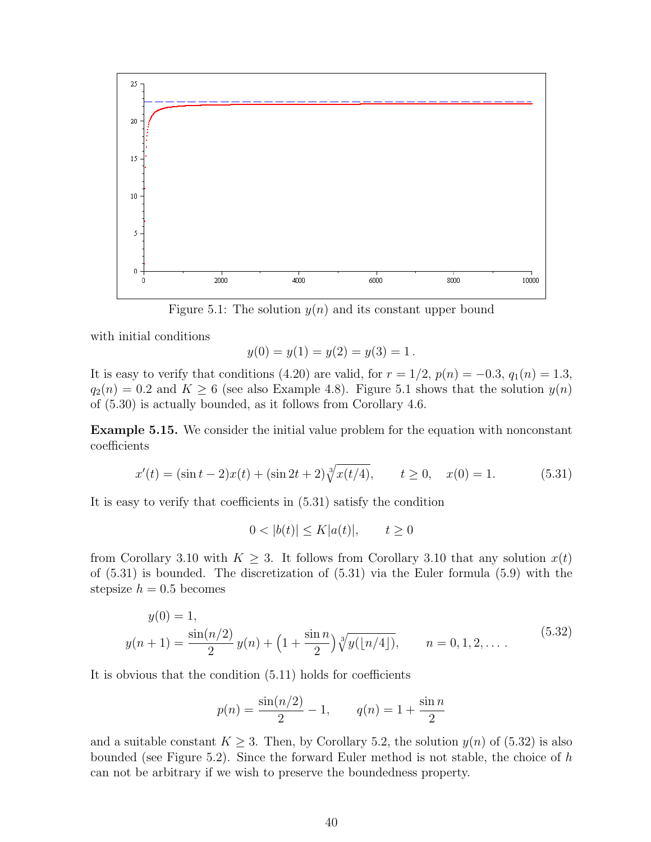

Figure 5.1: The solution  $y(n)$  and its constant upper bound

with initial conditions

$$
y(0) = y(1) = y(2) = y(3) = 1.
$$

It is easy to verify that conditions (4.20) are valid, for  $r = 1/2$ ,  $p(n) = -0.3$ ,  $q_1(n) = 1.3$ ,  $q_2(n) = 0.2$  and  $K \ge 6$  (see also Example 4.8). Figure 5.1 shows that the solution  $y(n)$ of (5.30) is actually bounded, as it follows from Corollary 4.6.

Example 5.15. We consider the initial value problem for the equation with nonconstant coefficients

$$
x'(t) = (\sin t - 2)x(t) + (\sin 2t + 2)\sqrt[3]{x(t/4)}, \qquad t \ge 0, \quad x(0) = 1.
$$
 (5.31)

It is easy to verify that coefficients in (5.31) satisfy the condition

$$
0 < |b(t)| \le K|a(t)|, \qquad t \ge 0
$$

from Corollary 3.10 with  $K \geq 3$ . It follows from Corollary 3.10 that any solution  $x(t)$ of (5.31) is bounded. The discretization of (5.31) via the Euler formula (5.9) with the stepsize  $h = 0.5$  becomes

$$
y(0) = 1,
$$
  

$$
y(n+1) = \frac{\sin(n/2)}{2}y(n) + \left(1 + \frac{\sin n}{2}\right)\sqrt[3]{y(\lfloor n/4 \rfloor)}, \qquad n = 0, 1, 2, \dots
$$
 (5.32)

It is obvious that the condition (5.11) holds for coefficients

$$
p(n) = \frac{\sin(n/2)}{2} - 1
$$
,  $q(n) = 1 + \frac{\sin n}{2}$ 

and a suitable constant  $K \geq 3$ . Then, by Corollary 5.2, the solution  $y(n)$  of (5.32) is also bounded (see Figure 5.2). Since the forward Euler method is not stable, the choice of  $h$ can not be arbitrary if we wish to preserve the boundedness property.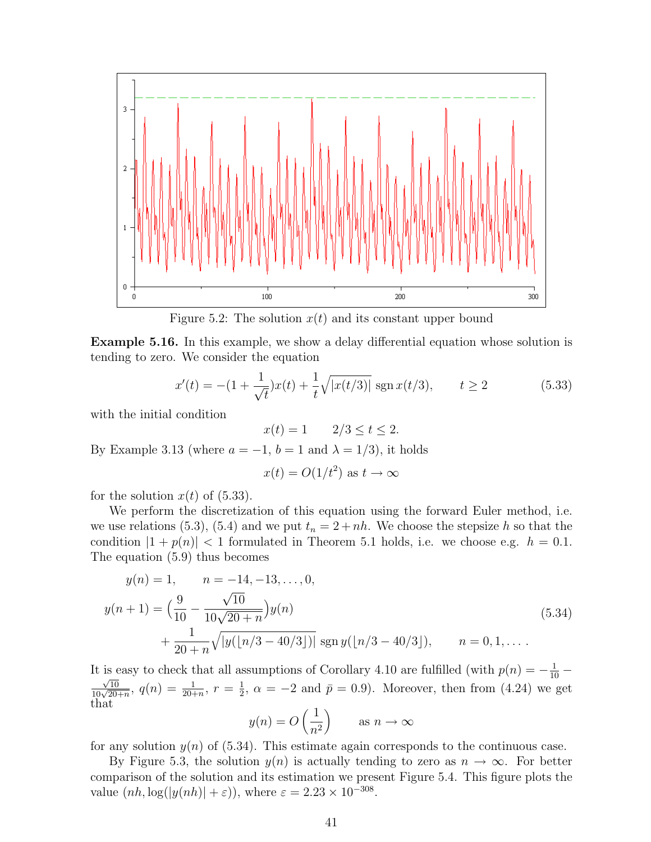

Figure 5.2: The solution  $x(t)$  and its constant upper bound

Example 5.16. In this example, we show a delay differential equation whose solution is tending to zero. We consider the equation

$$
x'(t) = -(1 + \frac{1}{\sqrt{t}})x(t) + \frac{1}{t}\sqrt{|x(t/3)|} \operatorname{sgn} x(t/3), \qquad t \ge 2
$$
 (5.33)

with the initial condition

 $x(t) = 1$   $2/3 \le t \le 2$ .

By Example 3.13 (where  $a = -1$ ,  $b = 1$  and  $\lambda = 1/3$ ), it holds

$$
x(t) = O(1/t^2)
$$
 as  $t \to \infty$ 

for the solution  $x(t)$  of (5.33).

We perform the discretization of this equation using the forward Euler method, i.e. we use relations (5.3), (5.4) and we put  $t_n = 2 + nh$ . We choose the stepsize h so that the condition  $|1 + p(n)| < 1$  formulated in Theorem 5.1 holds, i.e. we choose e.g.  $h = 0.1$ . The equation (5.9) thus becomes

$$
y(n) = 1, \t n = -14, -13, ..., 0,
$$
  
\n
$$
y(n+1) = \left(\frac{9}{10} - \frac{\sqrt{10}}{10\sqrt{20 + n}}\right)y(n)
$$
  
\n
$$
+ \frac{1}{20 + n}\sqrt{|y(|n/3 - 40/3|)|} \operatorname{sgn} y(|n/3 - 40/3|), \t n = 0, 1, ...
$$
\n(5.34)

It is easy to check that all assumptions of Corollary 4.10 are fulfilled (with  $p(n) = -\frac{1}{10} - \frac{1}{n}$  $\frac{\sqrt{10}}{10\sqrt{20+n}},\ q(n)=\frac{1}{20+n},\ r=\frac{1}{2}$  $\frac{1}{2}$ ,  $\alpha = -2$  and  $\bar{p} = 0.9$ ). Moreover, then from (4.24) we get that

$$
y(n) = O\left(\frac{1}{n^2}\right)
$$
 as  $n \to \infty$ 

for any solution  $y(n)$  of (5.34). This estimate again corresponds to the continuous case.

By Figure 5.3, the solution  $y(n)$  is actually tending to zero as  $n \to \infty$ . For better comparison of the solution and its estimation we present Figure 5.4. This figure plots the value  $(nh, \log(|y(nh)| + \varepsilon))$ , where  $\varepsilon = 2.23 \times 10^{-308}$ .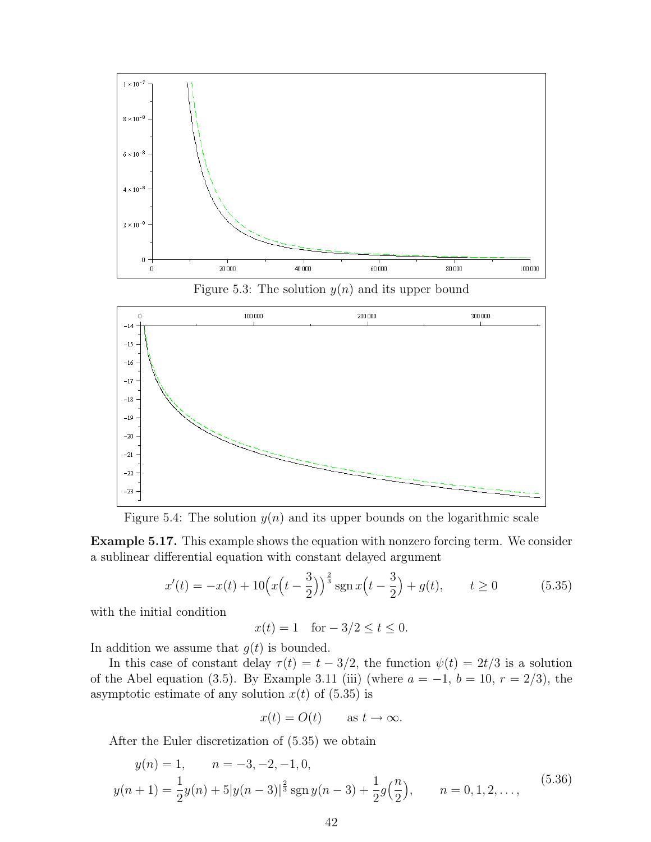

Figure 5.3: The solution  $y(n)$  and its upper bound



Figure 5.4: The solution  $y(n)$  and its upper bounds on the logarithmic scale

Example 5.17. This example shows the equation with nonzero forcing term. We consider a sublinear differential equation with constant delayed argument

$$
x'(t) = -x(t) + 10\left(x\left(t - \frac{3}{2}\right)\right)^{\frac{2}{3}} \operatorname{sgn} x\left(t - \frac{3}{2}\right) + g(t), \qquad t \ge 0 \tag{5.35}
$$

with the initial condition

$$
x(t) = 1
$$
 for  $-3/2 \le t \le 0$ .

In addition we assume that  $g(t)$  is bounded.

In this case of constant delay  $\tau(t) = t - 3/2$ , the function  $\psi(t) = 2t/3$  is a solution of the Abel equation (3.5). By Example 3.11 (iii) (where  $a = -1$ ,  $b = 10$ ,  $r = 2/3$ ), the asymptotic estimate of any solution  $x(t)$  of  $(5.35)$  is

$$
x(t) = O(t) \quad \text{as } t \to \infty.
$$

After the Euler discretization of (5.35) we obtain

$$
y(n) = 1, \qquad n = -3, -2, -1, 0,
$$
  

$$
y(n+1) = \frac{1}{2}y(n) + 5|y(n-3)|^{\frac{2}{3}}\operatorname{sgn}y(n-3) + \frac{1}{2}g(\frac{n}{2}), \qquad n = 0, 1, 2, ...,
$$
 (5.36)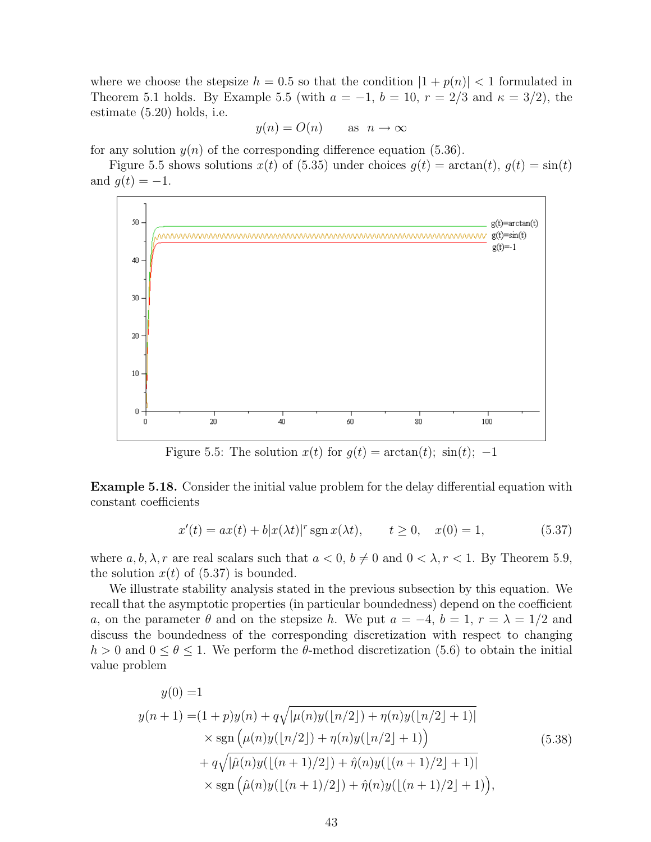where we choose the stepsize  $h = 0.5$  so that the condition  $|1 + p(n)| < 1$  formulated in Theorem 5.1 holds. By Example 5.5 (with  $a = -1$ ,  $b = 10$ ,  $r = 2/3$  and  $\kappa = 3/2$ ), the estimate (5.20) holds, i.e.

$$
y(n) = O(n)
$$
 as  $n \to \infty$ 

for any solution  $y(n)$  of the corresponding difference equation (5.36).

Figure 5.5 shows solutions  $x(t)$  of (5.35) under choices  $q(t) = \arctan(t)$ ,  $q(t) = \sin(t)$ and  $g(t) = -1$ .



Figure 5.5: The solution  $x(t)$  for  $g(t) = \arctan(t)$ ;  $\sin(t)$ ; -1

Example 5.18. Consider the initial value problem for the delay differential equation with constant coefficients

$$
x'(t) = ax(t) + b|x(\lambda t)|^r \operatorname{sgn} x(\lambda t), \qquad t \ge 0, \quad x(0) = 1,
$$
 (5.37)

where  $a, b, \lambda, r$  are real scalars such that  $a < 0, b \neq 0$  and  $0 < \lambda, r < 1$ . By Theorem 5.9, the solution  $x(t)$  of  $(5.37)$  is bounded.

We illustrate stability analysis stated in the previous subsection by this equation. We recall that the asymptotic properties (in particular boundedness) depend on the coefficient a, on the parameter  $\theta$  and on the stepsize h. We put  $a = -4$ ,  $b = 1$ ,  $r = \lambda = 1/2$  and discuss the boundedness of the corresponding discretization with respect to changing  $h > 0$  and  $0 \le \theta \le 1$ . We perform the  $\theta$ -method discretization (5.6) to obtain the initial value problem

$$
y(0) = 1
$$
  
\n
$$
y(n + 1) = (1 + p)y(n) + q\sqrt{|\mu(n)y(\lfloor n/2 \rfloor) + \eta(n)y(\lfloor n/2 \rfloor + 1)|}
$$
  
\n
$$
\times \text{sgn}(\mu(n)y(\lfloor n/2 \rfloor) + \eta(n)y(\lfloor n/2 \rfloor + 1))
$$
  
\n
$$
+ q\sqrt{|\hat{\mu}(n)y(\lfloor (n + 1)/2 \rfloor) + \hat{\eta}(n)y(\lfloor (n + 1)/2 \rfloor + 1)|}
$$
  
\n
$$
\times \text{sgn}(\hat{\mu}(n)y(\lfloor (n + 1)/2 \rfloor) + \hat{\eta}(n)y(\lfloor (n + 1)/2 \rfloor + 1)),
$$
\n(5.38)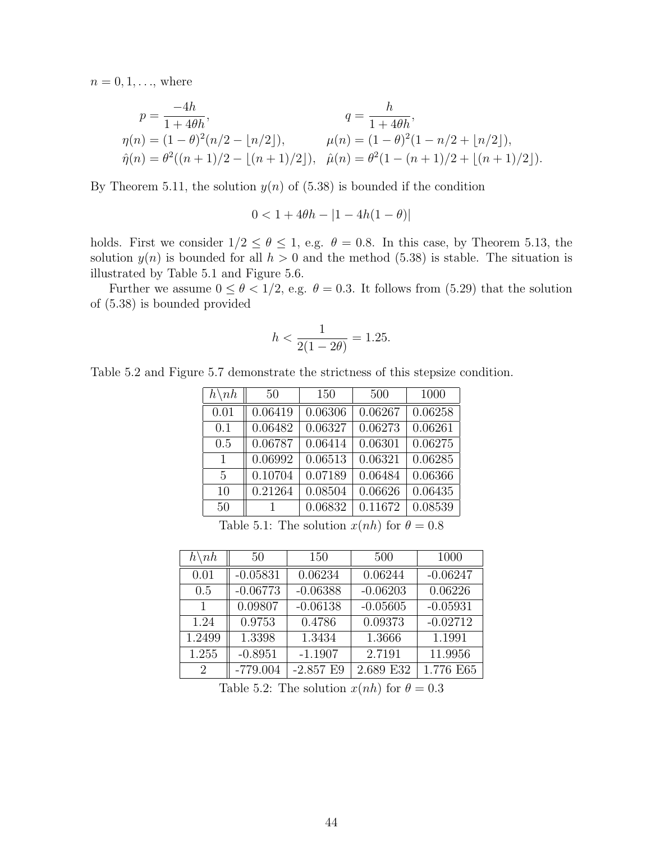$n = 0, 1, ...,$  where

$$
p = \frac{-4h}{1 + 4\theta h},
$$
  
\n
$$
\eta(n) = (1 - \theta)^2(n/2 - \lfloor n/2 \rfloor),
$$
  
\n
$$
\hat{\eta}(n) = \theta^2((n + 1)/2 - \lfloor (n + 1)/2 \rfloor),
$$
  
\n
$$
\hat{\mu}(n) = \theta^2(1 - (n + 1)/2 + \lfloor (n + 1)/2 \rfloor).
$$
  
\n
$$
\hat{\mu}(n) = \theta^2(1 - (n + 1)/2 + \lfloor (n + 1)/2 \rfloor).
$$

By Theorem 5.11, the solution  $y(n)$  of (5.38) is bounded if the condition

$$
0<1+4\theta h-|1-4h(1-\theta)|
$$

holds. First we consider  $1/2 \le \theta \le 1$ , e.g.  $\theta = 0.8$ . In this case, by Theorem 5.13, the solution  $y(n)$  is bounded for all  $h > 0$  and the method (5.38) is stable. The situation is illustrated by Table 5.1 and Figure 5.6.

Further we assume  $0 \le \theta < 1/2$ , e.g.  $\theta = 0.3$ . It follows from (5.29) that the solution of (5.38) is bounded provided

$$
h < \frac{1}{2(1 - 2\theta)} = 1.25.
$$

Table 5.2 and Figure 5.7 demonstrate the strictness of this stepsize condition.

| $h\backslash nh$ | 50      | 150     | 500     | 1000    |
|------------------|---------|---------|---------|---------|
| 0.01             | 0.06419 | 0.06306 | 0.06267 | 0.06258 |
| 0.1              | 0.06482 | 0.06327 | 0.06273 | 0.06261 |
| 0.5              | 0.06787 | 0.06414 | 0.06301 | 0.06275 |
| 1                | 0.06992 | 0.06513 | 0.06321 | 0.06285 |
| 5                | 0.10704 | 0.07189 | 0.06484 | 0.06366 |
| 10               | 0.21264 | 0.08504 | 0.06626 | 0.06435 |
| 50               |         | 0.06832 | 0.11672 | 0.08539 |

Table 5.1: The solution  $x(nh)$  for  $\theta = 0.8$ 

| $h\backslash nh$ | 50         | 150         | 500        | 1000       |
|------------------|------------|-------------|------------|------------|
| 0.01             | $-0.05831$ | 0.06234     | 0.06244    | $-0.06247$ |
| 0.5              | $-0.06773$ | $-0.06388$  | $-0.06203$ | 0.06226    |
| 1                | 0.09807    | $-0.06138$  | $-0.05605$ | $-0.05931$ |
| 1.24             | 0.9753     | 0.4786      | 0.09373    | $-0.02712$ |
| 1.2499           | 1.3398     | 1.3434      | 1.3666     | 1.1991     |
| 1.255            | $-0.8951$  | $-1.1907$   | 2.7191     | 11.9956    |
| 2                | $-779.004$ | $-2.857$ E9 | 2.689 E32  | 1.776 E65  |

Table 5.2: The solution  $x(nh)$  for  $\theta = 0.3$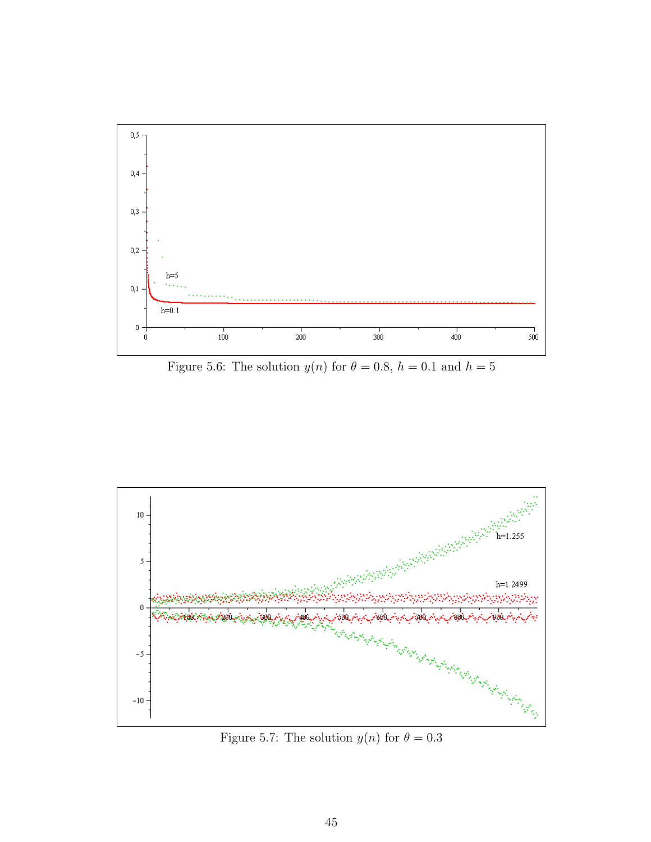

Figure 5.6: The solution  $y(n)$  for  $\theta = 0.8$ ,  $h = 0.1$  and  $h = 5$ 



Figure 5.7: The solution  $y(n)$  for  $\theta = 0.3$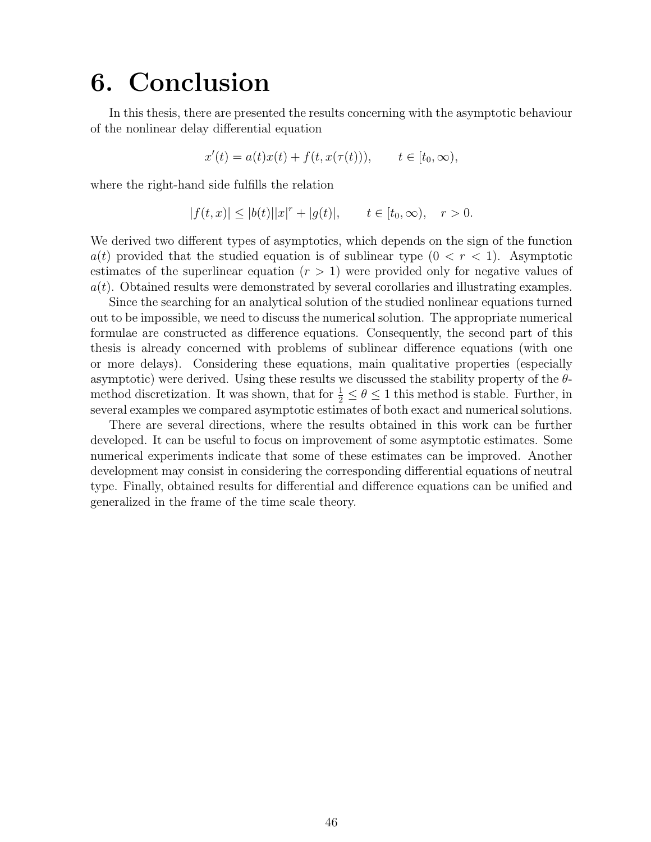## 6. Conclusion

In this thesis, there are presented the results concerning with the asymptotic behaviour of the nonlinear delay differential equation

$$
x'(t) = a(t)x(t) + f(t, x(\tau(t))), \qquad t \in [t_0, \infty),
$$

where the right-hand side fulfills the relation

$$
|f(t,x)| \le |b(t)| |x|^r + |g(t)|, \qquad t \in [t_0, \infty), \quad r > 0.
$$

We derived two different types of asymptotics, which depends on the sign of the function  $a(t)$  provided that the studied equation is of sublinear type  $(0 < r < 1)$ . Asymptotic estimates of the superlinear equation  $(r > 1)$  were provided only for negative values of  $a(t)$ . Obtained results were demonstrated by several corollaries and illustrating examples.

Since the searching for an analytical solution of the studied nonlinear equations turned out to be impossible, we need to discuss the numerical solution. The appropriate numerical formulae are constructed as difference equations. Consequently, the second part of this thesis is already concerned with problems of sublinear difference equations (with one or more delays). Considering these equations, main qualitative properties (especially asymptotic) were derived. Using these results we discussed the stability property of the  $\theta$ method discretization. It was shown, that for  $\frac{1}{2} \le \theta \le 1$  this method is stable. Further, in several examples we compared asymptotic estimates of both exact and numerical solutions.

There are several directions, where the results obtained in this work can be further developed. It can be useful to focus on improvement of some asymptotic estimates. Some numerical experiments indicate that some of these estimates can be improved. Another development may consist in considering the corresponding differential equations of neutral type. Finally, obtained results for differential and difference equations can be unified and generalized in the frame of the time scale theory.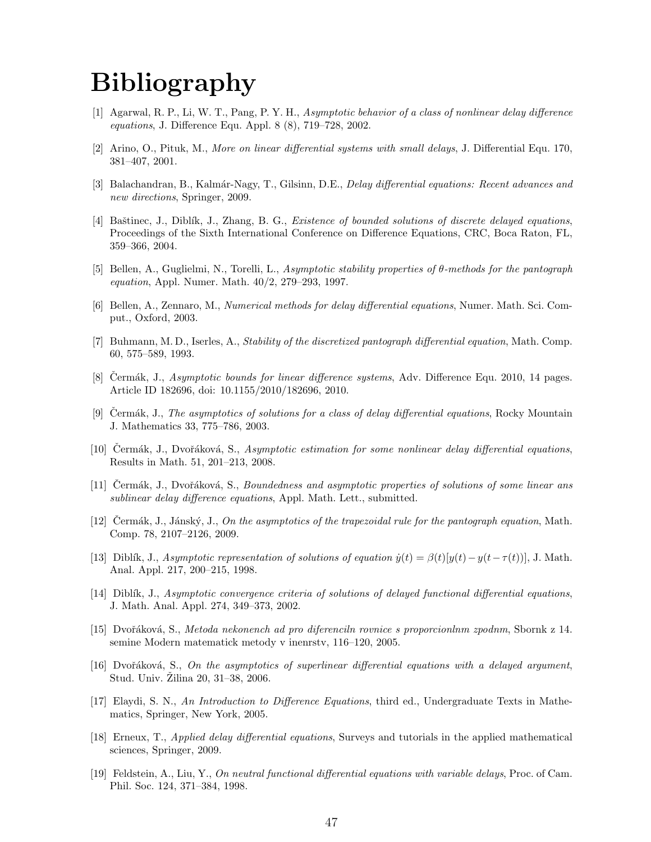## Bibliography

- [1] Agarwal, R. P., Li, W. T., Pang, P. Y. H., Asymptotic behavior of a class of nonlinear delay difference equations, J. Difference Equ. Appl. 8 (8), 719–728, 2002.
- [2] Arino, O., Pituk, M., More on linear differential systems with small delays, J. Differential Equ. 170, 381–407, 2001.
- [3] Balachandran, B., Kalmár-Nagy, T., Gilsinn, D.E., *Delay differential equations: Recent advances and* new directions, Springer, 2009.
- [4] Baštinec, J., Diblík, J., Zhang, B. G., Existence of bounded solutions of discrete delayed equations, Proceedings of the Sixth International Conference on Difference Equations, CRC, Boca Raton, FL, 359–366, 2004.
- [5] Bellen, A., Guglielmi, N., Torelli, L., Asymptotic stability properties of θ-methods for the pantograph equation, Appl. Numer. Math. 40/2, 279–293, 1997.
- [6] Bellen, A., Zennaro, M., Numerical methods for delay differential equations, Numer. Math. Sci. Comput., Oxford, 2003.
- [7] Buhmann, M. D., Iserles, A., Stability of the discretized pantograph differential equation, Math. Comp. 60, 575–589, 1993.
- [8] Cermák, J., Asymptotic bounds for linear difference systems, Adv. Difference Equ. 2010, 14 pages. Article ID 182696, doi: 10.1155/2010/182696, 2010.
- [9] Cermák, J., *The asymptotics of solutions for a class of delay differential equations*, Rocky Mountain J. Mathematics 33, 775–786, 2003.
- [10] Cermák, J., Dvořáková, S., Asymptotic estimation for some nonlinear delay differential equations, Results in Math. 51, 201–213, 2008.
- [11] Čermák, J., Dvořáková, S., Boundedness and asymptotic properties of solutions of some linear ans sublinear delay difference equations, Appl. Math. Lett., submitted.
- $[12]$  Cermák, J., Jánský, J., On the asymptotics of the trapezoidal rule for the pantograph equation, Math. Comp. 78, 2107–2126, 2009.
- [13] Diblík, J., Asymptotic representation of solutions of equation  $\dot{y}(t) = \beta(t)[y(t) y(t-\tau(t))]$ , J. Math. Anal. Appl. 217, 200–215, 1998.
- [14] Diblik, J., Asymptotic convergence criteria of solutions of delayed functional differential equations, J. Math. Anal. Appl. 274, 349–373, 2002.
- [15] Dvoˇr´akov´a, S., Metoda nekonench ad pro diferenciln rovnice s proporcionlnm zpodnm, Sbornk z 14. semine Modern matematick metody v inenrstv, 116–120, 2005.
- [16] Dvořáková, S., On the asymptotics of superlinear differential equations with a delayed argument, Stud. Univ. Zilina  $20, 31-38, 2006$ .
- [17] Elaydi, S. N., An Introduction to Difference Equations, third ed., Undergraduate Texts in Mathematics, Springer, New York, 2005.
- [18] Erneux, T., Applied delay differential equations, Surveys and tutorials in the applied mathematical sciences, Springer, 2009.
- [19] Feldstein, A., Liu, Y., On neutral functional differential equations with variable delays, Proc. of Cam. Phil. Soc. 124, 371–384, 1998.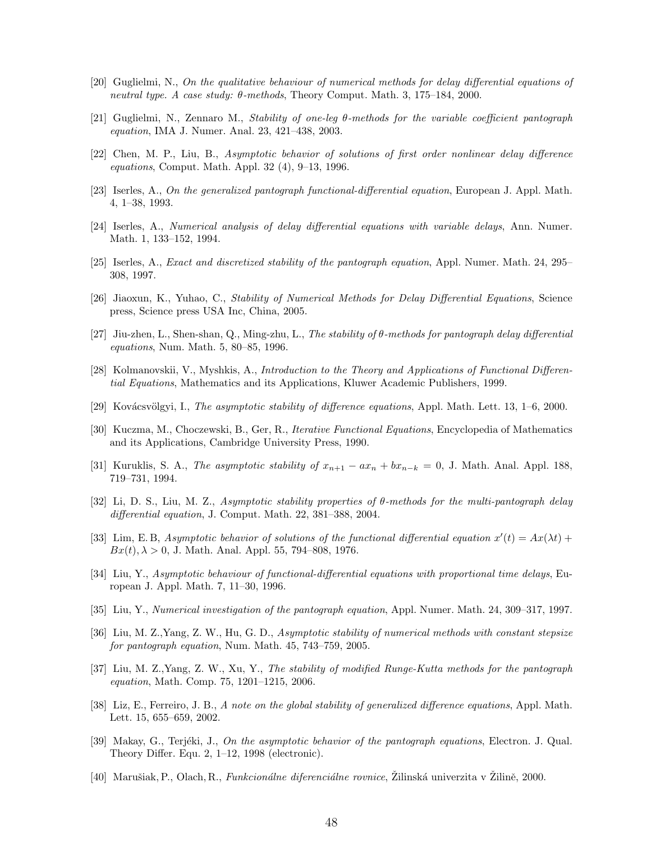- [20] Guglielmi, N., On the qualitative behaviour of numerical methods for delay differential equations of neutral type. A case study:  $\theta$ -methods, Theory Comput. Math. 3, 175–184, 2000.
- [21] Guglielmi, N., Zennaro M., Stability of one-leg θ-methods for the variable coefficient pantograph equation, IMA J. Numer. Anal. 23, 421–438, 2003.
- [22] Chen, M. P., Liu, B., Asymptotic behavior of solutions of first order nonlinear delay difference equations, Comput. Math. Appl. 32 (4), 9–13, 1996.
- [23] Iserles, A., On the generalized pantograph functional-differential equation, European J. Appl. Math. 4, 1–38, 1993.
- [24] Iserles, A., Numerical analysis of delay differential equations with variable delays, Ann. Numer. Math. 1, 133–152, 1994.
- [25] Iserles, A., Exact and discretized stability of the pantograph equation, Appl. Numer. Math. 24, 295– 308, 1997.
- [26] Jiaoxun, K., Yuhao, C., Stability of Numerical Methods for Delay Differential Equations, Science press, Science press USA Inc, China, 2005.
- [27] Jiu-zhen, L., Shen-shan, Q., Ming-zhu, L., The stability of  $\theta$ -methods for pantograph delay differential equations, Num. Math. 5, 80–85, 1996.
- [28] Kolmanovskii, V., Myshkis, A., Introduction to the Theory and Applications of Functional Differential Equations, Mathematics and its Applications, Kluwer Academic Publishers, 1999.
- [29] Kovácsvölgyi, I., *The asymptotic stability of difference equations*, Appl. Math. Lett. 13, 1–6, 2000.
- [30] Kuczma, M., Choczewski, B., Ger, R., Iterative Functional Equations, Encyclopedia of Mathematics and its Applications, Cambridge University Press, 1990.
- [31] Kuruklis, S. A., The asymptotic stability of  $x_{n+1} ax_n + bx_{n-k} = 0$ , J. Math. Anal. Appl. 188, 719–731, 1994.
- [32] Li, D. S., Liu, M. Z., Asymptotic stability properties of θ-methods for the multi-pantograph delay differential equation, J. Comput. Math. 22, 381–388, 2004.
- [33] Lim, E.B, Asymptotic behavior of solutions of the functional differential equation  $x'(t) = Ax(\lambda t) +$  $Bx(t), \lambda > 0$ , J. Math. Anal. Appl. 55, 794–808, 1976.
- [34] Liu, Y., Asymptotic behaviour of functional-differential equations with proportional time delays, European J. Appl. Math. 7, 11–30, 1996.
- [35] Liu, Y., Numerical investigation of the pantograph equation, Appl. Numer. Math. 24, 309–317, 1997.
- [36] Liu, M. Z.,Yang, Z. W., Hu, G. D., Asymptotic stability of numerical methods with constant stepsize for pantograph equation, Num. Math. 45, 743–759, 2005.
- [37] Liu, M. Z.,Yang, Z. W., Xu, Y., The stability of modified Runge-Kutta methods for the pantograph equation, Math. Comp. 75, 1201–1215, 2006.
- [38] Liz, E., Ferreiro, J. B., A note on the global stability of generalized difference equations, Appl. Math. Lett. 15, 655–659, 2002.
- [39] Makay, G., Terjéki, J., On the asymptotic behavior of the pantograph equations, Electron. J. Qual. Theory Differ. Equ. 2, 1–12, 1998 (electronic).
- [40] Marušiak, P., Olach, R., *Funkcionálne diferenciálne rovnice*, Žilinská univerzita v Žilině, 2000.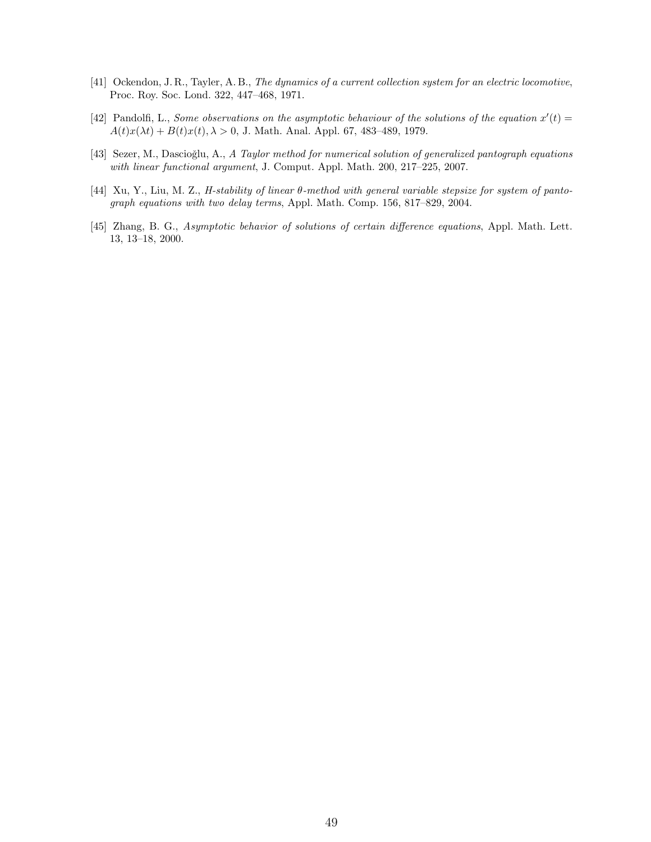- [41] Ockendon, J. R., Tayler, A. B., The dynamics of a current collection system for an electric locomotive, Proc. Roy. Soc. Lond. 322, 447–468, 1971.
- [42] Pandolfi, L., Some observations on the asymptotic behaviour of the solutions of the equation  $x'(t) =$  $A(t)x(\lambda t) + B(t)x(t), \lambda > 0$ , J. Math. Anal. Appl. 67, 483-489, 1979.
- [43] Sezer, M., Dascioğlu, A., A Taylor method for numerical solution of generalized pantograph equations with linear functional argument, J. Comput. Appl. Math. 200, 217–225, 2007.
- [44] Xu, Y., Liu, M. Z., H-stability of linear θ-method with general variable stepsize for system of pantograph equations with two delay terms, Appl. Math. Comp. 156, 817–829, 2004.
- [45] Zhang, B. G., Asymptotic behavior of solutions of certain difference equations, Appl. Math. Lett. 13, 13–18, 2000.